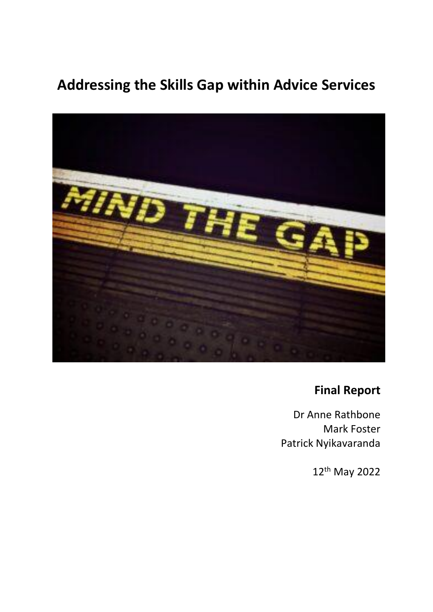# **Addressing the Skills Gap within Advice Services**



# **Final Report**

Dr Anne Rathbone Mark Foster Patrick Nyikavaranda

12th May 2022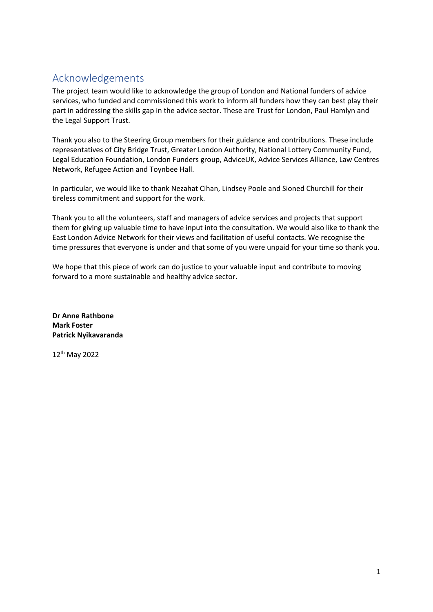# <span id="page-1-0"></span>Acknowledgements

The project team would like to acknowledge the group of London and National funders of advice services, who funded and commissioned this work to inform all funders how they can best play their part in addressing the skills gap in the advice sector. These are Trust for London, Paul Hamlyn and the Legal Support Trust.

Thank you also to the Steering Group members for their guidance and contributions. These include representatives of City Bridge Trust, Greater London Authority, National Lottery Community Fund, Legal Education Foundation, London Funders group, AdviceUK, Advice Services Alliance, Law Centres Network, Refugee Action and Toynbee Hall.

In particular, we would like to thank Nezahat Cihan, Lindsey Poole and Sioned Churchill for their tireless commitment and support for the work.

Thank you to all the volunteers, staff and managers of advice services and projects that support them for giving up valuable time to have input into the consultation. We would also like to thank the East London Advice Network for their views and facilitation of useful contacts. We recognise the time pressures that everyone is under and that some of you were unpaid for your time so thank you.

We hope that this piece of work can do justice to your valuable input and contribute to moving forward to a more sustainable and healthy advice sector.

**Dr Anne Rathbone Mark Foster Patrick Nyikavaranda**

12th May 2022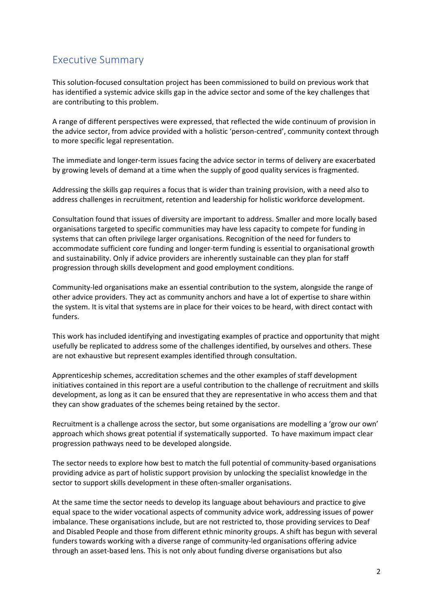# <span id="page-2-0"></span>Executive Summary

This solution-focused consultation project has been commissioned to build on previous work that has identified a systemic advice skills gap in the advice sector and some of the key challenges that are contributing to this problem.

A range of different perspectives were expressed, that reflected the wide continuum of provision in the advice sector, from advice provided with a holistic 'person-centred', community context through to more specific legal representation.

The immediate and longer-term issues facing the advice sector in terms of delivery are exacerbated by growing levels of demand at a time when the supply of good quality services is fragmented.

Addressing the skills gap requires a focus that is wider than training provision, with a need also to address challenges in recruitment, retention and leadership for holistic workforce development.

Consultation found that issues of diversity are important to address. Smaller and more locally based organisations targeted to specific communities may have less capacity to compete for funding in systems that can often privilege larger organisations. Recognition of the need for funders to accommodate sufficient core funding and longer-term funding is essential to organisational growth and sustainability. Only if advice providers are inherently sustainable can they plan for staff progression through skills development and good employment conditions.

Community-led organisations make an essential contribution to the system, alongside the range of other advice providers. They act as community anchors and have a lot of expertise to share within the system. It is vital that systems are in place for their voices to be heard, with direct contact with funders.

This work has included identifying and investigating examples of practice and opportunity that might usefully be replicated to address some of the challenges identified, by ourselves and others. These are not exhaustive but represent examples identified through consultation.

Apprenticeship schemes, accreditation schemes and the other examples of staff development initiatives contained in this report are a useful contribution to the challenge of recruitment and skills development, as long as it can be ensured that they are representative in who access them and that they can show graduates of the schemes being retained by the sector.

Recruitment is a challenge across the sector, but some organisations are modelling a 'grow our own' approach which shows great potential if systematically supported. To have maximum impact clear progression pathways need to be developed alongside.

The sector needs to explore how best to match the full potential of community-based organisations providing advice as part of holistic support provision by unlocking the specialist knowledge in the sector to support skills development in these often-smaller organisations.

At the same time the sector needs to develop its language about behaviours and practice to give equal space to the wider vocational aspects of community advice work, addressing issues of power imbalance. These organisations include, but are not restricted to, those providing services to Deaf and Disabled People and those from different ethnic minority groups. A shift has begun with several funders towards working with a diverse range of community-led organisations offering advice through an asset-based lens. This is not only about funding diverse organisations but also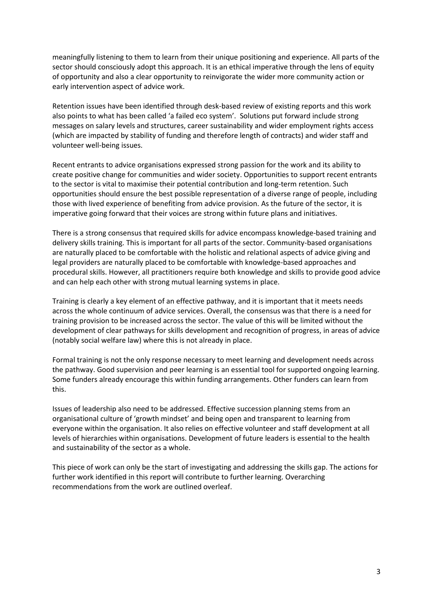meaningfully listening to them to learn from their unique positioning and experience. All parts of the sector should consciously adopt this approach. It is an ethical imperative through the lens of equity of opportunity and also a clear opportunity to reinvigorate the wider more community action or early intervention aspect of advice work.

Retention issues have been identified through desk-based review of existing reports and this work also points to what has been called 'a failed eco system'. Solutions put forward include strong messages on salary levels and structures, career sustainability and wider employment rights access (which are impacted by stability of funding and therefore length of contracts) and wider staff and volunteer well-being issues.

Recent entrants to advice organisations expressed strong passion for the work and its ability to create positive change for communities and wider society. Opportunities to support recent entrants to the sector is vital to maximise their potential contribution and long-term retention. Such opportunities should ensure the best possible representation of a diverse range of people, including those with lived experience of benefiting from advice provision. As the future of the sector, it is imperative going forward that their voices are strong within future plans and initiatives.

There is a strong consensus that required skills for advice encompass knowledge-based training and delivery skills training. This is important for all parts of the sector. Community-based organisations are naturally placed to be comfortable with the holistic and relational aspects of advice giving and legal providers are naturally placed to be comfortable with knowledge-based approaches and procedural skills. However, all practitioners require both knowledge and skills to provide good advice and can help each other with strong mutual learning systems in place.

Training is clearly a key element of an effective pathway, and it is important that it meets needs across the whole continuum of advice services. Overall, the consensus was that there is a need for training provision to be increased across the sector. The value of this will be limited without the development of clear pathways for skills development and recognition of progress, in areas of advice (notably social welfare law) where this is not already in place.

Formal training is not the only response necessary to meet learning and development needs across the pathway. Good supervision and peer learning is an essential tool for supported ongoing learning. Some funders already encourage this within funding arrangements. Other funders can learn from this.

Issues of leadership also need to be addressed. Effective succession planning stems from an organisational culture of 'growth mindset' and being open and transparent to learning from everyone within the organisation. It also relies on effective volunteer and staff development at all levels of hierarchies within organisations. Development of future leaders is essential to the health and sustainability of the sector as a whole.

This piece of work can only be the start of investigating and addressing the skills gap. The actions for further work identified in this report will contribute to further learning. Overarching recommendations from the work are outlined overleaf.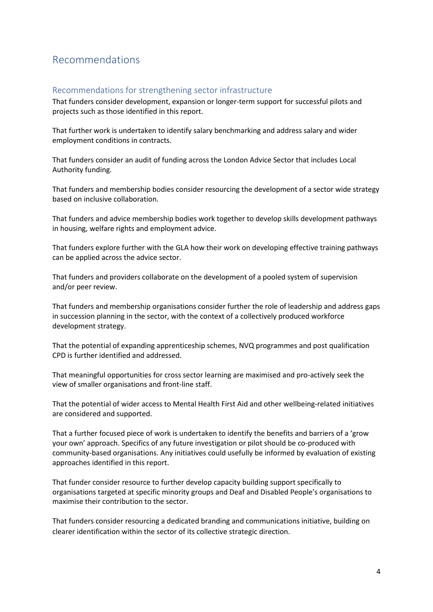# <span id="page-4-0"></span>Recommendations

#### <span id="page-4-1"></span>Recommendations for strengthening sector infrastructure

That funders consider development, expansion or longer-term support for successful pilots and projects such as those identified in this report.

That further work is undertaken to identify salary benchmarking and address salary and wider employment conditions in contracts.

That funders consider an audit of funding across the London Advice Sector that includes Local Authority funding.

That funders and membership bodies consider resourcing the development of a sector wide strategy based on inclusive collaboration.

That funders and advice membership bodies work together to develop skills development pathways in housing, welfare rights and employment advice.

That funders explore further with the GLA how their work on developing effective training pathways can be applied across the advice sector.

That funders and providers collaborate on the development of a pooled system of supervision and/or peer review.

That funders and membership organisations consider further the role of leadership and address gaps in succession planning in the sector, with the context of a collectively produced workforce development strategy.

That the potential of expanding apprenticeship schemes, NVQ programmes and post qualification CPD is further identified and addressed.

That meaningful opportunities for cross sector learning are maximised and pro-actively seek the view of smaller organisations and front-line staff.

That the potential of wider access to Mental Health First Aid and other wellbeing-related initiatives are considered and supported.

That a further focused piece of work is undertaken to identify the benefits and barriers of a 'grow your own' approach. Specifics of any future investigation or pilot should be co-produced with community-based organisations. Any initiatives could usefully be informed by evaluation of existing approaches identified in this report.

That funder consider resource to further develop capacity building support specifically to organisations targeted at specific minority groups and Deaf and Disabled People's organisations to maximise their contribution to the sector.

That funders consider resourcing a dedicated branding and communications initiative, building on clearer identification within the sector of its collective strategic direction.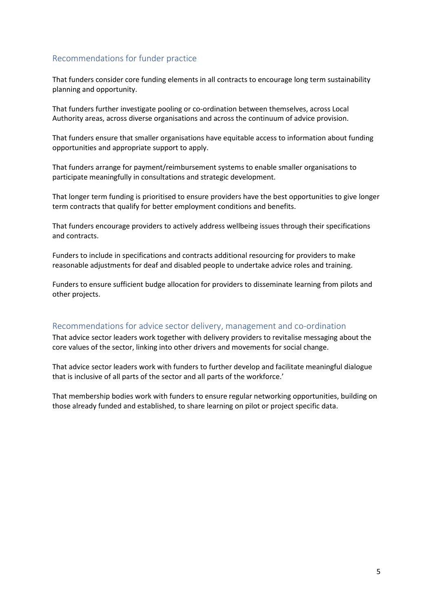### <span id="page-5-0"></span>Recommendations for funder practice

That funders consider core funding elements in all contracts to encourage long term sustainability planning and opportunity.

That funders further investigate pooling or co-ordination between themselves, across Local Authority areas, across diverse organisations and across the continuum of advice provision.

That funders ensure that smaller organisations have equitable access to information about funding opportunities and appropriate support to apply.

That funders arrange for payment/reimbursement systems to enable smaller organisations to participate meaningfully in consultations and strategic development.

That longer term funding is prioritised to ensure providers have the best opportunities to give longer term contracts that qualify for better employment conditions and benefits.

That funders encourage providers to actively address wellbeing issues through their specifications and contracts.

Funders to include in specifications and contracts additional resourcing for providers to make reasonable adjustments for deaf and disabled people to undertake advice roles and training.

Funders to ensure sufficient budge allocation for providers to disseminate learning from pilots and other projects.

#### <span id="page-5-1"></span>Recommendations for advice sector delivery, management and co-ordination

That advice sector leaders work together with delivery providers to revitalise messaging about the core values of the sector, linking into other drivers and movements for social change.

That advice sector leaders work with funders to further develop and facilitate meaningful dialogue that is inclusive of all parts of the sector and all parts of the workforce.'

That membership bodies work with funders to ensure regular networking opportunities, building on those already funded and established, to share learning on pilot or project specific data.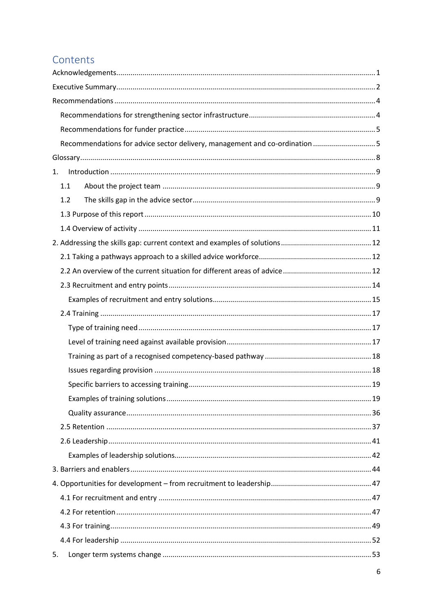# Contents

| Recommendations for advice sector delivery, management and co-ordination 5 |  |  |  |
|----------------------------------------------------------------------------|--|--|--|
|                                                                            |  |  |  |
| 1.                                                                         |  |  |  |
| 1.1                                                                        |  |  |  |
| 1.2                                                                        |  |  |  |
|                                                                            |  |  |  |
|                                                                            |  |  |  |
|                                                                            |  |  |  |
|                                                                            |  |  |  |
|                                                                            |  |  |  |
|                                                                            |  |  |  |
|                                                                            |  |  |  |
|                                                                            |  |  |  |
|                                                                            |  |  |  |
|                                                                            |  |  |  |
|                                                                            |  |  |  |
|                                                                            |  |  |  |
|                                                                            |  |  |  |
|                                                                            |  |  |  |
|                                                                            |  |  |  |
|                                                                            |  |  |  |
|                                                                            |  |  |  |
|                                                                            |  |  |  |
|                                                                            |  |  |  |
|                                                                            |  |  |  |
|                                                                            |  |  |  |
|                                                                            |  |  |  |
|                                                                            |  |  |  |
|                                                                            |  |  |  |
| 5.                                                                         |  |  |  |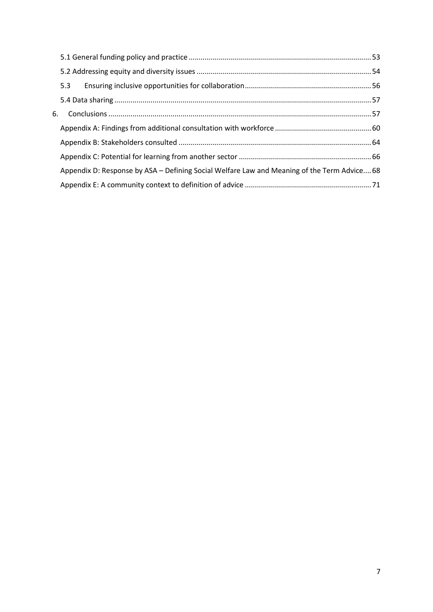| 5.3                                                                                         |  |
|---------------------------------------------------------------------------------------------|--|
|                                                                                             |  |
|                                                                                             |  |
|                                                                                             |  |
|                                                                                             |  |
|                                                                                             |  |
| Appendix D: Response by ASA – Defining Social Welfare Law and Meaning of the Term Advice 68 |  |
|                                                                                             |  |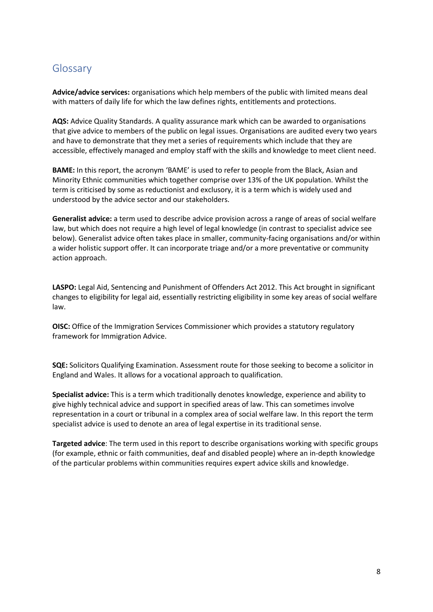# <span id="page-8-0"></span>Glossary

**Advice/advice services:** organisations which help members of the public with limited means deal with matters of daily life for which the law defines rights, entitlements and protections.

**AQS:** Advice Quality Standards. A quality assurance mark which can be awarded to organisations that give advice to members of the public on legal issues. Organisations are audited every two years and have to demonstrate that they met a series of requirements which include that they are accessible, effectively managed and employ staff with the skills and knowledge to meet client need.

**BAME:** In this report, the acronym 'BAME' is used to refer to people from the Black, Asian and Minority Ethnic communities which together comprise over 13% of the UK population. Whilst the term is criticised by some as reductionist and exclusory, it is a term which is widely used and understood by the advice sector and our stakeholders.

**Generalist advice:** a term used to describe advice provision across a range of areas of social welfare law, but which does not require a high level of legal knowledge (in contrast to specialist advice see below). Generalist advice often takes place in smaller, community-facing organisations and/or within a wider holistic support offer. It can incorporate triage and/or a more preventative or community action approach.

**LASPO:** Legal Aid, Sentencing and Punishment of Offenders Act 2012. This Act brought in significant changes to eligibility for legal aid, essentially restricting eligibility in some key areas of social welfare law.

**OISC:** Office of the Immigration Services Commissioner which provides a statutory regulatory framework for Immigration Advice.

**SQE:** Solicitors Qualifying Examination. Assessment route for those seeking to become a solicitor in England and Wales. It allows for a vocational approach to qualification.

**Specialist advice:** This is a term which traditionally denotes knowledge, experience and ability to give highly technical advice and support in specified areas of law. This can sometimes involve representation in a court or tribunal in a complex area of social welfare law. In this report the term specialist advice is used to denote an area of legal expertise in its traditional sense.

**Targeted advice**: The term used in this report to describe organisations working with specific groups (for example, ethnic or faith communities, deaf and disabled people) where an in-depth knowledge of the particular problems within communities requires expert advice skills and knowledge.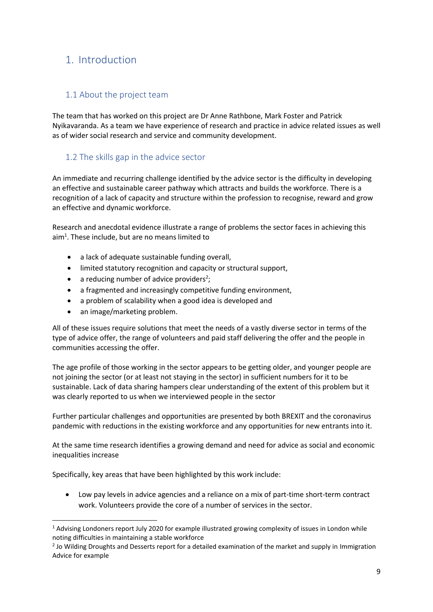# <span id="page-9-0"></span>1. Introduction

## <span id="page-9-1"></span>1.1 About the project team

The team that has worked on this project are Dr Anne Rathbone, Mark Foster and Patrick Nyikavaranda. As a team we have experience of research and practice in advice related issues as well as of wider social research and service and community development.

### <span id="page-9-2"></span>1.2 The skills gap in the advice sector

An immediate and recurring challenge identified by the advice sector is the difficulty in developing an effective and sustainable career pathway which attracts and builds the workforce. There is a recognition of a lack of capacity and structure within the profession to recognise, reward and grow an effective and dynamic workforce.

Research and anecdotal evidence illustrate a range of problems the sector faces in achieving this aim<sup>1</sup>. These include, but are no means limited to

- a lack of adequate sustainable funding overall,
- limited statutory recognition and capacity or structural support,
- $\bullet$  a reducing number of advice providers<sup>2</sup>;
- a fragmented and increasingly competitive funding environment,
- a problem of scalability when a good idea is developed and
- an image/marketing problem.

1

All of these issues require solutions that meet the needs of a vastly diverse sector in terms of the type of advice offer, the range of volunteers and paid staff delivering the offer and the people in communities accessing the offer.

The age profile of those working in the sector appears to be getting older, and younger people are not joining the sector (or at least not staying in the sector) in sufficient numbers for it to be sustainable. Lack of data sharing hampers clear understanding of the extent of this problem but it was clearly reported to us when we interviewed people in the sector

Further particular challenges and opportunities are presented by both BREXIT and the coronavirus pandemic with reductions in the existing workforce and any opportunities for new entrants into it.

At the same time research identifies a growing demand and need for advice as social and economic inequalities increase

Specifically, key areas that have been highlighted by this work include:

• Low pay levels in advice agencies and a reliance on a mix of part-time short-term contract work. Volunteers provide the core of a number of services in the sector.

<sup>&</sup>lt;sup>1</sup> Advising Londoners report July 2020 for example illustrated growing complexity of issues in London while noting difficulties in maintaining a stable workforce

<sup>&</sup>lt;sup>2</sup> Jo Wilding Droughts and Desserts report for a detailed examination of the market and supply in Immigration Advice for example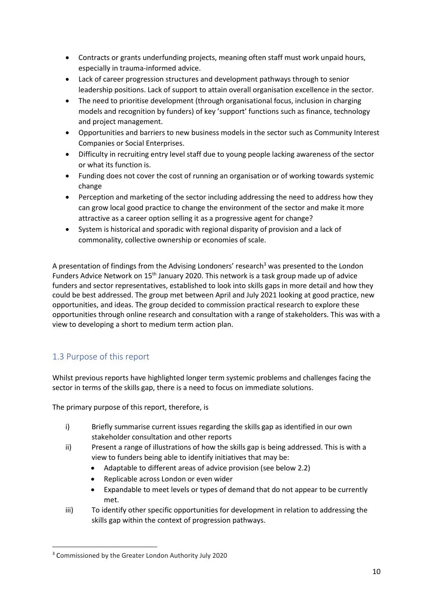- Contracts or grants underfunding projects, meaning often staff must work unpaid hours, especially in trauma-informed advice.
- Lack of career progression structures and development pathways through to senior leadership positions. Lack of support to attain overall organisation excellence in the sector.
- The need to prioritise development (through organisational focus, inclusion in charging models and recognition by funders) of key 'support' functions such as finance, technology and project management.
- Opportunities and barriers to new business models in the sector such as Community Interest Companies or Social Enterprises.
- Difficulty in recruiting entry level staff due to young people lacking awareness of the sector or what its function is.
- Funding does not cover the cost of running an organisation or of working towards systemic change
- Perception and marketing of the sector including addressing the need to address how they can grow local good practice to change the environment of the sector and make it more attractive as a career option selling it as a progressive agent for change?
- System is historical and sporadic with regional disparity of provision and a lack of commonality, collective ownership or economies of scale.

A presentation of findings from the Advising Londoners' research<sup>3</sup> was presented to the London Funders Advice Network on  $15<sup>th</sup>$  January 2020. This network is a task group made up of advice funders and sector representatives, established to look into skills gaps in more detail and how they could be best addressed. The group met between April and July 2021 looking at good practice, new opportunities, and ideas. The group decided to commission practical research to explore these opportunities through online research and consultation with a range of stakeholders. This was with a view to developing a short to medium term action plan.

# <span id="page-10-0"></span>1.3 Purpose of this report

**.** 

Whilst previous reports have highlighted longer term systemic problems and challenges facing the sector in terms of the skills gap, there is a need to focus on immediate solutions.

The primary purpose of this report, therefore, is

- i) Briefly summarise current issues regarding the skills gap as identified in our own stakeholder consultation and other reports
- ii) Present a range of illustrations of how the skills gap is being addressed. This is with a view to funders being able to identify initiatives that may be:
	- Adaptable to different areas of advice provision (see below 2.2)
	- Replicable across London or even wider
	- Expandable to meet levels or types of demand that do not appear to be currently met.
- iii) To identify other specific opportunities for development in relation to addressing the skills gap within the context of progression pathways.

<sup>3</sup> Commissioned by the Greater London Authority July 2020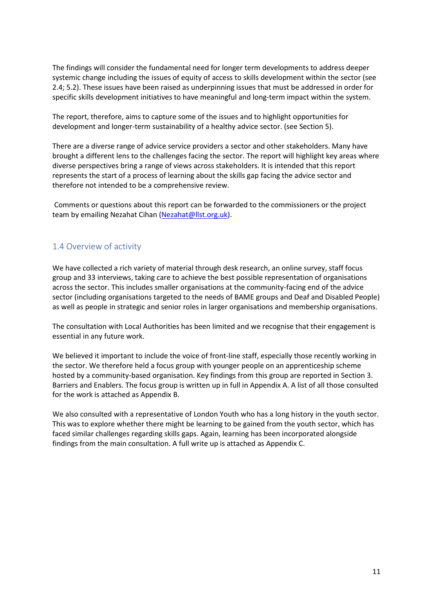The findings will consider the fundamental need for longer term developments to address deeper systemic change including the issues of equity of access to skills development within the sector (see 2.4; 5.2). These issues have been raised as underpinning issues that must be addressed in order for specific skills development initiatives to have meaningful and long-term impact within the system.

The report, therefore, aims to capture some of the issues and to highlight opportunities for development and longer-term sustainability of a healthy advice sector. (see Section 5).

There are a diverse range of advice service providers a sector and other stakeholders. Many have brought a different lens to the challenges facing the sector. The report will highlight key areas where diverse perspectives bring a range of views across stakeholders. It is intended that this report represents the start of a process of learning about the skills gap facing the advice sector and therefore not intended to be a comprehensive review.

Comments or questions about this report can be forwarded to the commissioners or the project team by emailing Nezahat Cihan [\(Nezahat@llst.org.uk\)](mailto:Nezahat@llst.org.uk).

#### <span id="page-11-0"></span>1.4 Overview of activity

We have collected a rich variety of material through desk research, an online survey, staff focus group and 33 interviews, taking care to achieve the best possible representation of organisations across the sector. This includes smaller organisations at the community-facing end of the advice sector (including organisations targeted to the needs of BAME groups and Deaf and Disabled People) as well as people in strategic and senior roles in larger organisations and membership organisations.

The consultation with Local Authorities has been limited and we recognise that their engagement is essential in any future work.

We believed it important to include the voice of front-line staff, especially those recently working in the sector. We therefore held a focus group with younger people on an apprenticeship scheme hosted by a community-based organisation. Key findings from this group are reported in Section 3. Barriers and Enablers. The focus group is written up in full in Appendix A. A list of all those consulted for the work is attached as Appendix B.

<span id="page-11-1"></span>We also consulted with a representative of London Youth who has a long history in the youth sector. This was to explore whether there might be learning to be gained from the youth sector, which has faced similar challenges regarding skills gaps. Again, learning has been incorporated alongside findings from the main consultation. A full write up is attached as Appendix C.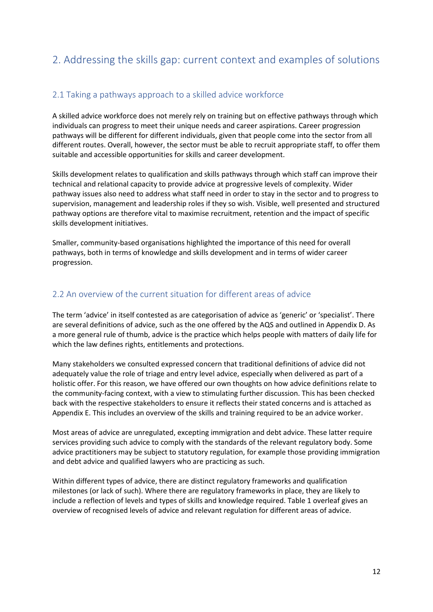# 2. Addressing the skills gap: current context and examples of solutions

### <span id="page-12-0"></span>2.1 Taking a pathways approach to a skilled advice workforce

A skilled advice workforce does not merely rely on training but on effective pathways through which individuals can progress to meet their unique needs and career aspirations. Career progression pathways will be different for different individuals, given that people come into the sector from all different routes. Overall, however, the sector must be able to recruit appropriate staff, to offer them suitable and accessible opportunities for skills and career development.

Skills development relates to qualification and skills pathways through which staff can improve their technical and relational capacity to provide advice at progressive levels of complexity. Wider pathway issues also need to address what staff need in order to stay in the sector and to progress to supervision, management and leadership roles if they so wish. Visible, well presented and structured pathway options are therefore vital to maximise recruitment, retention and the impact of specific skills development initiatives.

Smaller, community-based organisations highlighted the importance of this need for overall pathways, both in terms of knowledge and skills development and in terms of wider career progression.

### <span id="page-12-1"></span>2.2 An overview of the current situation for different areas of advice

The term 'advice' in itself contested as are categorisation of advice as 'generic' or 'specialist'. There are several definitions of advice, such as the one offered by the AQS and outlined in Appendix D. As a more general rule of thumb, advice is the practice which helps people with matters of daily life for which the law defines rights, entitlements and protections.

Many stakeholders we consulted expressed concern that traditional definitions of advice did not adequately value the role of triage and entry level advice, especially when delivered as part of a holistic offer. For this reason, we have offered our own thoughts on how advice definitions relate to the community-facing context, with a view to stimulating further discussion. This has been checked back with the respective stakeholders to ensure it reflects their stated concerns and is attached as Appendix E. This includes an overview of the skills and training required to be an advice worker.

Most areas of advice are unregulated, excepting immigration and debt advice. These latter require services providing such advice to comply with the standards of the relevant regulatory body. Some advice practitioners may be subject to statutory regulation, for example those providing immigration and debt advice and qualified lawyers who are practicing as such.

Within different types of advice, there are distinct regulatory frameworks and qualification milestones (or lack of such). Where there are regulatory frameworks in place, they are likely to include a reflection of levels and types of skills and knowledge required. Table 1 overleaf gives an overview of recognised levels of advice and relevant regulation for different areas of advice.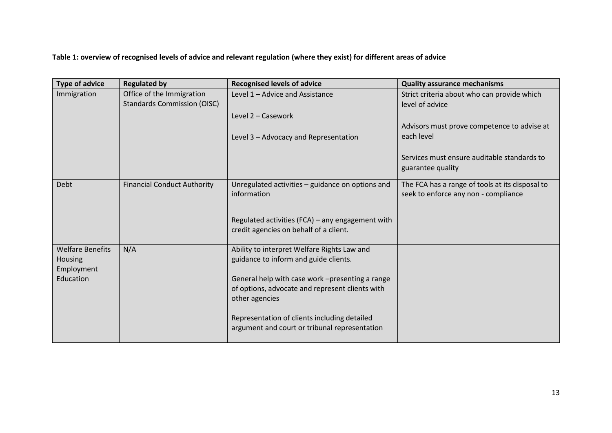**Table 1: overview of recognised levels of advice and relevant regulation (where they exist) for different areas of advice**

| <b>Type of advice</b>                            | <b>Regulated by</b>                                             | <b>Recognised levels of advice</b>                                                                                   | <b>Quality assurance mechanisms</b>                                                     |
|--------------------------------------------------|-----------------------------------------------------------------|----------------------------------------------------------------------------------------------------------------------|-----------------------------------------------------------------------------------------|
| Immigration                                      | Office of the Immigration<br><b>Standards Commission (OISC)</b> | Level 1 - Advice and Assistance                                                                                      | Strict criteria about who can provide which<br>level of advice                          |
|                                                  |                                                                 | Level 2 - Casework                                                                                                   |                                                                                         |
|                                                  |                                                                 | Level 3 - Advocacy and Representation                                                                                | Advisors must prove competence to advise at<br>each level                               |
|                                                  |                                                                 |                                                                                                                      | Services must ensure auditable standards to<br>guarantee quality                        |
| Debt                                             | <b>Financial Conduct Authority</b>                              | Unregulated activities - guidance on options and<br>information                                                      | The FCA has a range of tools at its disposal to<br>seek to enforce any non - compliance |
|                                                  |                                                                 | Regulated activities (FCA) - any engagement with<br>credit agencies on behalf of a client.                           |                                                                                         |
| <b>Welfare Benefits</b><br>Housing<br>Employment | N/A                                                             | Ability to interpret Welfare Rights Law and<br>guidance to inform and guide clients.                                 |                                                                                         |
| Education                                        |                                                                 | General help with case work -presenting a range<br>of options, advocate and represent clients with<br>other agencies |                                                                                         |
|                                                  |                                                                 | Representation of clients including detailed<br>argument and court or tribunal representation                        |                                                                                         |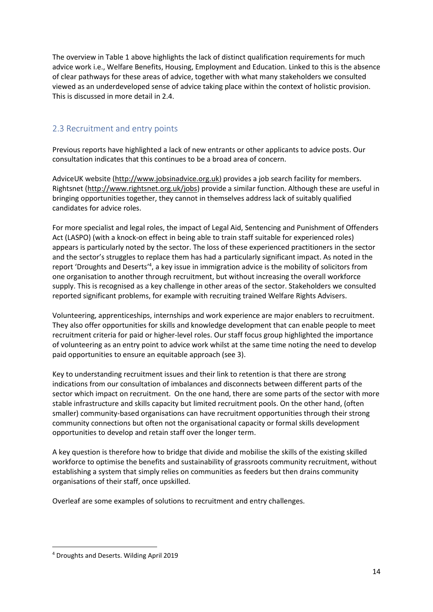The overview in Table 1 above highlights the lack of distinct qualification requirements for much advice work i.e., Welfare Benefits, Housing, Employment and Education. Linked to this is the absence of clear pathways for these areas of advice, together with what many stakeholders we consulted viewed as an underdeveloped sense of advice taking place within the context of holistic provision. This is discussed in more detail in 2.4.

# <span id="page-14-0"></span>2.3 Recruitment and entry points

Previous reports have highlighted a lack of new entrants or other applicants to advice posts. Our consultation indicates that this continues to be a broad area of concern.

AdviceUK website [\(http://www.jobsinadvice.org.uk\)](https://nam12.safelinks.protection.outlook.com/?url=http%3A%2F%2Fwww.jobsinadvice.org.uk%2F&data=05%7C01%7C%7C57680b5eb8734337ac8908da31c3f0ad%7C84df9e7fe9f640afb435aaaaaaaaaaaa%7C1%7C0%7C637877014891900551%7CUnknown%7CTWFpbGZsb3d8eyJWIjoiMC4wLjAwMDAiLCJQIjoiV2luMzIiLCJBTiI6Ik1haWwiLCJXVCI6Mn0%3D%7C3000%7C%7C%7C&sdata=kDfcJsNY49EfAmJPB3luC7kFxqIEPfSbJqgiBWXGUr4%3D&reserved=0) provides a job search facility for members. Rightsnet [\(http://www.rightsnet.org.uk/jobs\)](http://www.rightsnet.org.uk/jobs) provide a similar function. Although these are useful in bringing opportunities together, they cannot in themselves address lack of suitably qualified candidates for advice roles.

For more specialist and legal roles, the impact of Legal Aid, Sentencing and Punishment of Offenders Act (LASPO) (with a knock-on effect in being able to train staff suitable for experienced roles) appears is particularly noted by the sector. The loss of these experienced practitioners in the sector and the sector's struggles to replace them has had a particularly significant impact. As noted in the report 'Droughts and Deserts'<sup>4</sup>, a key issue in immigration advice is the mobility of solicitors from one organisation to another through recruitment, but without increasing the overall workforce supply. This is recognised as a key challenge in other areas of the sector. Stakeholders we consulted reported significant problems, for example with recruiting trained Welfare Rights Advisers.

Volunteering, apprenticeships, internships and work experience are major enablers to recruitment. They also offer opportunities for skills and knowledge development that can enable people to meet recruitment criteria for paid or higher-level roles. Our staff focus group highlighted the importance of volunteering as an entry point to advice work whilst at the same time noting the need to develop paid opportunities to ensure an equitable approach (see 3).

Key to understanding recruitment issues and their link to retention is that there are strong indications from our consultation of imbalances and disconnects between different parts of the sector which impact on recruitment. On the one hand, there are some parts of the sector with more stable infrastructure and skills capacity but limited recruitment pools. On the other hand, (often smaller) community-based organisations can have recruitment opportunities through their strong community connections but often not the organisational capacity or formal skills development opportunities to develop and retain staff over the longer term.

A key question is therefore how to bridge that divide and mobilise the skills of the existing skilled workforce to optimise the benefits and sustainability of grassroots community recruitment, without establishing a system that simply relies on communities as feeders but then drains community organisations of their staff, once upskilled.

Overleaf are some examples of solutions to recruitment and entry challenges.

**.** 

<sup>4</sup> Droughts and Deserts. Wilding April 2019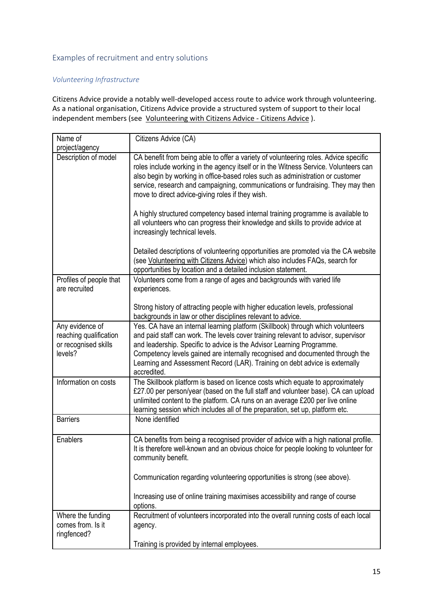#### <span id="page-15-0"></span>Examples of recruitment and entry solutions

#### *Volunteering Infrastructure*

Citizens Advice provide a notably well-developed access route to advice work through volunteering. As a national organisation, Citizens Advice provide a structured system of support to their local independent members (see [Volunteering with Citizens Advice -](https://www.citizensadvice.org.uk/about-us/support-us/volunteering/) Citizens Advice ).

| Name of<br>project/agency                                                    | Citizens Advice (CA)                                                                                                                                                                                                                                                                                                                                                                                                          |
|------------------------------------------------------------------------------|-------------------------------------------------------------------------------------------------------------------------------------------------------------------------------------------------------------------------------------------------------------------------------------------------------------------------------------------------------------------------------------------------------------------------------|
| Description of model                                                         | CA benefit from being able to offer a variety of volunteering roles. Advice specific<br>roles include working in the agency itself or in the Witness Service. Volunteers can<br>also begin by working in office-based roles such as administration or customer<br>service, research and campaigning, communications or fundraising. They may then<br>move to direct advice-giving roles if they wish.                         |
|                                                                              | A highly structured competency based internal training programme is available to<br>all volunteers who can progress their knowledge and skills to provide advice at<br>increasingly technical levels.                                                                                                                                                                                                                         |
|                                                                              | Detailed descriptions of volunteering opportunities are promoted via the CA website<br>(see Volunteering with Citizens Advice) which also includes FAQs, search for<br>opportunities by location and a detailed inclusion statement.                                                                                                                                                                                          |
| Profiles of people that<br>are recruited                                     | Volunteers come from a range of ages and backgrounds with varied life<br>experiences.                                                                                                                                                                                                                                                                                                                                         |
|                                                                              | Strong history of attracting people with higher education levels, professional<br>backgrounds in law or other disciplines relevant to advice.                                                                                                                                                                                                                                                                                 |
| Any evidence of<br>reaching qualification<br>or recognised skills<br>levels? | Yes. CA have an internal learning platform (Skillbook) through which volunteers<br>and paid staff can work. The levels cover training relevant to advisor, supervisor<br>and leadership. Specific to advice is the Advisor Learning Programme.<br>Competency levels gained are internally recognised and documented through the<br>Learning and Assessment Record (LAR). Training on debt advice is externally<br>accredited. |
| Information on costs                                                         | The Skillbook platform is based on licence costs which equate to approximately<br>£27.00 per person/year (based on the full staff and volunteer base). CA can upload<br>unlimited content to the platform. CA runs on an average £200 per live online<br>learning session which includes all of the preparation, set up, platform etc.                                                                                        |
| <b>Barriers</b>                                                              | None identified                                                                                                                                                                                                                                                                                                                                                                                                               |
| <b>Enablers</b>                                                              | CA benefits from being a recognised provider of advice with a high national profile.<br>It is therefore well-known and an obvious choice for people looking to volunteer for<br>community benefit.                                                                                                                                                                                                                            |
|                                                                              | Communication regarding volunteering opportunities is strong (see above).                                                                                                                                                                                                                                                                                                                                                     |
|                                                                              | Increasing use of online training maximises accessibility and range of course<br>options.                                                                                                                                                                                                                                                                                                                                     |
| Where the funding<br>comes from. Is it<br>ringfenced?                        | Recruitment of volunteers incorporated into the overall running costs of each local<br>agency.                                                                                                                                                                                                                                                                                                                                |
|                                                                              | Training is provided by internal employees.                                                                                                                                                                                                                                                                                                                                                                                   |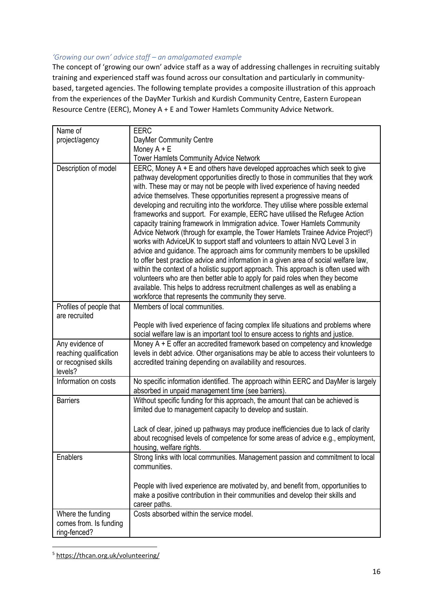#### *'Growing our own' advice staff – an amalgamated example*

The concept of 'growing our own' advice staff as a way of addressing challenges in recruiting suitably training and experienced staff was found across our consultation and particularly in communitybased, targeted agencies. The following template provides a composite illustration of this approach from the experiences of the DayMer Turkish and Kurdish Community Centre, Eastern European Resource Centre (EERC), Money A + E and Tower Hamlets Community Advice Network.

| Name of                                                                      | <b>EERC</b>                                                                                                                                                                                                                                                                                                                                                                                                                                                                                                                                                                                                                                                                                                                                                                                                                                                                                                                                                                                                                                                                                                                                                                                                                                       |  |  |
|------------------------------------------------------------------------------|---------------------------------------------------------------------------------------------------------------------------------------------------------------------------------------------------------------------------------------------------------------------------------------------------------------------------------------------------------------------------------------------------------------------------------------------------------------------------------------------------------------------------------------------------------------------------------------------------------------------------------------------------------------------------------------------------------------------------------------------------------------------------------------------------------------------------------------------------------------------------------------------------------------------------------------------------------------------------------------------------------------------------------------------------------------------------------------------------------------------------------------------------------------------------------------------------------------------------------------------------|--|--|
| project/agency                                                               | DayMer Community Centre                                                                                                                                                                                                                                                                                                                                                                                                                                                                                                                                                                                                                                                                                                                                                                                                                                                                                                                                                                                                                                                                                                                                                                                                                           |  |  |
|                                                                              | Money A + E                                                                                                                                                                                                                                                                                                                                                                                                                                                                                                                                                                                                                                                                                                                                                                                                                                                                                                                                                                                                                                                                                                                                                                                                                                       |  |  |
|                                                                              | Tower Hamlets Community Advice Network                                                                                                                                                                                                                                                                                                                                                                                                                                                                                                                                                                                                                                                                                                                                                                                                                                                                                                                                                                                                                                                                                                                                                                                                            |  |  |
| Description of model                                                         | EERC, Money A + E and others have developed approaches which seek to give<br>pathway development opportunities directly to those in communities that they work<br>with. These may or may not be people with lived experience of having needed<br>advice themselves. These opportunities represent a progressive means of<br>developing and recruiting into the workforce. They utilise where possible external<br>frameworks and support. For example, EERC have utilised the Refugee Action<br>capacity training framework in Immigration advice. Tower Hamlets Community<br>Advice Network (through for example, the Tower Hamlets Trainee Advice Project <sup>5</sup> )<br>works with AdviceUK to support staff and volunteers to attain NVQ Level 3 in<br>advice and guidance. The approach aims for community members to be upskilled<br>to offer best practice advice and information in a given area of social welfare law,<br>within the context of a holistic support approach. This approach is often used with<br>volunteers who are then better able to apply for paid roles when they become<br>available. This helps to address recruitment challenges as well as enabling a<br>workforce that represents the community they serve. |  |  |
| Profiles of people that<br>are recruited                                     | Members of local communities.                                                                                                                                                                                                                                                                                                                                                                                                                                                                                                                                                                                                                                                                                                                                                                                                                                                                                                                                                                                                                                                                                                                                                                                                                     |  |  |
|                                                                              | People with lived experience of facing complex life situations and problems where<br>social welfare law is an important tool to ensure access to rights and justice.                                                                                                                                                                                                                                                                                                                                                                                                                                                                                                                                                                                                                                                                                                                                                                                                                                                                                                                                                                                                                                                                              |  |  |
| Any evidence of<br>reaching qualification<br>or recognised skills<br>levels? | Money $A + E$ offer an accredited framework based on competency and knowledge<br>levels in debt advice. Other organisations may be able to access their volunteers to<br>accredited training depending on availability and resources.                                                                                                                                                                                                                                                                                                                                                                                                                                                                                                                                                                                                                                                                                                                                                                                                                                                                                                                                                                                                             |  |  |
| Information on costs                                                         | No specific information identified. The approach within EERC and DayMer is largely<br>absorbed in unpaid management time (see barriers).                                                                                                                                                                                                                                                                                                                                                                                                                                                                                                                                                                                                                                                                                                                                                                                                                                                                                                                                                                                                                                                                                                          |  |  |
| <b>Barriers</b>                                                              | Without specific funding for this approach, the amount that can be achieved is<br>limited due to management capacity to develop and sustain.                                                                                                                                                                                                                                                                                                                                                                                                                                                                                                                                                                                                                                                                                                                                                                                                                                                                                                                                                                                                                                                                                                      |  |  |
|                                                                              | Lack of clear, joined up pathways may produce inefficiencies due to lack of clarity<br>about recognised levels of competence for some areas of advice e.g., employment,<br>housing, welfare rights.                                                                                                                                                                                                                                                                                                                                                                                                                                                                                                                                                                                                                                                                                                                                                                                                                                                                                                                                                                                                                                               |  |  |
| Enablers                                                                     | Strong links with local communities. Management passion and commitment to local<br>communities.                                                                                                                                                                                                                                                                                                                                                                                                                                                                                                                                                                                                                                                                                                                                                                                                                                                                                                                                                                                                                                                                                                                                                   |  |  |
|                                                                              | People with lived experience are motivated by, and benefit from, opportunities to<br>make a positive contribution in their communities and develop their skills and<br>career paths.                                                                                                                                                                                                                                                                                                                                                                                                                                                                                                                                                                                                                                                                                                                                                                                                                                                                                                                                                                                                                                                              |  |  |
| Where the funding                                                            | Costs absorbed within the service model.                                                                                                                                                                                                                                                                                                                                                                                                                                                                                                                                                                                                                                                                                                                                                                                                                                                                                                                                                                                                                                                                                                                                                                                                          |  |  |
| comes from. Is funding                                                       |                                                                                                                                                                                                                                                                                                                                                                                                                                                                                                                                                                                                                                                                                                                                                                                                                                                                                                                                                                                                                                                                                                                                                                                                                                                   |  |  |
| ring-fenced?                                                                 |                                                                                                                                                                                                                                                                                                                                                                                                                                                                                                                                                                                                                                                                                                                                                                                                                                                                                                                                                                                                                                                                                                                                                                                                                                                   |  |  |

<sup>5</sup> <https://thcan.org.uk/volunteering/>

**.**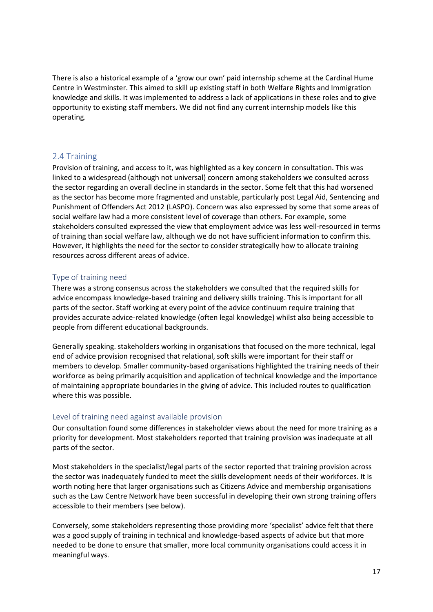There is also a historical example of a 'grow our own' paid internship scheme at the Cardinal Hume Centre in Westminster. This aimed to skill up existing staff in both Welfare Rights and Immigration knowledge and skills. It was implemented to address a lack of applications in these roles and to give opportunity to existing staff members. We did not find any current internship models like this operating.

#### <span id="page-17-0"></span>2.4 Training

Provision of training, and access to it, was highlighted as a key concern in consultation. This was linked to a widespread (although not universal) concern among stakeholders we consulted across the sector regarding an overall decline in standards in the sector. Some felt that this had worsened as the sector has become more fragmented and unstable, particularly post Legal Aid, Sentencing and Punishment of Offenders Act 2012 (LASPO). Concern was also expressed by some that some areas of social welfare law had a more consistent level of coverage than others. For example, some stakeholders consulted expressed the view that employment advice was less well-resourced in terms of training than social welfare law, although we do not have sufficient information to confirm this. However, it highlights the need for the sector to consider strategically how to allocate training resources across different areas of advice.

#### <span id="page-17-1"></span>Type of training need

There was a strong consensus across the stakeholders we consulted that the required skills for advice encompass knowledge-based training and delivery skills training. This is important for all parts of the sector. Staff working at every point of the advice continuum require training that provides accurate advice-related knowledge (often legal knowledge) whilst also being accessible to people from different educational backgrounds.

Generally speaking. stakeholders working in organisations that focused on the more technical, legal end of advice provision recognised that relational, soft skills were important for their staff or members to develop. Smaller community-based organisations highlighted the training needs of their workforce as being primarily acquisition and application of technical knowledge and the importance of maintaining appropriate boundaries in the giving of advice. This included routes to qualification where this was possible.

#### <span id="page-17-2"></span>Level of training need against available provision

Our consultation found some differences in stakeholder views about the need for more training as a priority for development. Most stakeholders reported that training provision was inadequate at all parts of the sector.

Most stakeholders in the specialist/legal parts of the sector reported that training provision across the sector was inadequately funded to meet the skills development needs of their workforces. It is worth noting here that larger organisations such as Citizens Advice and membership organisations such as the Law Centre Network have been successful in developing their own strong training offers accessible to their members (see below).

Conversely, some stakeholders representing those providing more 'specialist' advice felt that there was a good supply of training in technical and knowledge-based aspects of advice but that more needed to be done to ensure that smaller, more local community organisations could access it in meaningful ways.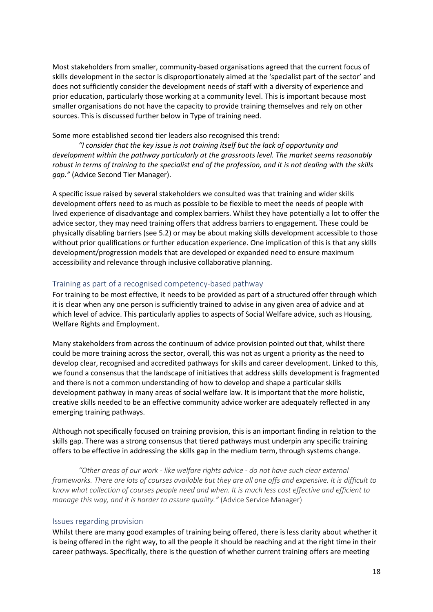Most stakeholders from smaller, community-based organisations agreed that the current focus of skills development in the sector is disproportionately aimed at the 'specialist part of the sector' and does not sufficiently consider the development needs of staff with a diversity of experience and prior education, particularly those working at a community level. This is important because most smaller organisations do not have the capacity to provide training themselves and rely on other sources. This is discussed further below in Type of training need.

Some more established second tier leaders also recognised this trend:

*"I consider that the key issue is not training itself but the lack of opportunity and development within the pathway particularly at the grassroots level. The market seems reasonably robust in terms of training to the specialist end of the profession, and it is not dealing with the skills gap."* (Advice Second Tier Manager).

A specific issue raised by several stakeholders we consulted was that training and wider skills development offers need to as much as possible to be flexible to meet the needs of people with lived experience of disadvantage and complex barriers. Whilst they have potentially a lot to offer the advice sector, they may need training offers that address barriers to engagement. These could be physically disabling barriers (see 5.2) or may be about making skills development accessible to those without prior qualifications or further education experience. One implication of this is that any skills development/progression models that are developed or expanded need to ensure maximum accessibility and relevance through inclusive collaborative planning.

#### <span id="page-18-0"></span>Training as part of a recognised competency-based pathway

For training to be most effective, it needs to be provided as part of a structured offer through which it is clear when any one person is sufficiently trained to advise in any given area of advice and at which level of advice. This particularly applies to aspects of Social Welfare advice, such as Housing, Welfare Rights and Employment.

Many stakeholders from across the continuum of advice provision pointed out that, whilst there could be more training across the sector, overall, this was not as urgent a priority as the need to develop clear, recognised and accredited pathways for skills and career development. Linked to this, we found a consensus that the landscape of initiatives that address skills development is fragmented and there is not a common understanding of how to develop and shape a particular skills development pathway in many areas of social welfare law. It is important that the more holistic, creative skills needed to be an effective community advice worker are adequately reflected in any emerging training pathways.

Although not specifically focused on training provision, this is an important finding in relation to the skills gap. There was a strong consensus that tiered pathways must underpin any specific training offers to be effective in addressing the skills gap in the medium term, through systems change.

*"Other areas of our work - like welfare rights advice - do not have such clear external frameworks. There are lots of courses available but they are all one offs and expensive. It is difficult to know what collection of courses people need and when. It is much less cost effective and efficient to manage this way, and it is harder to assure quality."* (Advice Service Manager)

#### <span id="page-18-1"></span>Issues regarding provision

Whilst there are many good examples of training being offered, there is less clarity about whether it is being offered in the right way, to all the people it should be reaching and at the right time in their career pathways. Specifically, there is the question of whether current training offers are meeting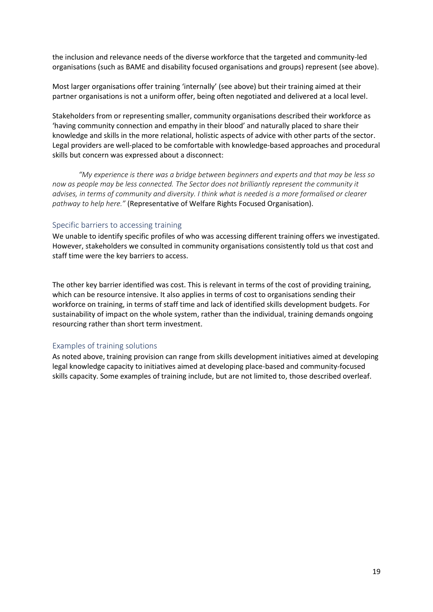the inclusion and relevance needs of the diverse workforce that the targeted and community-led organisations (such as BAME and disability focused organisations and groups) represent (see above).

Most larger organisations offer training 'internally' (see above) but their training aimed at their partner organisations is not a uniform offer, being often negotiated and delivered at a local level.

Stakeholders from or representing smaller, community organisations described their workforce as 'having community connection and empathy in their blood' and naturally placed to share their knowledge and skills in the more relational, holistic aspects of advice with other parts of the sector. Legal providers are well-placed to be comfortable with knowledge-based approaches and procedural skills but concern was expressed about a disconnect:

*"My experience is there was a bridge between beginners and experts and that may be less so now as people may be less connected. The Sector does not brilliantly represent the community it advises, in terms of community and diversity. I think what is needed is a more formalised or clearer pathway to help here."* (Representative of Welfare Rights Focused Organisation).

#### <span id="page-19-0"></span>Specific barriers to accessing training

We unable to identify specific profiles of who was accessing different training offers we investigated. However, stakeholders we consulted in community organisations consistently told us that cost and staff time were the key barriers to access.

The other key barrier identified was cost. This is relevant in terms of the cost of providing training, which can be resource intensive. It also applies in terms of cost to organisations sending their workforce on training, in terms of staff time and lack of identified skills development budgets. For sustainability of impact on the whole system, rather than the individual, training demands ongoing resourcing rather than short term investment.

#### <span id="page-19-1"></span>Examples of training solutions

As noted above, training provision can range from skills development initiatives aimed at developing legal knowledge capacity to initiatives aimed at developing place-based and community-focused skills capacity. Some examples of training include, but are not limited to, those described overleaf.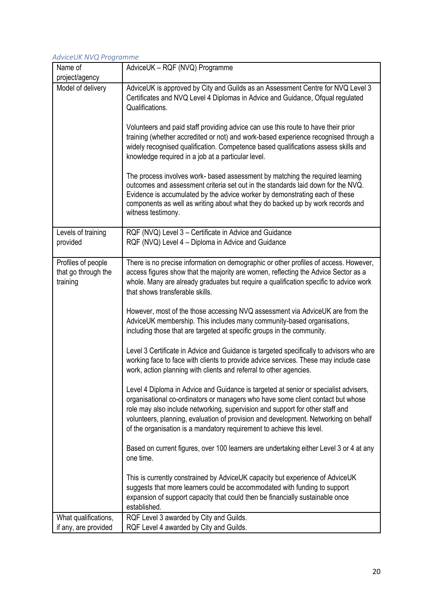#### *AdviceUK NVQ Programme*

| Name of                                               | AdviceUK - RQF (NVQ) Programme                                                                                                                                                                                                                                                                                                                                                                                                                                                                                                                                                                                                                                                                                                                                                                                                                                                                                                                                                                                                                                                                                                                                                                                                                                                                                                                                                                                                                                                                                                                                                                         |
|-------------------------------------------------------|--------------------------------------------------------------------------------------------------------------------------------------------------------------------------------------------------------------------------------------------------------------------------------------------------------------------------------------------------------------------------------------------------------------------------------------------------------------------------------------------------------------------------------------------------------------------------------------------------------------------------------------------------------------------------------------------------------------------------------------------------------------------------------------------------------------------------------------------------------------------------------------------------------------------------------------------------------------------------------------------------------------------------------------------------------------------------------------------------------------------------------------------------------------------------------------------------------------------------------------------------------------------------------------------------------------------------------------------------------------------------------------------------------------------------------------------------------------------------------------------------------------------------------------------------------------------------------------------------------|
| project/agency                                        |                                                                                                                                                                                                                                                                                                                                                                                                                                                                                                                                                                                                                                                                                                                                                                                                                                                                                                                                                                                                                                                                                                                                                                                                                                                                                                                                                                                                                                                                                                                                                                                                        |
| Model of delivery                                     | AdviceUK is approved by City and Guilds as an Assessment Centre for NVQ Level 3<br>Certificates and NVQ Level 4 Diplomas in Advice and Guidance, Ofqual regulated<br>Qualifications.<br>Volunteers and paid staff providing advice can use this route to have their prior<br>training (whether accredited or not) and work-based experience recognised through a<br>widely recognised qualification. Competence based qualifications assess skills and<br>knowledge required in a job at a particular level.<br>The process involves work- based assessment by matching the required learning<br>outcomes and assessment criteria set out in the standards laid down for the NVQ.<br>Evidence is accumulated by the advice worker by demonstrating each of these<br>components as well as writing about what they do backed up by work records and<br>witness testimony.                                                                                                                                                                                                                                                                                                                                                                                                                                                                                                                                                                                                                                                                                                                               |
| Levels of training<br>provided                        | RQF (NVQ) Level 3 - Certificate in Advice and Guidance<br>RQF (NVQ) Level 4 – Diploma in Advice and Guidance                                                                                                                                                                                                                                                                                                                                                                                                                                                                                                                                                                                                                                                                                                                                                                                                                                                                                                                                                                                                                                                                                                                                                                                                                                                                                                                                                                                                                                                                                           |
| Profiles of people<br>that go through the<br>training | There is no precise information on demographic or other profiles of access. However,<br>access figures show that the majority are women, reflecting the Advice Sector as a<br>whole. Many are already graduates but require a qualification specific to advice work<br>that shows transferable skills.<br>However, most of the those accessing NVQ assessment via AdviceUK are from the<br>AdviceUK membership. This includes many community-based organisations,<br>including those that are targeted at specific groups in the community.<br>Level 3 Certificate in Advice and Guidance is targeted specifically to advisors who are<br>working face to face with clients to provide advice services. These may include case<br>work, action planning with clients and referral to other agencies.<br>Level 4 Diploma in Advice and Guidance is targeted at senior or specialist advisers,<br>organisational co-ordinators or managers who have some client contact but whose<br>role may also include networking, supervision and support for other staff and<br>volunteers, planning, evaluation of provision and development. Networking on behalf<br>of the organisation is a mandatory requirement to achieve this level.<br>Based on current figures, over 100 learners are undertaking either Level 3 or 4 at any<br>one time.<br>This is currently constrained by AdviceUK capacity but experience of AdviceUK<br>suggests that more learners could be accommodated with funding to support<br>expansion of support capacity that could then be financially sustainable once<br>established. |
| What qualifications,                                  | RQF Level 3 awarded by City and Guilds.                                                                                                                                                                                                                                                                                                                                                                                                                                                                                                                                                                                                                                                                                                                                                                                                                                                                                                                                                                                                                                                                                                                                                                                                                                                                                                                                                                                                                                                                                                                                                                |
| if any, are provided                                  | RQF Level 4 awarded by City and Guilds.                                                                                                                                                                                                                                                                                                                                                                                                                                                                                                                                                                                                                                                                                                                                                                                                                                                                                                                                                                                                                                                                                                                                                                                                                                                                                                                                                                                                                                                                                                                                                                |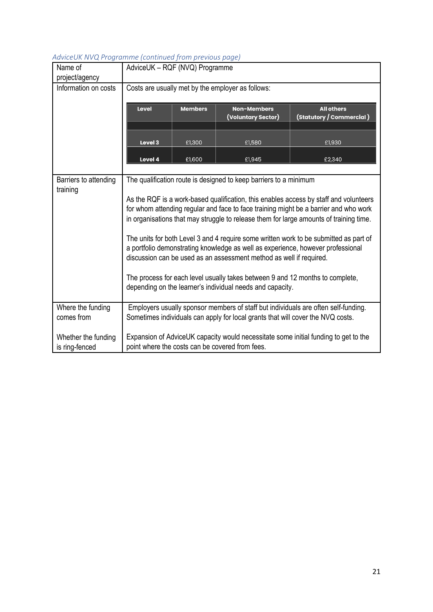| Name of<br>project/agency                                                                                                                                                                                                                       | AdviceUK - RQF (NVQ) Programme                                                                                                                                                                                                                                          |                |                                                                                                                                            |                                                                                    |
|-------------------------------------------------------------------------------------------------------------------------------------------------------------------------------------------------------------------------------------------------|-------------------------------------------------------------------------------------------------------------------------------------------------------------------------------------------------------------------------------------------------------------------------|----------------|--------------------------------------------------------------------------------------------------------------------------------------------|------------------------------------------------------------------------------------|
| Information on costs                                                                                                                                                                                                                            | Costs are usually met by the employer as follows:                                                                                                                                                                                                                       |                |                                                                                                                                            |                                                                                    |
|                                                                                                                                                                                                                                                 | Level                                                                                                                                                                                                                                                                   | <b>Members</b> | <b>Non-Members</b><br>(Voluntary Sector)                                                                                                   | <b>All others</b><br>(Statutory / Commercial )                                     |
|                                                                                                                                                                                                                                                 | Level 3                                                                                                                                                                                                                                                                 | £1,300         | £1,580                                                                                                                                     | £1,930                                                                             |
|                                                                                                                                                                                                                                                 | Level 4                                                                                                                                                                                                                                                                 | £1,600         | £1,945                                                                                                                                     | £2,340                                                                             |
|                                                                                                                                                                                                                                                 |                                                                                                                                                                                                                                                                         |                |                                                                                                                                            |                                                                                    |
| Barriers to attending<br>training                                                                                                                                                                                                               | The qualification route is designed to keep barriers to a minimum                                                                                                                                                                                                       |                |                                                                                                                                            |                                                                                    |
|                                                                                                                                                                                                                                                 | As the RQF is a work-based qualification, this enables access by staff and volunteers<br>for whom attending regular and face to face training might be a barrier and who work<br>in organisations that may struggle to release them for large amounts of training time. |                |                                                                                                                                            |                                                                                    |
| The units for both Level 3 and 4 require some written work to be submitted as part of<br>a portfolio demonstrating knowledge as well as experience, however professional<br>discussion can be used as an assessment method as well if required. |                                                                                                                                                                                                                                                                         |                |                                                                                                                                            |                                                                                    |
|                                                                                                                                                                                                                                                 |                                                                                                                                                                                                                                                                         |                | The process for each level usually takes between 9 and 12 months to complete,<br>depending on the learner's individual needs and capacity. |                                                                                    |
| Where the funding<br>comes from                                                                                                                                                                                                                 |                                                                                                                                                                                                                                                                         |                | Sometimes individuals can apply for local grants that will cover the NVQ costs.                                                            | Employers usually sponsor members of staff but individuals are often self-funding. |
| Whether the funding<br>is ring-fenced                                                                                                                                                                                                           | Expansion of AdviceUK capacity would necessitate some initial funding to get to the<br>point where the costs can be covered from fees.                                                                                                                                  |                |                                                                                                                                            |                                                                                    |

### *AdviceUK NVQ Programme (continued from previous page)*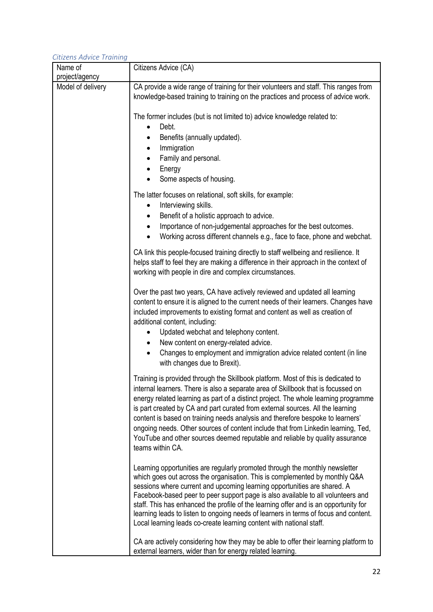| Citizens Advice Training            |                                                                                                                                                                                                                                                                                                                                                                                                                                                                                                                                                                                                                            |
|-------------------------------------|----------------------------------------------------------------------------------------------------------------------------------------------------------------------------------------------------------------------------------------------------------------------------------------------------------------------------------------------------------------------------------------------------------------------------------------------------------------------------------------------------------------------------------------------------------------------------------------------------------------------------|
| Name of                             | Citizens Advice (CA)                                                                                                                                                                                                                                                                                                                                                                                                                                                                                                                                                                                                       |
| project/agency<br>Model of delivery | CA provide a wide range of training for their volunteers and staff. This ranges from<br>knowledge-based training to training on the practices and process of advice work.                                                                                                                                                                                                                                                                                                                                                                                                                                                  |
|                                     | The former includes (but is not limited to) advice knowledge related to:<br>Debt.<br>$\bullet$                                                                                                                                                                                                                                                                                                                                                                                                                                                                                                                             |
|                                     | Benefits (annually updated).<br>$\bullet$                                                                                                                                                                                                                                                                                                                                                                                                                                                                                                                                                                                  |
|                                     | Immigration<br>$\bullet$<br>Family and personal.<br>$\bullet$                                                                                                                                                                                                                                                                                                                                                                                                                                                                                                                                                              |
|                                     | Energy<br>$\bullet$<br>Some aspects of housing.                                                                                                                                                                                                                                                                                                                                                                                                                                                                                                                                                                            |
|                                     | The latter focuses on relational, soft skills, for example:<br>Interviewing skills.<br>٠<br>Benefit of a holistic approach to advice.<br>$\bullet$<br>Importance of non-judgemental approaches for the best outcomes.<br>$\bullet$<br>Working across different channels e.g., face to face, phone and webchat.<br>$\bullet$                                                                                                                                                                                                                                                                                                |
|                                     | CA link this people-focused training directly to staff wellbeing and resilience. It<br>helps staff to feel they are making a difference in their approach in the context of<br>working with people in dire and complex circumstances.                                                                                                                                                                                                                                                                                                                                                                                      |
|                                     | Over the past two years, CA have actively reviewed and updated all learning<br>content to ensure it is aligned to the current needs of their learners. Changes have<br>included improvements to existing format and content as well as creation of<br>additional content, including:<br>Updated webchat and telephony content.<br>$\bullet$<br>New content on energy-related advice.<br>$\bullet$<br>Changes to employment and immigration advice related content (in line<br>$\bullet$<br>with changes due to Brexit).                                                                                                    |
|                                     | Training is provided through the Skillbook platform. Most of this is dedicated to<br>internal learners. There is also a separate area of Skillbook that is focussed on<br>energy related learning as part of a distinct project. The whole learning programme<br>is part created by CA and part curated from external sources. All the learning<br>content is based on training needs analysis and therefore bespoke to learners'<br>ongoing needs. Other sources of content include that from Linkedin learning, Ted,<br>YouTube and other sources deemed reputable and reliable by quality assurance<br>teams within CA. |
|                                     | Learning opportunities are regularly promoted through the monthly newsletter<br>which goes out across the organisation. This is complemented by monthly Q&A<br>sessions where current and upcoming learning opportunities are shared. A<br>Facebook-based peer to peer support page is also available to all volunteers and<br>staff. This has enhanced the profile of the learning offer and is an opportunity for<br>learning leads to listen to ongoing needs of learners in terms of focus and content.<br>Local learning leads co-create learning content with national staff.                                        |
|                                     | CA are actively considering how they may be able to offer their learning platform to<br>external learners, wider than for energy related learning.                                                                                                                                                                                                                                                                                                                                                                                                                                                                         |

# *Citizens Advice Training*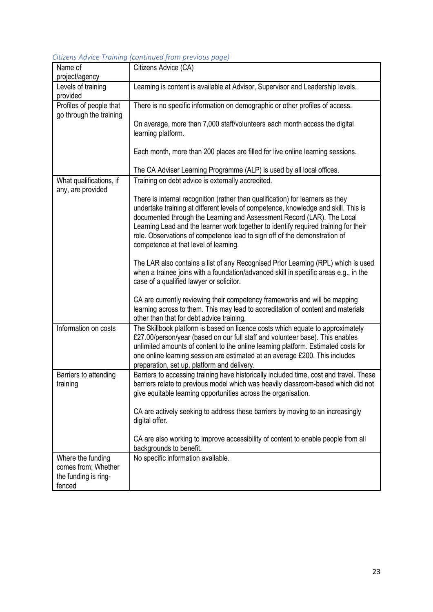|  | Citizens Advice Training (continued from previous page) |  |  |
|--|---------------------------------------------------------|--|--|
|  |                                                         |  |  |

| Name of                                                                    | Citizens Advice (CA)                                                                                                                                                                                                                                                                                                                                                                                                                                        |
|----------------------------------------------------------------------------|-------------------------------------------------------------------------------------------------------------------------------------------------------------------------------------------------------------------------------------------------------------------------------------------------------------------------------------------------------------------------------------------------------------------------------------------------------------|
| project/agency                                                             |                                                                                                                                                                                                                                                                                                                                                                                                                                                             |
| Levels of training<br>provided                                             | Learning is content is available at Advisor, Supervisor and Leadership levels.                                                                                                                                                                                                                                                                                                                                                                              |
| Profiles of people that                                                    | There is no specific information on demographic or other profiles of access.                                                                                                                                                                                                                                                                                                                                                                                |
| go through the training                                                    | On average, more than 7,000 staff/volunteers each month access the digital<br>learning platform.                                                                                                                                                                                                                                                                                                                                                            |
|                                                                            | Each month, more than 200 places are filled for live online learning sessions.                                                                                                                                                                                                                                                                                                                                                                              |
|                                                                            | The CA Adviser Learning Programme (ALP) is used by all local offices.                                                                                                                                                                                                                                                                                                                                                                                       |
| What qualifications, if<br>any, are provided                               | Training on debt advice is externally accredited.                                                                                                                                                                                                                                                                                                                                                                                                           |
|                                                                            | There is internal recognition (rather than qualification) for learners as they<br>undertake training at different levels of competence, knowledge and skill. This is<br>documented through the Learning and Assessment Record (LAR). The Local<br>Learning Lead and the learner work together to identify required training for their<br>role. Observations of competence lead to sign off of the demonstration of<br>competence at that level of learning. |
|                                                                            | The LAR also contains a list of any Recognised Prior Learning (RPL) which is used<br>when a trainee joins with a foundation/advanced skill in specific areas e.g., in the<br>case of a qualified lawyer or solicitor.                                                                                                                                                                                                                                       |
|                                                                            | CA are currently reviewing their competency frameworks and will be mapping<br>learning across to them. This may lead to accreditation of content and materials<br>other than that for debt advice training.                                                                                                                                                                                                                                                 |
| Information on costs                                                       | The Skillbook platform is based on licence costs which equate to approximately<br>£27.00/person/year (based on our full staff and volunteer base). This enables<br>unlimited amounts of content to the online learning platform. Estimated costs for<br>one online learning session are estimated at an average £200. This includes<br>preparation, set up, platform and delivery.                                                                          |
| Barriers to attending<br>training                                          | Barriers to accessing training have historically included time, cost and travel. These<br>barriers relate to previous model which was heavily classroom-based which did not<br>give equitable learning opportunities across the organisation.                                                                                                                                                                                                               |
|                                                                            | CA are actively seeking to address these barriers by moving to an increasingly<br>digital offer.                                                                                                                                                                                                                                                                                                                                                            |
|                                                                            | CA are also working to improve accessibility of content to enable people from all<br>backgrounds to benefit.                                                                                                                                                                                                                                                                                                                                                |
| Where the funding<br>comes from; Whether<br>the funding is ring-<br>fenced | No specific information available.                                                                                                                                                                                                                                                                                                                                                                                                                          |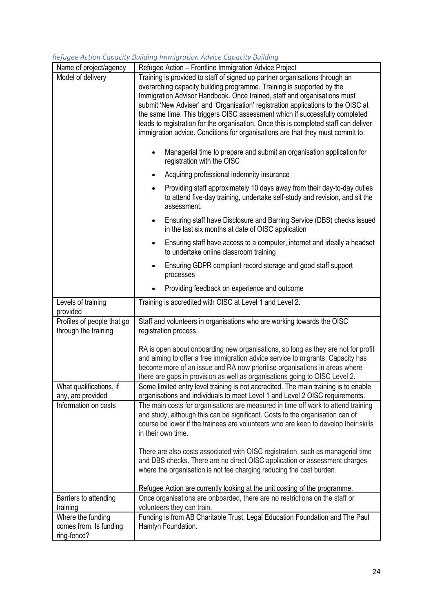#### Name of project/agency | Refugee Action – Frontline Immigration Advice Project Model of delivery Training is provided to staff of signed up partner organisations through an overarching capacity building programme. Training is supported by the Immigration Advisor Handbook. Once trained, staff and organisations must submit 'New Adviser' and 'Organisation' registration applications to the OISC at the same time. This triggers OISC assessment which if successfully completed leads to registration for the organisation. Once this is completed staff can deliver immigration advice. Conditions for organisations are that they must commit to: • Managerial time to prepare and submit an organisation application for registration with the OISC • Acquiring professional indemnity insurance • Providing staff approximately 10 days away from their day-to-day duties to attend five-day training, undertake self-study and revision, and sit the assessment. • Ensuring staff have Disclosure and Barring Service (DBS) checks issued in the last six months at date of OISC application • Ensuring staff have access to a computer, internet and ideally a headset to undertake online classroom training • Ensuring GDPR compliant record storage and good staff support processes • Providing feedback on experience and outcome Levels of training provided Training is accredited with OISC at Level 1 and Level 2. Profiles of people that go through the training Staff and volunteers in organisations who are working towards the OISC registration process. RA is open about onboarding new organisations, so long as they are not for profit and aiming to offer a free immigration advice service to migrants. Capacity has become more of an issue and RA now prioritise organisations in areas where there are gaps in provision as well as organisations going to OISC Level 2. What qualifications, if any, are provided Some limited entry level training is not accredited. The main training is to enable organisations and individuals to meet Level 1 and Level 2 OISC requirements. Information on costs The main costs for organisations are measured in time off work to attend training and study, although this can be significant. Costs to the organisation can of course be lower if the trainees are volunteers who are keen to develop their skills in their own time. There are also costs associated with OISC registration, such as managerial time and DBS checks. There are no direct OISC application or assessment charges where the organisation is not fee charging reducing the cost burden. Refugee Action are currently looking at the unit costing of the programme. Barriers to attending training Once organisations are onboarded, there are no restrictions on the staff or volunteers they can train. Where the funding comes from. Is funding ring-fencd? Funding is from AB Charitable Trust, Legal Education Foundation and The Paul Hamlyn Foundation.

#### *Refugee Action Capacity Building Immigration Advice Capacity Building*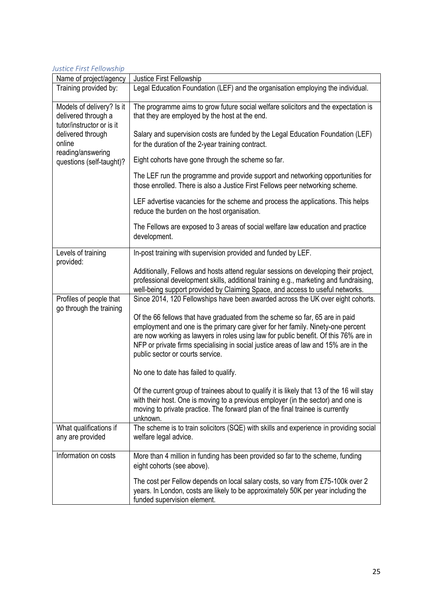### *Justice First Fellowship*

| Name of project/agency                                                        | Justice First Fellowship                                                                                                                                                                                                                                                                                                                                                           |
|-------------------------------------------------------------------------------|------------------------------------------------------------------------------------------------------------------------------------------------------------------------------------------------------------------------------------------------------------------------------------------------------------------------------------------------------------------------------------|
| Training provided by:                                                         | Legal Education Foundation (LEF) and the organisation employing the individual.                                                                                                                                                                                                                                                                                                    |
| Models of delivery? Is it<br>delivered through a<br>tutor/instructor or is it | The programme aims to grow future social welfare solicitors and the expectation is<br>that they are employed by the host at the end.                                                                                                                                                                                                                                               |
| delivered through<br>online                                                   | Salary and supervision costs are funded by the Legal Education Foundation (LEF)<br>for the duration of the 2-year training contract.                                                                                                                                                                                                                                               |
| reading/answering<br>questions (self-taught)?                                 | Eight cohorts have gone through the scheme so far.                                                                                                                                                                                                                                                                                                                                 |
|                                                                               | The LEF run the programme and provide support and networking opportunities for<br>those enrolled. There is also a Justice First Fellows peer networking scheme.                                                                                                                                                                                                                    |
|                                                                               | LEF advertise vacancies for the scheme and process the applications. This helps<br>reduce the burden on the host organisation.                                                                                                                                                                                                                                                     |
|                                                                               | The Fellows are exposed to 3 areas of social welfare law education and practice<br>development.                                                                                                                                                                                                                                                                                    |
| Levels of training<br>provided:                                               | In-post training with supervision provided and funded by LEF.                                                                                                                                                                                                                                                                                                                      |
|                                                                               | Additionally, Fellows and hosts attend regular sessions on developing their project,<br>professional development skills, additional training e.g., marketing and fundraising,<br>well-being support provided by Claiming Space, and access to useful networks.                                                                                                                     |
| Profiles of people that<br>go through the training                            | Since 2014, 120 Fellowships have been awarded across the UK over eight cohorts.                                                                                                                                                                                                                                                                                                    |
|                                                                               | Of the 66 fellows that have graduated from the scheme so far, 65 are in paid<br>employment and one is the primary care giver for her family. Ninety-one percent<br>are now working as lawyers in roles using law for public benefit. Of this 76% are in<br>NFP or private firms specialising in social justice areas of law and 15% are in the<br>public sector or courts service. |
|                                                                               | No one to date has failed to qualify.                                                                                                                                                                                                                                                                                                                                              |
|                                                                               | Of the current group of trainees about to qualify it is likely that 13 of the 16 will stay<br>with their host. One is moving to a previous employer (in the sector) and one is<br>moving to private practice. The forward plan of the final trainee is currently<br>unknown.                                                                                                       |
| What qualifications if<br>any are provided                                    | The scheme is to train solicitors (SQE) with skills and experience in providing social<br>welfare legal advice.                                                                                                                                                                                                                                                                    |
| Information on costs                                                          | More than 4 million in funding has been provided so far to the scheme, funding<br>eight cohorts (see above).                                                                                                                                                                                                                                                                       |
|                                                                               | The cost per Fellow depends on local salary costs, so vary from £75-100k over 2<br>years. In London, costs are likely to be approximately 50K per year including the<br>funded supervision element.                                                                                                                                                                                |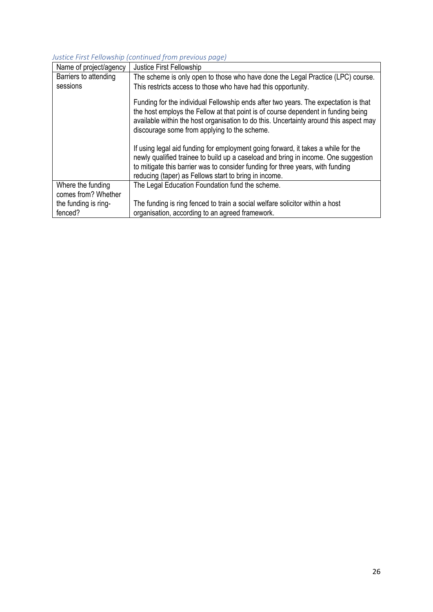# *Justice First Fellowship (continued from previous page)*

| Name of project/agency                   | Justice First Fellowship                                                                                                                                                                                                                                                                                           |
|------------------------------------------|--------------------------------------------------------------------------------------------------------------------------------------------------------------------------------------------------------------------------------------------------------------------------------------------------------------------|
| Barriers to attending                    | The scheme is only open to those who have done the Legal Practice (LPC) course.                                                                                                                                                                                                                                    |
| sessions                                 | This restricts access to those who have had this opportunity.                                                                                                                                                                                                                                                      |
|                                          | Funding for the individual Fellowship ends after two years. The expectation is that<br>the host employs the Fellow at that point is of course dependent in funding being<br>available within the host organisation to do this. Uncertainty around this aspect may<br>discourage some from applying to the scheme.  |
|                                          | If using legal aid funding for employment going forward, it takes a while for the<br>newly qualified trainee to build up a caseload and bring in income. One suggestion<br>to mitigate this barrier was to consider funding for three years, with funding<br>reducing (taper) as Fellows start to bring in income. |
| Where the funding<br>comes from? Whether | The Legal Education Foundation fund the scheme.                                                                                                                                                                                                                                                                    |
| the funding is ring-<br>fenced?          | The funding is ring fenced to train a social welfare solicitor within a host<br>organisation, according to an agreed framework.                                                                                                                                                                                    |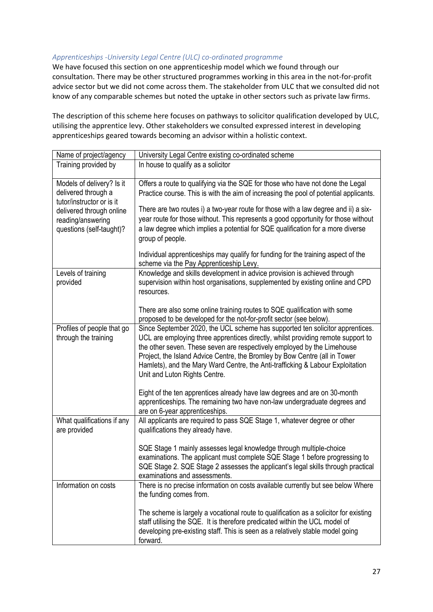#### *Apprenticeships -University Legal Centre (ULC) co-ordinated programme*

We have focused this section on one apprenticeship model which we found through our consultation. There may be other structured programmes working in this area in the not-for-profit advice sector but we did not come across them. The stakeholder from ULC that we consulted did not know of any comparable schemes but noted the uptake in other sectors such as private law firms.

The description of this scheme here focuses on pathways to solicitor qualification developed by ULC, utilising the apprentice levy. Other stakeholders we consulted expressed interest in developing apprenticeships geared towards becoming an advisor within a holistic context.

| Name of project/agency                                                        | University Legal Centre existing co-ordinated scheme                                                                                                                                                                                                                                                                                                                                                                                          |
|-------------------------------------------------------------------------------|-----------------------------------------------------------------------------------------------------------------------------------------------------------------------------------------------------------------------------------------------------------------------------------------------------------------------------------------------------------------------------------------------------------------------------------------------|
| Training provided by                                                          | In house to qualify as a solicitor                                                                                                                                                                                                                                                                                                                                                                                                            |
| Models of delivery? Is it<br>delivered through a<br>tutor/instructor or is it | Offers a route to qualifying via the SQE for those who have not done the Legal<br>Practice course. This is with the aim of increasing the pool of potential applicants.                                                                                                                                                                                                                                                                       |
| delivered through online<br>reading/answering<br>questions (self-taught)?     | There are two routes i) a two-year route for those with a law degree and ii) a six-<br>year route for those without. This represents a good opportunity for those without<br>a law degree which implies a potential for SQE qualification for a more diverse<br>group of people.                                                                                                                                                              |
|                                                                               | Individual apprenticeships may qualify for funding for the training aspect of the<br>scheme via the Pay Apprenticeship Levy.                                                                                                                                                                                                                                                                                                                  |
| Levels of training<br>provided                                                | Knowledge and skills development in advice provision is achieved through<br>supervision within host organisations, supplemented by existing online and CPD<br>resources.                                                                                                                                                                                                                                                                      |
|                                                                               | There are also some online training routes to SQE qualification with some<br>proposed to be developed for the not-for-profit sector (see below).                                                                                                                                                                                                                                                                                              |
| Profiles of people that go<br>through the training                            | Since September 2020, the UCL scheme has supported ten solicitor apprentices.<br>UCL are employing three apprentices directly, whilst providing remote support to<br>the other seven. These seven are respectively employed by the Limehouse<br>Project, the Island Advice Centre, the Bromley by Bow Centre (all in Tower<br>Hamlets), and the Mary Ward Centre, the Anti-trafficking & Labour Exploitation<br>Unit and Luton Rights Centre. |
|                                                                               | Eight of the ten apprentices already have law degrees and are on 30-month<br>apprenticeships. The remaining two have non-law undergraduate degrees and<br>are on 6-year apprenticeships.                                                                                                                                                                                                                                                      |
| What qualifications if any<br>are provided                                    | All applicants are required to pass SQE Stage 1, whatever degree or other<br>qualifications they already have.                                                                                                                                                                                                                                                                                                                                |
|                                                                               | SQE Stage 1 mainly assesses legal knowledge through multiple-choice<br>examinations. The applicant must complete SQE Stage 1 before progressing to<br>SQE Stage 2. SQE Stage 2 assesses the applicant's legal skills through practical<br>examinations and assessments.                                                                                                                                                                       |
| Information on costs                                                          | There is no precise information on costs available currently but see below Where<br>the funding comes from.                                                                                                                                                                                                                                                                                                                                   |
|                                                                               | The scheme is largely a vocational route to qualification as a solicitor for existing<br>staff utilising the SQE. It is therefore predicated within the UCL model of<br>developing pre-existing staff. This is seen as a relatively stable model going<br>forward.                                                                                                                                                                            |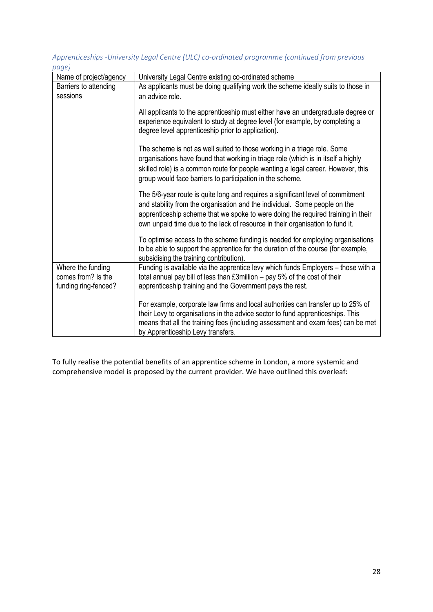### *Apprenticeships -University Legal Centre (ULC) co-ordinated programme (continued from previous page)*

| Name of project/agency                                          | University Legal Centre existing co-ordinated scheme                                                                                                                                                                                                                                                                               |
|-----------------------------------------------------------------|------------------------------------------------------------------------------------------------------------------------------------------------------------------------------------------------------------------------------------------------------------------------------------------------------------------------------------|
| Barriers to attending                                           | As applicants must be doing qualifying work the scheme ideally suits to those in                                                                                                                                                                                                                                                   |
| sessions                                                        | an advice role.                                                                                                                                                                                                                                                                                                                    |
|                                                                 |                                                                                                                                                                                                                                                                                                                                    |
|                                                                 | All applicants to the apprenticeship must either have an undergraduate degree or<br>experience equivalent to study at degree level (for example, by completing a<br>degree level apprenticeship prior to application).                                                                                                             |
|                                                                 | The scheme is not as well suited to those working in a triage role. Some<br>organisations have found that working in triage role (which is in itself a highly<br>skilled role) is a common route for people wanting a legal career. However, this<br>group would face barriers to participation in the scheme.                     |
|                                                                 | The 5/6-year route is quite long and requires a significant level of commitment<br>and stability from the organisation and the individual. Some people on the<br>apprenticeship scheme that we spoke to were doing the required training in their<br>own unpaid time due to the lack of resource in their organisation to fund it. |
|                                                                 | To optimise access to the scheme funding is needed for employing organisations<br>to be able to support the apprentice for the duration of the course (for example,<br>subsidising the training contribution).                                                                                                                     |
| Where the funding<br>comes from? Is the<br>funding ring-fenced? | Funding is available via the apprentice levy which funds Employers - those with a<br>total annual pay bill of less than $£3$ million $-$ pay 5% of the cost of their<br>apprenticeship training and the Government pays the rest.                                                                                                  |
|                                                                 | For example, corporate law firms and local authorities can transfer up to 25% of<br>their Levy to organisations in the advice sector to fund apprenticeships. This<br>means that all the training fees (including assessment and exam fees) can be met<br>by Apprenticeship Levy transfers.                                        |

To fully realise the potential benefits of an apprentice scheme in London, a more systemic and comprehensive model is proposed by the current provider. We have outlined this overleaf: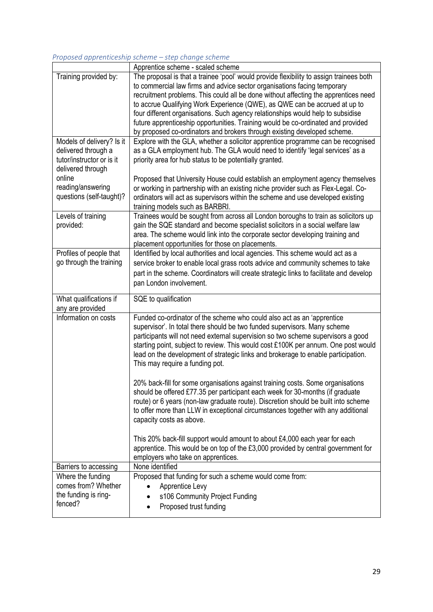#### *Proposed apprenticeship scheme – step change scheme*

|                           | Apprentice scheme - scaled scheme                                                                                                                               |
|---------------------------|-----------------------------------------------------------------------------------------------------------------------------------------------------------------|
| Training provided by:     | The proposal is that a trainee 'pool' would provide flexibility to assign trainees both                                                                         |
|                           | to commercial law firms and advice sector organisations facing temporary                                                                                        |
|                           | recruitment problems. This could all be done without affecting the apprentices need                                                                             |
|                           | to accrue Qualifying Work Experience (QWE), as QWE can be accrued at up to                                                                                      |
|                           | four different organisations. Such agency relationships would help to subsidise                                                                                 |
|                           | future apprenticeship opportunities. Training would be co-ordinated and provided                                                                                |
|                           | by proposed co-ordinators and brokers through existing developed scheme.                                                                                        |
| Models of delivery? Is it | Explore with the GLA, whether a solicitor apprentice programme can be recognised                                                                                |
| delivered through a       | as a GLA employment hub. The GLA would need to identify 'legal services' as a                                                                                   |
| tutor/instructor or is it | priority area for hub status to be potentially granted.                                                                                                         |
| delivered through         |                                                                                                                                                                 |
| online                    | Proposed that University House could establish an employment agency themselves                                                                                  |
| reading/answering         | or working in partnership with an existing niche provider such as Flex-Legal. Co-                                                                               |
| questions (self-taught)?  | ordinators will act as supervisors within the scheme and use developed existing                                                                                 |
|                           | training models such as BARBRI.                                                                                                                                 |
| Levels of training        | Trainees would be sought from across all London boroughs to train as solicitors up                                                                              |
| provided:                 | gain the SQE standard and become specialist solicitors in a social welfare law                                                                                  |
|                           | area. The scheme would link into the corporate sector developing training and                                                                                   |
|                           | placement opportunities for those on placements.                                                                                                                |
| Profiles of people that   | Identified by local authorities and local agencies. This scheme would act as a                                                                                  |
| go through the training   | service broker to enable local grass roots advice and community schemes to take                                                                                 |
|                           | part in the scheme. Coordinators will create strategic links to facilitate and develop                                                                          |
|                           | pan London involvement.                                                                                                                                         |
|                           |                                                                                                                                                                 |
| What qualifications if    | SQE to qualification                                                                                                                                            |
|                           |                                                                                                                                                                 |
| any are provided          |                                                                                                                                                                 |
| Information on costs      | Funded co-ordinator of the scheme who could also act as an 'apprentice                                                                                          |
|                           | supervisor'. In total there should be two funded supervisors. Many scheme                                                                                       |
|                           | participants will not need external supervision so two scheme supervisors a good                                                                                |
|                           | starting point, subject to review. This would cost £100K per annum. One post would                                                                              |
|                           | lead on the development of strategic links and brokerage to enable participation.                                                                               |
|                           | This may require a funding pot.                                                                                                                                 |
|                           |                                                                                                                                                                 |
|                           | 20% back-fill for some organisations against training costs. Some organisations                                                                                 |
|                           | should be offered £77.35 per participant each week for 30-months (if graduate                                                                                   |
|                           | route) or 6 years (non-law graduate route). Discretion should be built into scheme                                                                              |
|                           | to offer more than LLW in exceptional circumstances together with any additional                                                                                |
|                           | capacity costs as above.                                                                                                                                        |
|                           |                                                                                                                                                                 |
|                           |                                                                                                                                                                 |
|                           | This 20% back-fill support would amount to about £4,000 each year for each<br>apprentice. This would be on top of the £3,000 provided by central government for |
|                           | employers who take on apprentices.                                                                                                                              |
| Barriers to accessing     | None identified                                                                                                                                                 |
| Where the funding         | Proposed that funding for such a scheme would come from:                                                                                                        |
| comes from? Whether       | Apprentice Levy                                                                                                                                                 |
| the funding is ring-      |                                                                                                                                                                 |
| fenced?                   | s106 Community Project Funding<br>Proposed trust funding                                                                                                        |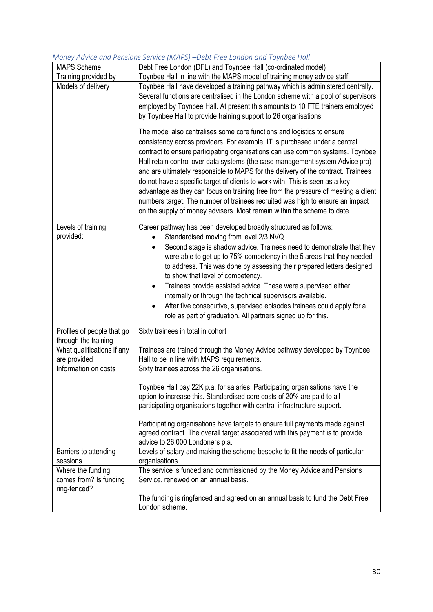| <b>MAPS Scheme</b>         | Debt Free London (DFL) and Toynbee Hall (co-ordinated model)                                                                                         |
|----------------------------|------------------------------------------------------------------------------------------------------------------------------------------------------|
| Training provided by       | Toynbee Hall in line with the MAPS model of training money advice staff.                                                                             |
| Models of delivery         | Toynbee Hall have developed a training pathway which is administered centrally.                                                                      |
|                            | Several functions are centralised in the London scheme with a pool of supervisors                                                                    |
|                            | employed by Toynbee Hall. At present this amounts to 10 FTE trainers employed                                                                        |
|                            | by Toynbee Hall to provide training support to 26 organisations.                                                                                     |
|                            |                                                                                                                                                      |
|                            | The model also centralises some core functions and logistics to ensure                                                                               |
|                            | consistency across providers. For example, IT is purchased under a central                                                                           |
|                            | contract to ensure participating organisations can use common systems. Toynbee                                                                       |
|                            | Hall retain control over data systems (the case management system Advice pro)                                                                        |
|                            | and are ultimately responsible to MAPS for the delivery of the contract. Trainees                                                                    |
|                            | do not have a specific target of clients to work with. This is seen as a key                                                                         |
|                            | advantage as they can focus on training free from the pressure of meeting a client                                                                   |
|                            | numbers target. The number of trainees recruited was high to ensure an impact                                                                        |
|                            | on the supply of money advisers. Most remain within the scheme to date.                                                                              |
| Levels of training         | Career pathway has been developed broadly structured as follows:                                                                                     |
| provided:                  | Standardised moving from level 2/3 NVQ                                                                                                               |
|                            | Second stage is shadow advice. Trainees need to demonstrate that they                                                                                |
|                            | were able to get up to 75% competency in the 5 areas that they needed                                                                                |
|                            | to address. This was done by assessing their prepared letters designed                                                                               |
|                            | to show that level of competency.                                                                                                                    |
|                            | Trainees provide assisted advice. These were supervised either                                                                                       |
|                            | internally or through the technical supervisors available.                                                                                           |
|                            | After five consecutive, supervised episodes trainees could apply for a                                                                               |
|                            | role as part of graduation. All partners signed up for this.                                                                                         |
| Profiles of people that go | Sixty trainees in total in cohort                                                                                                                    |
| through the training       |                                                                                                                                                      |
| What qualifications if any | Trainees are trained through the Money Advice pathway developed by Toynbee                                                                           |
| are provided               | Hall to be in line with MAPS requirements.                                                                                                           |
| Information on costs       | Sixty trainees across the 26 organisations.                                                                                                          |
|                            |                                                                                                                                                      |
|                            | Toynbee Hall pay 22K p.a. for salaries. Participating organisations have the                                                                         |
|                            | option to increase this. Standardised core costs of 20% are paid to all<br>participating organisations together with central infrastructure support. |
|                            |                                                                                                                                                      |
|                            | Participating organisations have targets to ensure full payments made against                                                                        |
|                            | agreed contract. The overall target associated with this payment is to provide                                                                       |
|                            | advice to 26,000 Londoners p.a.                                                                                                                      |
| Barriers to attending      | Levels of salary and making the scheme bespoke to fit the needs of particular                                                                        |
| sessions                   | organisations.                                                                                                                                       |
| Where the funding          | The service is funded and commissioned by the Money Advice and Pensions                                                                              |
| comes from? Is funding     | Service, renewed on an annual basis.                                                                                                                 |
| ring-fenced?               |                                                                                                                                                      |
|                            | The funding is ringfenced and agreed on an annual basis to fund the Debt Free<br>London scheme.                                                      |
|                            |                                                                                                                                                      |

#### *Money Advice and Pensions Service (MAPS) –Debt Free London and Toynbee Hall*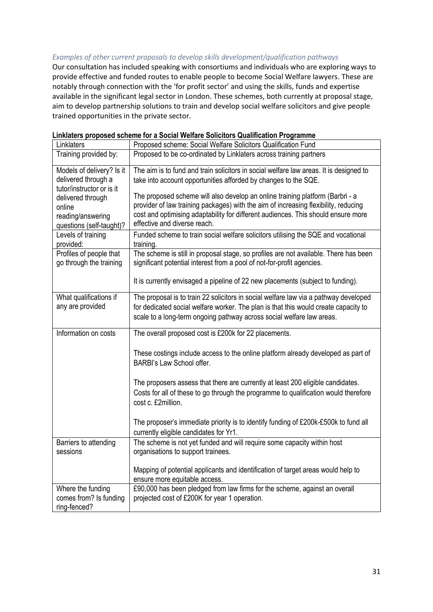#### *Examples of other current proposals to develop skills development/qualification pathways*

Our consultation has included speaking with consortiums and individuals who are exploring ways to provide effective and funded routes to enable people to become Social Welfare lawyers. These are notably through connection with the 'for profit sector' and using the skills, funds and expertise available in the significant legal sector in London. These schemes, both currently at proposal stage, aim to develop partnership solutions to train and develop social welfare solicitors and give people trained opportunities in the private sector.

| <b>ILINIULUI U PLUPUUU UULIU</b>     | $100$ to a boolul fromate bolloitoid gualinoution i rogramme                                                      |
|--------------------------------------|-------------------------------------------------------------------------------------------------------------------|
| Linklaters                           | Proposed scheme: Social Welfare Solicitors Qualification Fund                                                     |
| Training provided by:                | Proposed to be co-ordinated by Linklaters across training partners                                                |
| Models of delivery? Is it            | The aim is to fund and train solicitors in social welfare law areas. It is designed to                            |
| delivered through a                  | take into account opportunities afforded by changes to the SQE.                                                   |
| tutor/instructor or is it            |                                                                                                                   |
| delivered through                    | The proposed scheme will also develop an online training platform (Barbri - a                                     |
| online                               | provider of law training packages) with the aim of increasing flexibility, reducing                               |
| reading/answering                    | cost and optimising adaptability for different audiences. This should ensure more<br>effective and diverse reach. |
| questions (self-taught)?             |                                                                                                                   |
| Levels of training                   | Funded scheme to train social welfare solicitors utilising the SQE and vocational                                 |
| provided:<br>Profiles of people that | training.<br>The scheme is still in proposal stage, so profiles are not available. There has been                 |
| go through the training              | significant potential interest from a pool of not-for-profit agencies.                                            |
|                                      |                                                                                                                   |
|                                      | It is currently envisaged a pipeline of 22 new placements (subject to funding).                                   |
|                                      |                                                                                                                   |
| What qualifications if               | The proposal is to train 22 solicitors in social welfare law via a pathway developed                              |
| any are provided                     | for dedicated social welfare worker. The plan is that this would create capacity to                               |
|                                      | scale to a long-term ongoing pathway across social welfare law areas.                                             |
| Information on costs                 | The overall proposed cost is £200k for 22 placements.                                                             |
|                                      |                                                                                                                   |
|                                      | These costings include access to the online platform already developed as part of                                 |
|                                      | BARBI's Law School offer.                                                                                         |
|                                      |                                                                                                                   |
|                                      | The proposers assess that there are currently at least 200 eligible candidates.                                   |
|                                      | Costs for all of these to go through the programme to qualification would therefore                               |
|                                      | cost c. £2million.                                                                                                |
|                                      |                                                                                                                   |
|                                      | The proposer's immediate priority is to identify funding of £200k-£500k to fund all                               |
|                                      | currently eligible candidates for Yr1.                                                                            |
| Barriers to attending                | The scheme is not yet funded and will require some capacity within host                                           |
| sessions                             | organisations to support trainees.                                                                                |
|                                      |                                                                                                                   |
|                                      | Mapping of potential applicants and identification of target areas would help to                                  |
|                                      | ensure more equitable access.                                                                                     |
| Where the funding                    | £90,000 has been pledged from law firms for the scheme, against an overall                                        |
| comes from? Is funding               | projected cost of £200K for year 1 operation.                                                                     |
| ring-fenced?                         |                                                                                                                   |

#### **Linklaters proposed scheme for a Social Welfare Solicitors Qualification Programme**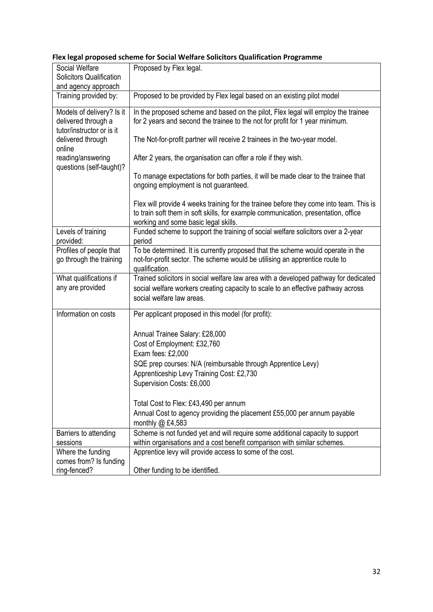| Social Welfare<br><b>Solicitors Qualification</b>                             | Proposed by Flex legal.                                                                                                                                                                                              |
|-------------------------------------------------------------------------------|----------------------------------------------------------------------------------------------------------------------------------------------------------------------------------------------------------------------|
| and agency approach                                                           |                                                                                                                                                                                                                      |
| Training provided by:                                                         | Proposed to be provided by Flex legal based on an existing pilot model                                                                                                                                               |
| Models of delivery? Is it<br>delivered through a<br>tutor/instructor or is it | In the proposed scheme and based on the pilot, Flex legal will employ the trainee<br>for 2 years and second the trainee to the not for profit for 1 year minimum.                                                    |
| delivered through<br>online                                                   | The Not-for-profit partner will receive 2 trainees in the two-year model.                                                                                                                                            |
| reading/answering<br>questions (self-taught)?                                 | After 2 years, the organisation can offer a role if they wish.                                                                                                                                                       |
|                                                                               | To manage expectations for both parties, it will be made clear to the trainee that<br>ongoing employment is not guaranteed.                                                                                          |
|                                                                               | Flex will provide 4 weeks training for the trainee before they come into team. This is<br>to train soft them in soft skills, for example communication, presentation, office<br>working and some basic legal skills. |
| Levels of training<br>provided:                                               | Funded scheme to support the training of social welfare solicitors over a 2-year<br>period                                                                                                                           |
| Profiles of people that<br>go through the training                            | To be determined. It is currently proposed that the scheme would operate in the<br>not-for-profit sector. The scheme would be utilising an apprentice route to<br>qualification.                                     |
| What qualifications if<br>any are provided                                    | Trained solicitors in social welfare law area with a developed pathway for dedicated<br>social welfare workers creating capacity to scale to an effective pathway across<br>social welfare law areas.                |
| Information on costs                                                          | Per applicant proposed in this model (for profit):                                                                                                                                                                   |
|                                                                               | Annual Trainee Salary: £28,000                                                                                                                                                                                       |
|                                                                               | Cost of Employment: £32,760                                                                                                                                                                                          |
|                                                                               | Exam fees: £2,000                                                                                                                                                                                                    |
|                                                                               | SQE prep courses: N/A (reimbursable through Apprentice Levy)                                                                                                                                                         |
|                                                                               | Apprenticeship Levy Training Cost: £2,730                                                                                                                                                                            |
|                                                                               | Supervision Costs: £6,000                                                                                                                                                                                            |
|                                                                               | Total Cost to Flex: £43,490 per annum                                                                                                                                                                                |
|                                                                               | Annual Cost to agency providing the placement £55,000 per annum payable<br>monthly $@$ £4,583                                                                                                                        |
| Barriers to attending<br>sessions                                             | Scheme is not funded yet and will require some additional capacity to support<br>within organisations and a cost benefit comparison with similar schemes.                                                            |
| Where the funding                                                             | Apprentice levy will provide access to some of the cost.                                                                                                                                                             |
| comes from? Is funding                                                        |                                                                                                                                                                                                                      |
| ring-fenced?                                                                  | Other funding to be identified.                                                                                                                                                                                      |

### **Flex legal proposed scheme for Social Welfare Solicitors Qualification Programme**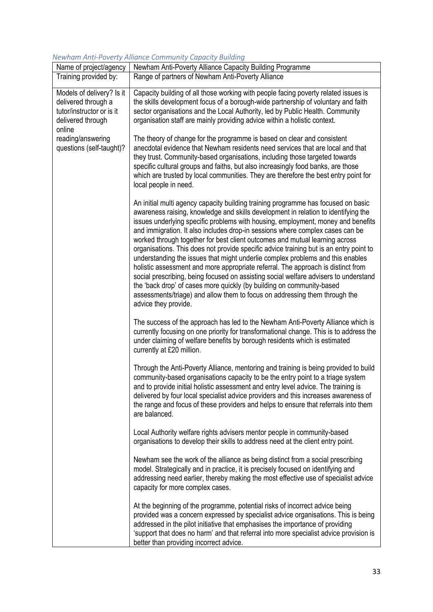### *Newham Anti-Poverty Alliance Community Capacity Building*

| Name of project/agency                                                                                                                                        | Newham Anti-Poverty Alliance Capacity Building Programme                                                                                                                                                                                                                                                                                                                                                                                                                                                                                                                                                                                                                                                                                                                                                                                                                                                                                                           |
|---------------------------------------------------------------------------------------------------------------------------------------------------------------|--------------------------------------------------------------------------------------------------------------------------------------------------------------------------------------------------------------------------------------------------------------------------------------------------------------------------------------------------------------------------------------------------------------------------------------------------------------------------------------------------------------------------------------------------------------------------------------------------------------------------------------------------------------------------------------------------------------------------------------------------------------------------------------------------------------------------------------------------------------------------------------------------------------------------------------------------------------------|
| Training provided by:                                                                                                                                         | Range of partners of Newham Anti-Poverty Alliance                                                                                                                                                                                                                                                                                                                                                                                                                                                                                                                                                                                                                                                                                                                                                                                                                                                                                                                  |
| Models of delivery? Is it<br>delivered through a<br>tutor/instructor or is it<br>delivered through<br>online<br>reading/answering<br>questions (self-taught)? | Capacity building of all those working with people facing poverty related issues is<br>the skills development focus of a borough-wide partnership of voluntary and faith<br>sector organisations and the Local Authority, led by Public Health. Community<br>organisation staff are mainly providing advice within a holistic context.                                                                                                                                                                                                                                                                                                                                                                                                                                                                                                                                                                                                                             |
|                                                                                                                                                               | The theory of change for the programme is based on clear and consistent<br>anecdotal evidence that Newham residents need services that are local and that<br>they trust. Community-based organisations, including those targeted towards<br>specific cultural groups and faiths, but also increasingly food banks, are those<br>which are trusted by local communities. They are therefore the best entry point for<br>local people in need.                                                                                                                                                                                                                                                                                                                                                                                                                                                                                                                       |
|                                                                                                                                                               | An initial multi agency capacity building training programme has focused on basic<br>awareness raising, knowledge and skills development in relation to identifying the<br>issues underlying specific problems with housing, employment, money and benefits<br>and immigration. It also includes drop-in sessions where complex cases can be<br>worked through together for best client outcomes and mutual learning across<br>organisations. This does not provide specific advice training but is an entry point to<br>understanding the issues that might underlie complex problems and this enables<br>holistic assessment and more appropriate referral. The approach is distinct from<br>social prescribing, being focused on assisting social welfare advisers to understand<br>the 'back drop' of cases more quickly (by building on community-based<br>assessments/triage) and allow them to focus on addressing them through the<br>advice they provide. |
|                                                                                                                                                               | The success of the approach has led to the Newham Anti-Poverty Alliance which is<br>currently focusing on one priority for transformational change. This is to address the<br>under claiming of welfare benefits by borough residents which is estimated<br>currently at £20 million.                                                                                                                                                                                                                                                                                                                                                                                                                                                                                                                                                                                                                                                                              |
|                                                                                                                                                               | Through the Anti-Poverty Alliance, mentoring and training is being provided to build<br>community-based organisations capacity to be the entry point to a triage system<br>and to provide initial holistic assessment and entry level advice. The training is<br>delivered by four local specialist advice providers and this increases awareness of<br>the range and focus of these providers and helps to ensure that referrals into them<br>are balanced.                                                                                                                                                                                                                                                                                                                                                                                                                                                                                                       |
|                                                                                                                                                               | Local Authority welfare rights advisers mentor people in community-based<br>organisations to develop their skills to address need at the client entry point.                                                                                                                                                                                                                                                                                                                                                                                                                                                                                                                                                                                                                                                                                                                                                                                                       |
|                                                                                                                                                               | Newham see the work of the alliance as being distinct from a social prescribing<br>model. Strategically and in practice, it is precisely focused on identifying and<br>addressing need earlier, thereby making the most effective use of specialist advice<br>capacity for more complex cases.                                                                                                                                                                                                                                                                                                                                                                                                                                                                                                                                                                                                                                                                     |
|                                                                                                                                                               | At the beginning of the programme, potential risks of incorrect advice being<br>provided was a concern expressed by specialist advice organisations. This is being<br>addressed in the pilot initiative that emphasises the importance of providing<br>'support that does no harm' and that referral into more specialist advice provision is<br>better than providing incorrect advice.                                                                                                                                                                                                                                                                                                                                                                                                                                                                                                                                                                           |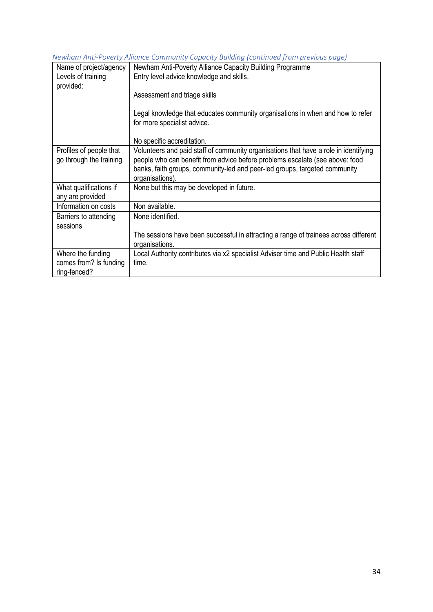*Newham Anti-Poverty Alliance Community Capacity Building (continued from previous page)*

| Name of project/agency  | Newham Anti-Poverty Alliance Capacity Building Programme                             |
|-------------------------|--------------------------------------------------------------------------------------|
| Levels of training      | Entry level advice knowledge and skills.                                             |
| provided:               |                                                                                      |
|                         | Assessment and triage skills                                                         |
|                         | Legal knowledge that educates community organisations in when and how to refer       |
|                         | for more specialist advice.                                                          |
|                         |                                                                                      |
|                         | No specific accreditation.                                                           |
| Profiles of people that | Volunteers and paid staff of community organisations that have a role in identifying |
| go through the training | people who can benefit from advice before problems escalate (see above: food         |
|                         | banks, faith groups, community-led and peer-led groups, targeted community           |
|                         | organisations).                                                                      |
|                         |                                                                                      |
| What qualifications if  | None but this may be developed in future.                                            |
| any are provided        |                                                                                      |
| Information on costs    | Non available.                                                                       |
| Barriers to attending   | None identified.                                                                     |
| sessions                |                                                                                      |
|                         | The sessions have been successful in attracting a range of trainees across different |
|                         | organisations.                                                                       |
| Where the funding       | Local Authority contributes via x2 specialist Adviser time and Public Health staff   |
| comes from? Is funding  | time.                                                                                |
| ring-fenced?            |                                                                                      |
|                         |                                                                                      |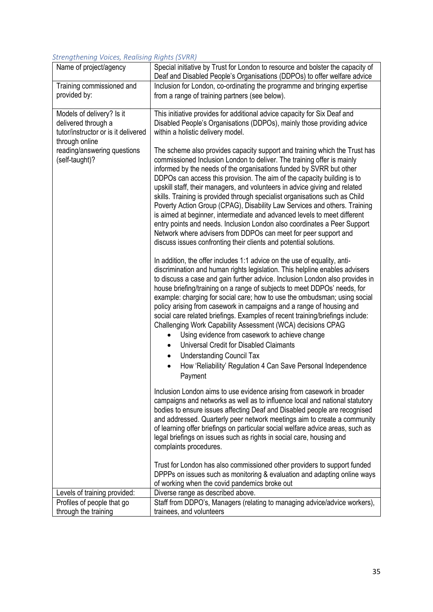### *Strengthening Voices, Realising Rights (SVRR)*

| Name of project/agency                        | Special initiative by Trust for London to resource and bolster the capacity of                                                                                                                                                                                                                                                                                                                                                                                                                                                                                                                                                                                                                                                                                                                                                                          |
|-----------------------------------------------|---------------------------------------------------------------------------------------------------------------------------------------------------------------------------------------------------------------------------------------------------------------------------------------------------------------------------------------------------------------------------------------------------------------------------------------------------------------------------------------------------------------------------------------------------------------------------------------------------------------------------------------------------------------------------------------------------------------------------------------------------------------------------------------------------------------------------------------------------------|
|                                               | Deaf and Disabled People's Organisations (DDPOs) to offer welfare advice                                                                                                                                                                                                                                                                                                                                                                                                                                                                                                                                                                                                                                                                                                                                                                                |
| Training commissioned and                     | Inclusion for London, co-ordinating the programme and bringing expertise                                                                                                                                                                                                                                                                                                                                                                                                                                                                                                                                                                                                                                                                                                                                                                                |
| provided by:                                  | from a range of training partners (see below).                                                                                                                                                                                                                                                                                                                                                                                                                                                                                                                                                                                                                                                                                                                                                                                                          |
| Models of delivery? Is it                     | This initiative provides for additional advice capacity for Six Deaf and                                                                                                                                                                                                                                                                                                                                                                                                                                                                                                                                                                                                                                                                                                                                                                                |
| delivered through a                           | Disabled People's Organisations (DDPOs), mainly those providing advice                                                                                                                                                                                                                                                                                                                                                                                                                                                                                                                                                                                                                                                                                                                                                                                  |
| tutor/instructor or is it delivered           | within a holistic delivery model.                                                                                                                                                                                                                                                                                                                                                                                                                                                                                                                                                                                                                                                                                                                                                                                                                       |
| through online                                |                                                                                                                                                                                                                                                                                                                                                                                                                                                                                                                                                                                                                                                                                                                                                                                                                                                         |
| reading/answering questions<br>(self-taught)? | The scheme also provides capacity support and training which the Trust has<br>commissioned Inclusion London to deliver. The training offer is mainly<br>informed by the needs of the organisations funded by SVRR but other<br>DDPOs can access this provision. The aim of the capacity building is to<br>upskill staff, their managers, and volunteers in advice giving and related<br>skills. Training is provided through specialist organisations such as Child<br>Poverty Action Group (CPAG), Disability Law Services and others. Training<br>is aimed at beginner, intermediate and advanced levels to meet different<br>entry points and needs. Inclusion London also coordinates a Peer Support                                                                                                                                                |
|                                               | Network where advisers from DDPOs can meet for peer support and<br>discuss issues confronting their clients and potential solutions.                                                                                                                                                                                                                                                                                                                                                                                                                                                                                                                                                                                                                                                                                                                    |
|                                               | In addition, the offer includes 1:1 advice on the use of equality, anti-<br>discrimination and human rights legislation. This helpline enables advisers<br>to discuss a case and gain further advice. Inclusion London also provides in<br>house briefing/training on a range of subjects to meet DDPOs' needs, for<br>example: charging for social care; how to use the ombudsman; using social<br>policy arising from casework in campaigns and a range of housing and<br>social care related briefings. Examples of recent training/briefings include:<br>Challenging Work Capability Assessment (WCA) decisions CPAG<br>Using evidence from casework to achieve change<br>Universal Credit for Disabled Claimants<br><b>Understanding Council Tax</b><br>٠<br>How 'Reliability' Regulation 4 Can Save Personal Independence<br>$\bullet$<br>Payment |
|                                               | Inclusion London aims to use evidence arising from casework in broader<br>campaigns and networks as well as to influence local and national statutory<br>bodies to ensure issues affecting Deaf and Disabled people are recognised<br>and addressed. Quarterly peer network meetings aim to create a community<br>of learning offer briefings on particular social welfare advice areas, such as<br>legal briefings on issues such as rights in social care, housing and<br>complaints procedures.                                                                                                                                                                                                                                                                                                                                                      |
|                                               | Trust for London has also commissioned other providers to support funded<br>DPPPs on issues such as monitoring & evaluation and adapting online ways<br>of working when the covid pandemics broke out                                                                                                                                                                                                                                                                                                                                                                                                                                                                                                                                                                                                                                                   |
| Levels of training provided:                  | Diverse range as described above.                                                                                                                                                                                                                                                                                                                                                                                                                                                                                                                                                                                                                                                                                                                                                                                                                       |
| Profiles of people that go                    | Staff from DDPO's, Managers (relating to managing advice/advice workers),                                                                                                                                                                                                                                                                                                                                                                                                                                                                                                                                                                                                                                                                                                                                                                               |
| through the training                          | trainees, and volunteers                                                                                                                                                                                                                                                                                                                                                                                                                                                                                                                                                                                                                                                                                                                                                                                                                                |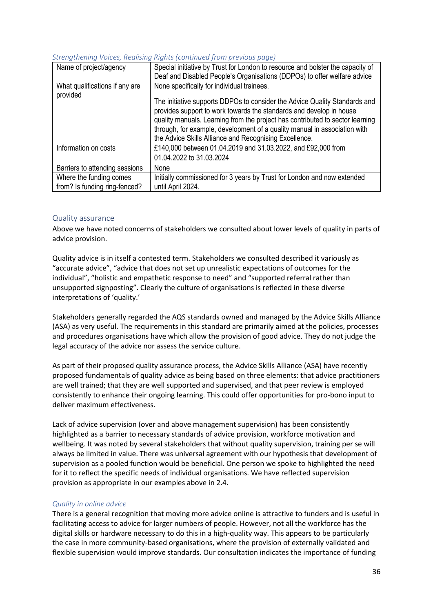| Name of project/agency                     | Special initiative by Trust for London to resource and bolster the capacity of<br>Deaf and Disabled People's Organisations (DDPOs) to offer welfare advice                                                                                                                                                                                                                |
|--------------------------------------------|---------------------------------------------------------------------------------------------------------------------------------------------------------------------------------------------------------------------------------------------------------------------------------------------------------------------------------------------------------------------------|
| What qualifications if any are<br>provided | None specifically for individual trainees.                                                                                                                                                                                                                                                                                                                                |
|                                            | The initiative supports DDPOs to consider the Advice Quality Standards and<br>provides support to work towards the standards and develop in house<br>quality manuals. Learning from the project has contributed to sector learning<br>through, for example, development of a quality manual in association with<br>the Advice Skills Alliance and Recognising Excellence. |
| Information on costs                       | £140,000 between 01.04.2019 and 31.03.2022, and £92,000 from                                                                                                                                                                                                                                                                                                              |
|                                            | 01.04.2022 to 31.03.2024                                                                                                                                                                                                                                                                                                                                                  |
| Barriers to attending sessions             | None                                                                                                                                                                                                                                                                                                                                                                      |
| Where the funding comes                    | Initially commissioned for 3 years by Trust for London and now extended                                                                                                                                                                                                                                                                                                   |
| from? Is funding ring-fenced?              | until April 2024.                                                                                                                                                                                                                                                                                                                                                         |

## *Strengthening Voices, Realising Rights (continued from previous page)*

## Quality assurance

Above we have noted concerns of stakeholders we consulted about lower levels of quality in parts of advice provision.

Quality advice is in itself a contested term. Stakeholders we consulted described it variously as "accurate advice", "advice that does not set up unrealistic expectations of outcomes for the individual", "holistic and empathetic response to need" and "supported referral rather than unsupported signposting". Clearly the culture of organisations is reflected in these diverse interpretations of 'quality.'

Stakeholders generally regarded the AQS standards owned and managed by the Advice Skills Alliance (ASA) as very useful. The requirements in this standard are primarily aimed at the policies, processes and procedures organisations have which allow the provision of good advice. They do not judge the legal accuracy of the advice nor assess the service culture.

As part of their proposed quality assurance process, the Advice Skills Alliance (ASA) have recently proposed fundamentals of quality advice as being based on three elements: that advice practitioners are well trained; that they are well supported and supervised, and that peer review is employed consistently to enhance their ongoing learning. This could offer opportunities for pro-bono input to deliver maximum effectiveness.

Lack of advice supervision (over and above management supervision) has been consistently highlighted as a barrier to necessary standards of advice provision, workforce motivation and wellbeing. It was noted by several stakeholders that without quality supervision, training per se will always be limited in value. There was universal agreement with our hypothesis that development of supervision as a pooled function would be beneficial. One person we spoke to highlighted the need for it to reflect the specific needs of individual organisations. We have reflected supervision provision as appropriate in our examples above in 2.4.

### *Quality in online advice*

There is a general recognition that moving more advice online is attractive to funders and is useful in facilitating access to advice for larger numbers of people. However, not all the workforce has the digital skills or hardware necessary to do this in a high-quality way. This appears to be particularly the case in more community-based organisations, where the provision of externally validated and flexible supervision would improve standards. Our consultation indicates the importance of funding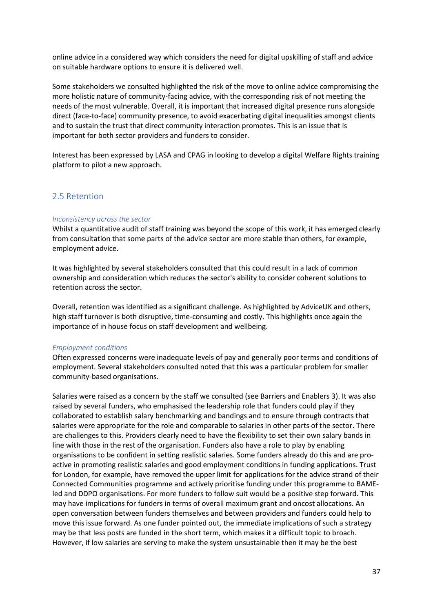online advice in a considered way which considers the need for digital upskilling of staff and advice on suitable hardware options to ensure it is delivered well.

Some stakeholders we consulted highlighted the risk of the move to online advice compromising the more holistic nature of community-facing advice, with the corresponding risk of not meeting the needs of the most vulnerable. Overall, it is important that increased digital presence runs alongside direct (face-to-face) community presence, to avoid exacerbating digital inequalities amongst clients and to sustain the trust that direct community interaction promotes. This is an issue that is important for both sector providers and funders to consider.

Interest has been expressed by LASA and CPAG in looking to develop a digital Welfare Rights training platform to pilot a new approach.

## 2.5 Retention

#### *Inconsistency across the sector*

Whilst a quantitative audit of staff training was beyond the scope of this work, it has emerged clearly from consultation that some parts of the advice sector are more stable than others, for example, employment advice.

It was highlighted by several stakeholders consulted that this could result in a lack of common ownership and consideration which reduces the sector's ability to consider coherent solutions to retention across the sector.

Overall, retention was identified as a significant challenge. As highlighted by AdviceUK and others, high staff turnover is both disruptive, time-consuming and costly. This highlights once again the importance of in house focus on staff development and wellbeing.

#### *Employment conditions*

Often expressed concerns were inadequate levels of pay and generally poor terms and conditions of employment. Several stakeholders consulted noted that this was a particular problem for smaller community-based organisations.

Salaries were raised as a concern by the staff we consulted (see Barriers and Enablers 3). It was also raised by several funders, who emphasised the leadership role that funders could play if they collaborated to establish salary benchmarking and bandings and to ensure through contracts that salaries were appropriate for the role and comparable to salaries in other parts of the sector. There are challenges to this. Providers clearly need to have the flexibility to set their own salary bands in line with those in the rest of the organisation. Funders also have a role to play by enabling organisations to be confident in setting realistic salaries. Some funders already do this and are proactive in promoting realistic salaries and good employment conditions in funding applications. Trust for London, for example, have removed the upper limit for applications for the advice strand of their Connected Communities programme and actively prioritise funding under this programme to BAMEled and DDPO organisations. For more funders to follow suit would be a positive step forward. This may have implications for funders in terms of overall maximum grant and oncost allocations. An open conversation between funders themselves and between providers and funders could help to move this issue forward. As one funder pointed out, the immediate implications of such a strategy may be that less posts are funded in the short term, which makes it a difficult topic to broach. However, if low salaries are serving to make the system unsustainable then it may be the best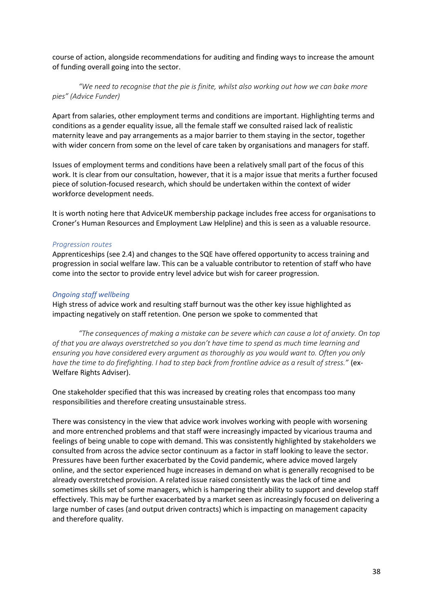course of action, alongside recommendations for auditing and finding ways to increase the amount of funding overall going into the sector.

## *"We need to recognise that the pie is finite, whilst also working out how we can bake more pies" (Advice Funder)*

Apart from salaries, other employment terms and conditions are important. Highlighting terms and conditions as a gender equality issue, all the female staff we consulted raised lack of realistic maternity leave and pay arrangements as a major barrier to them staying in the sector, together with wider concern from some on the level of care taken by organisations and managers for staff.

Issues of employment terms and conditions have been a relatively small part of the focus of this work. It is clear from our consultation, however, that it is a major issue that merits a further focused piece of solution-focused research, which should be undertaken within the context of wider workforce development needs.

It is worth noting here that AdviceUK membership package includes free access for organisations to Croner's Human Resources and Employment Law Helpline) and this is seen as a valuable resource.

#### *Progression routes*

Apprenticeships (see 2.4) and changes to the SQE have offered opportunity to access training and progression in social welfare law. This can be a valuable contributor to retention of staff who have come into the sector to provide entry level advice but wish for career progression.

#### *Ongoing staff wellbeing*

High stress of advice work and resulting staff burnout was the other key issue highlighted as impacting negatively on staff retention. One person we spoke to commented that

*"The consequences of making a mistake can be severe which can cause a lot of anxiety. On top of that you are always overstretched so you don't have time to spend as much time learning and ensuring you have considered every argument as thoroughly as you would want to. Often you only have the time to do firefighting. I had to step back from frontline advice as a result of stress."* (ex-Welfare Rights Adviser).

One stakeholder specified that this was increased by creating roles that encompass too many responsibilities and therefore creating unsustainable stress.

There was consistency in the view that advice work involves working with people with worsening and more entrenched problems and that staff were increasingly impacted by vicarious trauma and feelings of being unable to cope with demand. This was consistently highlighted by stakeholders we consulted from across the advice sector continuum as a factor in staff looking to leave the sector. Pressures have been further exacerbated by the Covid pandemic, where advice moved largely online, and the sector experienced huge increases in demand on what is generally recognised to be already overstretched provision. A related issue raised consistently was the lack of time and sometimes skills set of some managers, which is hampering their ability to support and develop staff effectively. This may be further exacerbated by a market seen as increasingly focused on delivering a large number of cases (and output driven contracts) which is impacting on management capacity and therefore quality.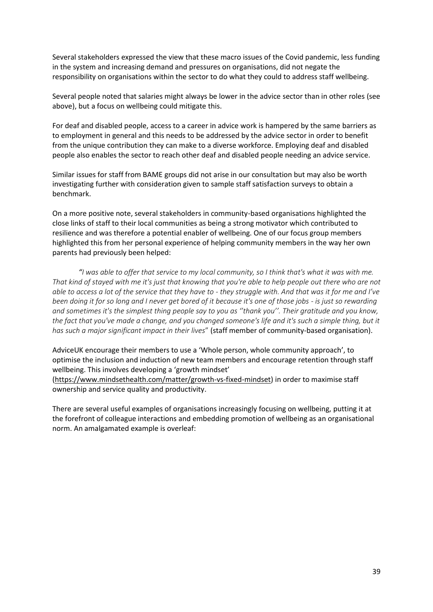Several stakeholders expressed the view that these macro issues of the Covid pandemic, less funding in the system and increasing demand and pressures on organisations, did not negate the responsibility on organisations within the sector to do what they could to address staff wellbeing.

Several people noted that salaries might always be lower in the advice sector than in other roles (see above), but a focus on wellbeing could mitigate this.

For deaf and disabled people, access to a career in advice work is hampered by the same barriers as to employment in general and this needs to be addressed by the advice sector in order to benefit from the unique contribution they can make to a diverse workforce. Employing deaf and disabled people also enables the sector to reach other deaf and disabled people needing an advice service.

Similar issues for staff from BAME groups did not arise in our consultation but may also be worth investigating further with consideration given to sample staff satisfaction surveys to obtain a benchmark.

On a more positive note, several stakeholders in community-based organisations highlighted the close links of staff to their local communities as being a strong motivator which contributed to resilience and was therefore a potential enabler of wellbeing. One of our focus group members highlighted this from her personal experience of helping community members in the way her own parents had previously been helped:

*"I was able to offer that service to my local community, so I think that's what it was with me. That kind of stayed with me it's just that knowing that you're able to help people out there who are not able to access a lot of the service that they have to - they struggle with. And that was it for me and I've been doing it for so long and I never get bored of it because it's one of those jobs - is just so rewarding and sometimes it's the simplest thing people say to you as ''thank you''. Their gratitude and you know, the fact that you've made a change, and you changed someone's life and it's such a simple thing, but it has such a major significant impact in their lives*" (staff member of community-based organisation).

AdviceUK encourage their members to use a 'Whole person, whole community approach', to optimise the inclusion and induction of new team members and encourage retention through staff wellbeing. This involves developing a 'growth mindset'

[\(https://www.mindsethealth.com/matter/growth-vs-fixed-mindset\)](https://www.mindsethealth.com/matter/growth-vs-fixed-mindset) in order to maximise staff ownership and service quality and productivity.

There are several useful examples of organisations increasingly focusing on wellbeing, putting it at the forefront of colleague interactions and embedding promotion of wellbeing as an organisational norm. An amalgamated example is overleaf: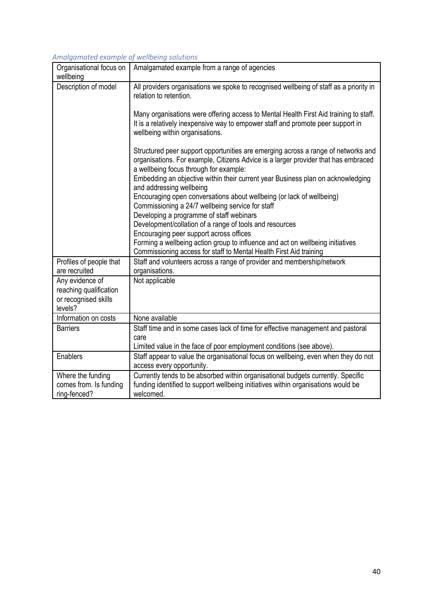## *Amalgamated example of wellbeing solutions*

| mangamatéa ékample oj wéndémig sorations<br>Organisational focus on | Amalgamated example from a range of agencies                                                                                                                                                                      |
|---------------------------------------------------------------------|-------------------------------------------------------------------------------------------------------------------------------------------------------------------------------------------------------------------|
| wellbeing                                                           |                                                                                                                                                                                                                   |
| Description of model                                                | All providers organisations we spoke to recognised wellbeing of staff as a priority in<br>relation to retention.                                                                                                  |
|                                                                     | Many organisations were offering access to Mental Health First Aid training to staff.<br>It is a relatively inexpensive way to empower staff and promote peer support in<br>wellbeing within organisations.       |
|                                                                     | Structured peer support opportunities are emerging across a range of networks and<br>organisations. For example, Citizens Advice is a larger provider that has embraced<br>a wellbeing focus through for example: |
|                                                                     | Embedding an objective within their current year Business plan on acknowledging<br>and addressing wellbeing                                                                                                       |
|                                                                     | Encouraging open conversations about wellbeing (or lack of wellbeing)<br>Commissioning a 24/7 wellbeing service for staff                                                                                         |
|                                                                     | Developing a programme of staff webinars                                                                                                                                                                          |
|                                                                     | Development/collation of a range of tools and resources                                                                                                                                                           |
|                                                                     | Encouraging peer support across offices                                                                                                                                                                           |
|                                                                     | Forming a wellbeing action group to influence and act on wellbeing initiatives<br>Commissioning access for staff to Mental Health First Aid training                                                              |
| Profiles of people that<br>are recruited                            | Staff and volunteers across a range of provider and membership/network<br>organisations.                                                                                                                          |
| Any evidence of<br>reaching qualification                           | Not applicable                                                                                                                                                                                                    |
| or recognised skills<br>levels?                                     |                                                                                                                                                                                                                   |
| Information on costs                                                | None available                                                                                                                                                                                                    |
| <b>Barriers</b>                                                     | Staff time and in some cases lack of time for effective management and pastoral                                                                                                                                   |
|                                                                     | care                                                                                                                                                                                                              |
|                                                                     | Limited value in the face of poor employment conditions (see above).                                                                                                                                              |
| Enablers                                                            | Staff appear to value the organisational focus on wellbeing, even when they do not<br>access every opportunity.                                                                                                   |
| Where the funding                                                   | Currently tends to be absorbed within organisational budgets currently. Specific                                                                                                                                  |
| comes from. Is funding                                              | funding identified to support wellbeing initiatives within organisations would be                                                                                                                                 |
| ring-fenced?                                                        | welcomed.                                                                                                                                                                                                         |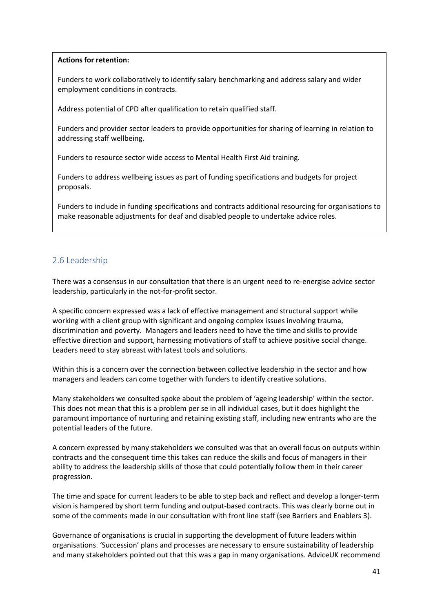### **Actions for retention:**

Funders to work collaboratively to identify salary benchmarking and address salary and wider employment conditions in contracts.

Address potential of CPD after qualification to retain qualified staff.

Funders and provider sector leaders to provide opportunities for sharing of learning in relation to addressing staff wellbeing.

Funders to resource sector wide access to Mental Health First Aid training.

Funders to address wellbeing issues as part of funding specifications and budgets for project proposals.

Funders to include in funding specifications and contracts additional resourcing for organisations to make reasonable adjustments for deaf and disabled people to undertake advice roles.

# 2.6 Leadership

There was a consensus in our consultation that there is an urgent need to re-energise advice sector leadership, particularly in the not-for-profit sector.

A specific concern expressed was a lack of effective management and structural support while working with a client group with significant and ongoing complex issues involving trauma, discrimination and poverty. Managers and leaders need to have the time and skills to provide effective direction and support, harnessing motivations of staff to achieve positive social change. Leaders need to stay abreast with latest tools and solutions.

Within this is a concern over the connection between collective leadership in the sector and how managers and leaders can come together with funders to identify creative solutions.

Many stakeholders we consulted spoke about the problem of 'ageing leadership' within the sector. This does not mean that this is a problem per se in all individual cases, but it does highlight the paramount importance of nurturing and retaining existing staff, including new entrants who are the potential leaders of the future.

A concern expressed by many stakeholders we consulted was that an overall focus on outputs within contracts and the consequent time this takes can reduce the skills and focus of managers in their ability to address the leadership skills of those that could potentially follow them in their career progression.

The time and space for current leaders to be able to step back and reflect and develop a longer-term vision is hampered by short term funding and output-based contracts. This was clearly borne out in some of the comments made in our consultation with front line staff (see Barriers and Enablers 3).

Governance of organisations is crucial in supporting the development of future leaders within organisations. 'Succession' plans and processes are necessary to ensure sustainability of leadership and many stakeholders pointed out that this was a gap in many organisations. AdviceUK recommend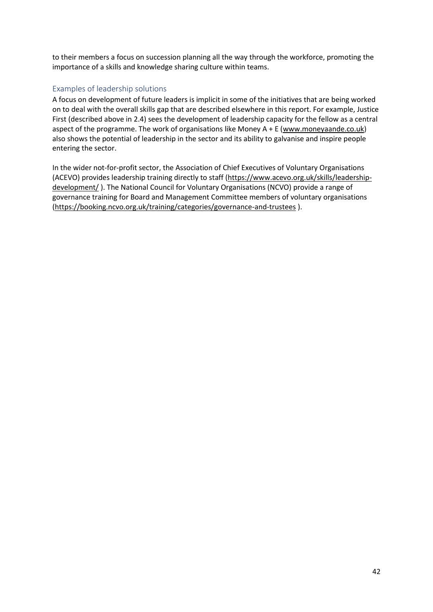to their members a focus on succession planning all the way through the workforce, promoting the importance of a skills and knowledge sharing culture within teams.

## Examples of leadership solutions

A focus on development of future leaders is implicit in some of the initiatives that are being worked on to deal with the overall skills gap that are described elsewhere in this report. For example, Justice First (described above in 2.4) sees the development of leadership capacity for the fellow as a central aspect of the programme. The work of organisations like Money A + E [\(www.moneyaande.co.uk\)](http://www.moneyaande.co.uk/) also shows the potential of leadership in the sector and its ability to galvanise and inspire people entering the sector.

In the wider not-for-profit sector, the Association of Chief Executives of Voluntary Organisations (ACEVO) provides leadership training directly to staff [\(https://www.acevo.org.uk/skills/leadership](https://www.acevo.org.uk/skills/leadership-development/)[development/](https://www.acevo.org.uk/skills/leadership-development/) ). The National Council for Voluntary Organisations (NCVO) provide a range of governance training for Board and Management Committee members of voluntary organisations [\(https://booking.ncvo.org.uk/training/categories/governance-and-trustees](https://booking.ncvo.org.uk/training/categories/governance-and-trustees) ).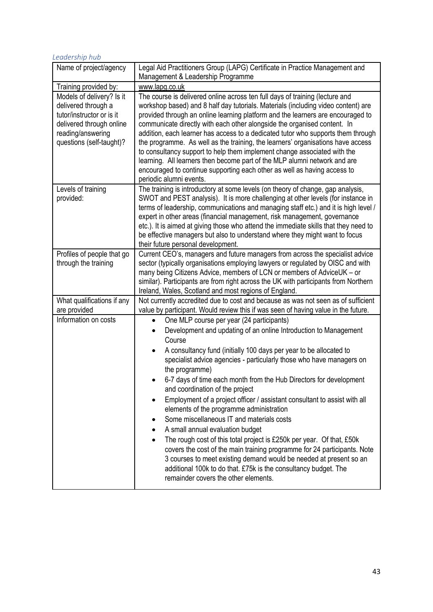| Leadership hub                                                                                                                                             |                                                                                                                                                                                                                                                                                                                                                                                                                                                                                                                                                                                                                                                                                                                                                                                                                                                                                                                                                                            |  |
|------------------------------------------------------------------------------------------------------------------------------------------------------------|----------------------------------------------------------------------------------------------------------------------------------------------------------------------------------------------------------------------------------------------------------------------------------------------------------------------------------------------------------------------------------------------------------------------------------------------------------------------------------------------------------------------------------------------------------------------------------------------------------------------------------------------------------------------------------------------------------------------------------------------------------------------------------------------------------------------------------------------------------------------------------------------------------------------------------------------------------------------------|--|
| Name of project/agency                                                                                                                                     | Legal Aid Practitioners Group (LAPG) Certificate in Practice Management and<br>Management & Leadership Programme                                                                                                                                                                                                                                                                                                                                                                                                                                                                                                                                                                                                                                                                                                                                                                                                                                                           |  |
| Training provided by:                                                                                                                                      | www.lapg.co.uk                                                                                                                                                                                                                                                                                                                                                                                                                                                                                                                                                                                                                                                                                                                                                                                                                                                                                                                                                             |  |
| Models of delivery? Is it<br>delivered through a<br>tutor/instructor or is it<br>delivered through online<br>reading/answering<br>questions (self-taught)? | The course is delivered online across ten full days of training (lecture and<br>workshop based) and 8 half day tutorials. Materials (including video content) are<br>provided through an online learning platform and the learners are encouraged to<br>communicate directly with each other alongside the organised content. In<br>addition, each learner has access to a dedicated tutor who supports them through<br>the programme. As well as the training, the learners' organisations have access<br>to consultancy support to help them implement change associated with the<br>learning. All learners then become part of the MLP alumni network and are<br>encouraged to continue supporting each other as well as having access to<br>periodic alumni events.                                                                                                                                                                                                    |  |
| Levels of training<br>provided:                                                                                                                            | The training is introductory at some levels (on theory of change, gap analysis,<br>SWOT and PEST analysis). It is more challenging at other levels (for instance in<br>terms of leadership, communications and managing staff etc.) and it is high level /<br>expert in other areas (financial management, risk management, governance<br>etc.). It is aimed at giving those who attend the immediate skills that they need to<br>be effective managers but also to understand where they might want to focus<br>their future personal development.                                                                                                                                                                                                                                                                                                                                                                                                                        |  |
| Profiles of people that go<br>through the training                                                                                                         | Current CEO's, managers and future managers from across the specialist advice<br>sector (typically organisations employing lawyers or regulated by OISC and with<br>many being Citizens Advice, members of LCN or members of AdviceUK - or<br>similar). Participants are from right across the UK with participants from Northern<br>Ireland, Wales, Scotland and most regions of England.                                                                                                                                                                                                                                                                                                                                                                                                                                                                                                                                                                                 |  |
| What qualifications if any<br>are provided                                                                                                                 | Not currently accredited due to cost and because as was not seen as of sufficient<br>value by participant. Would review this if was seen of having value in the future.                                                                                                                                                                                                                                                                                                                                                                                                                                                                                                                                                                                                                                                                                                                                                                                                    |  |
| Information on costs                                                                                                                                       | One MLP course per year (24 participants)<br>$\bullet$<br>Development and updating of an online Introduction to Management<br>Course<br>A consultancy fund (initially 100 days per year to be allocated to<br>$\bullet$<br>specialist advice agencies - particularly those who have managers on<br>the programme)<br>6-7 days of time each month from the Hub Directors for development<br>and coordination of the project<br>Employment of a project officer / assistant consultant to assist with all<br>elements of the programme administration<br>Some miscellaneous IT and materials costs<br>A small annual evaluation budget<br>The rough cost of this total project is £250k per year. Of that, £50k<br>covers the cost of the main training programme for 24 participants. Note<br>3 courses to meet existing demand would be needed at present so an<br>additional 100k to do that. £75k is the consultancy budget. The<br>remainder covers the other elements. |  |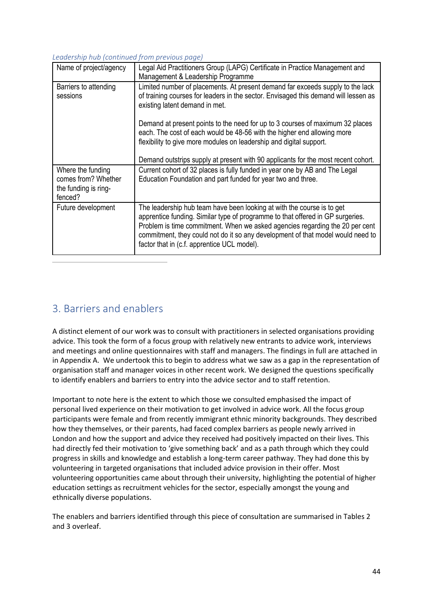## *Leadership hub (continued from previous page)*

| Name of project/agency                                                      | Legal Aid Practitioners Group (LAPG) Certificate in Practice Management and<br>Management & Leadership Programme                                                                                                                                                                                                                                                           |
|-----------------------------------------------------------------------------|----------------------------------------------------------------------------------------------------------------------------------------------------------------------------------------------------------------------------------------------------------------------------------------------------------------------------------------------------------------------------|
| Barriers to attending<br>sessions                                           | Limited number of placements. At present demand far exceeds supply to the lack<br>of training courses for leaders in the sector. Envisaged this demand will lessen as<br>existing latent demand in met.                                                                                                                                                                    |
|                                                                             | Demand at present points to the need for up to 3 courses of maximum 32 places<br>each. The cost of each would be 48-56 with the higher end allowing more<br>flexibility to give more modules on leadership and digital support.                                                                                                                                            |
|                                                                             | Demand outstrips supply at present with 90 applicants for the most recent cohort.                                                                                                                                                                                                                                                                                          |
| Where the funding<br>comes from? Whether<br>the funding is ring-<br>fenced? | Current cohort of 32 places is fully funded in year one by AB and The Legal<br>Education Foundation and part funded for year two and three.                                                                                                                                                                                                                                |
| Future development                                                          | The leadership hub team have been looking at with the course is to get<br>apprentice funding. Similar type of programme to that offered in GP surgeries.<br>Problem is time commitment. When we asked agencies regarding the 20 per cent<br>commitment, they could not do it so any development of that model would need to<br>factor that in (c.f. apprentice UCL model). |

# 3. Barriers and enablers

A distinct element of our work was to consult with practitioners in selected organisations providing advice. This took the form of a focus group with relatively new entrants to advice work, interviews and meetings and online questionnaires with staff and managers. The findings in full are attached in in Appendix A. We undertook this to begin to address what we saw as a gap in the representation of organisation staff and manager voices in other recent work. We designed the questions specifically to identify enablers and barriers to entry into the advice sector and to staff retention.

Important to note here is the extent to which those we consulted emphasised the impact of personal lived experience on their motivation to get involved in advice work. All the focus group participants were female and from recently immigrant ethnic minority backgrounds. They described how they themselves, or their parents, had faced complex barriers as people newly arrived in London and how the support and advice they received had positively impacted on their lives. This had directly fed their motivation to 'give something back' and as a path through which they could progress in skills and knowledge and establish a long-term career pathway. They had done this by volunteering in targeted organisations that included advice provision in their offer. Most volunteering opportunities came about through their university, highlighting the potential of higher education settings as recruitment vehicles for the sector, especially amongst the young and ethnically diverse populations.

The enablers and barriers identified through this piece of consultation are summarised in Tables 2 and 3 overleaf.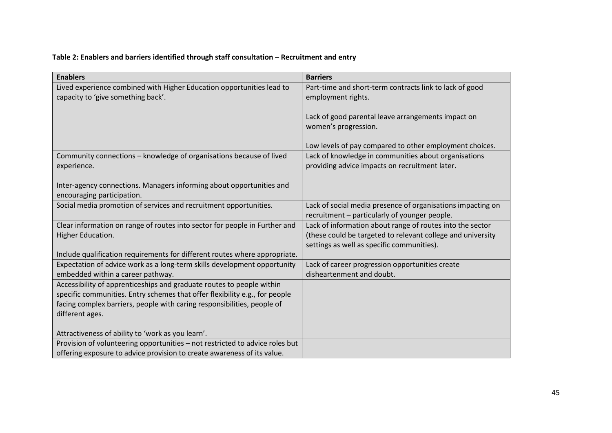# **Table 2: Enablers and barriers identified through staff consultation – Recruitment and entry**

| <b>Enablers</b>                                                                                    | <b>Barriers</b>                                                                                              |
|----------------------------------------------------------------------------------------------------|--------------------------------------------------------------------------------------------------------------|
| Lived experience combined with Higher Education opportunities lead to                              | Part-time and short-term contracts link to lack of good                                                      |
| capacity to 'give something back'.                                                                 | employment rights.                                                                                           |
|                                                                                                    | Lack of good parental leave arrangements impact on<br>women's progression.                                   |
|                                                                                                    | Low levels of pay compared to other employment choices.                                                      |
| Community connections - knowledge of organisations because of lived                                | Lack of knowledge in communities about organisations                                                         |
| experience.                                                                                        | providing advice impacts on recruitment later.                                                               |
| Inter-agency connections. Managers informing about opportunities and<br>encouraging participation. |                                                                                                              |
| Social media promotion of services and recruitment opportunities.                                  | Lack of social media presence of organisations impacting on<br>recruitment - particularly of younger people. |
| Clear information on range of routes into sector for people in Further and                         | Lack of information about range of routes into the sector                                                    |
| Higher Education.                                                                                  | (these could be targeted to relevant college and university                                                  |
| Include qualification requirements for different routes where appropriate.                         | settings as well as specific communities).                                                                   |
| Expectation of advice work as a long-term skills development opportunity                           | Lack of career progression opportunities create                                                              |
| embedded within a career pathway.                                                                  | disheartenment and doubt.                                                                                    |
| Accessibility of apprenticeships and graduate routes to people within                              |                                                                                                              |
| specific communities. Entry schemes that offer flexibility e.g., for people                        |                                                                                                              |
| facing complex barriers, people with caring responsibilities, people of                            |                                                                                                              |
| different ages.                                                                                    |                                                                                                              |
| Attractiveness of ability to 'work as you learn'.                                                  |                                                                                                              |
| Provision of volunteering opportunities - not restricted to advice roles but                       |                                                                                                              |
| offering exposure to advice provision to create awareness of its value.                            |                                                                                                              |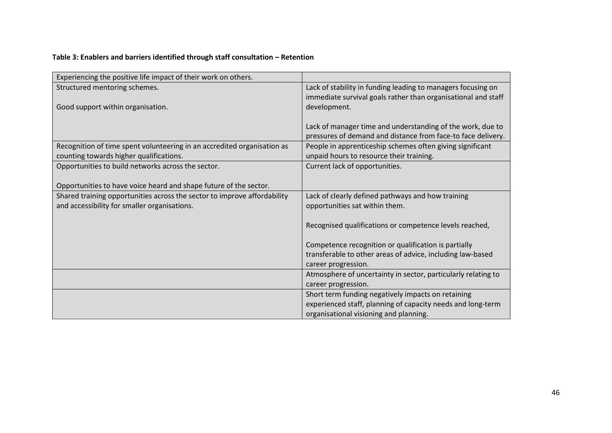# **Table 3: Enablers and barriers identified through staff consultation – Retention**

| Experiencing the positive life impact of their work on others.           |                                                               |
|--------------------------------------------------------------------------|---------------------------------------------------------------|
| Structured mentoring schemes.                                            | Lack of stability in funding leading to managers focusing on  |
|                                                                          | immediate survival goals rather than organisational and staff |
| Good support within organisation.                                        | development.                                                  |
|                                                                          |                                                               |
|                                                                          | Lack of manager time and understanding of the work, due to    |
|                                                                          | pressures of demand and distance from face-to face delivery.  |
| Recognition of time spent volunteering in an accredited organisation as  | People in apprenticeship schemes often giving significant     |
| counting towards higher qualifications.                                  | unpaid hours to resource their training.                      |
| Opportunities to build networks across the sector.                       | Current lack of opportunities.                                |
|                                                                          |                                                               |
| Opportunities to have voice heard and shape future of the sector.        |                                                               |
| Shared training opportunities across the sector to improve affordability | Lack of clearly defined pathways and how training             |
| and accessibility for smaller organisations.                             | opportunities sat within them.                                |
|                                                                          |                                                               |
|                                                                          | Recognised qualifications or competence levels reached,       |
|                                                                          |                                                               |
|                                                                          | Competence recognition or qualification is partially          |
|                                                                          | transferable to other areas of advice, including law-based    |
|                                                                          | career progression.                                           |
|                                                                          | Atmosphere of uncertainty in sector, particularly relating to |
|                                                                          | career progression.                                           |
|                                                                          | Short term funding negatively impacts on retaining            |
|                                                                          | experienced staff, planning of capacity needs and long-term   |
|                                                                          | organisational visioning and planning.                        |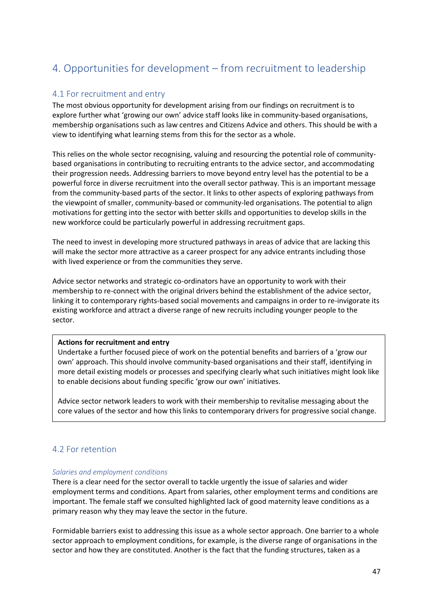# 4. Opportunities for development – from recruitment to leadership

## 4.1 For recruitment and entry

The most obvious opportunity for development arising from our findings on recruitment is to explore further what 'growing our own' advice staff looks like in community-based organisations, membership organisations such as law centres and Citizens Advice and others. This should be with a view to identifying what learning stems from this for the sector as a whole.

This relies on the whole sector recognising, valuing and resourcing the potential role of communitybased organisations in contributing to recruiting entrants to the advice sector, and accommodating their progression needs. Addressing barriers to move beyond entry level has the potential to be a powerful force in diverse recruitment into the overall sector pathway. This is an important message from the community-based parts of the sector. It links to other aspects of exploring pathways from the viewpoint of smaller, community-based or community-led organisations. The potential to align motivations for getting into the sector with better skills and opportunities to develop skills in the new workforce could be particularly powerful in addressing recruitment gaps.

The need to invest in developing more structured pathways in areas of advice that are lacking this will make the sector more attractive as a career prospect for any advice entrants including those with lived experience or from the communities they serve.

Advice sector networks and strategic co-ordinators have an opportunity to work with their membership to re-connect with the original drivers behind the establishment of the advice sector, linking it to contemporary rights-based social movements and campaigns in order to re-invigorate its existing workforce and attract a diverse range of new recruits including younger people to the sector.

### **Actions for recruitment and entry**

Undertake a further focused piece of work on the potential benefits and barriers of a 'grow our own' approach. This should involve community-based organisations and their staff, identifying in more detail existing models or processes and specifying clearly what such initiatives might look like to enable decisions about funding specific 'grow our own' initiatives.

Advice sector network leaders to work with their membership to revitalise messaging about the core values of the sector and how this links to contemporary drivers for progressive social change.

## 4.2 For retention

### *Salaries and employment conditions*

There is a clear need for the sector overall to tackle urgently the issue of salaries and wider employment terms and conditions. Apart from salaries, other employment terms and conditions are important. The female staff we consulted highlighted lack of good maternity leave conditions as a primary reason why they may leave the sector in the future.

Formidable barriers exist to addressing this issue as a whole sector approach. One barrier to a whole sector approach to employment conditions, for example, is the diverse range of organisations in the sector and how they are constituted. Another is the fact that the funding structures, taken as a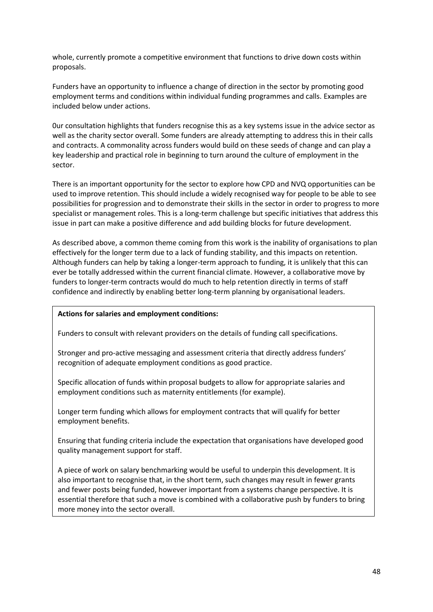whole, currently promote a competitive environment that functions to drive down costs within proposals.

Funders have an opportunity to influence a change of direction in the sector by promoting good employment terms and conditions within individual funding programmes and calls. Examples are included below under actions.

0ur consultation highlights that funders recognise this as a key systems issue in the advice sector as well as the charity sector overall. Some funders are already attempting to address this in their calls and contracts. A commonality across funders would build on these seeds of change and can play a key leadership and practical role in beginning to turn around the culture of employment in the sector.

There is an important opportunity for the sector to explore how CPD and NVQ opportunities can be used to improve retention. This should include a widely recognised way for people to be able to see possibilities for progression and to demonstrate their skills in the sector in order to progress to more specialist or management roles. This is a long-term challenge but specific initiatives that address this issue in part can make a positive difference and add building blocks for future development.

As described above, a common theme coming from this work is the inability of organisations to plan effectively for the longer term due to a lack of funding stability, and this impacts on retention. Although funders can help by taking a longer-term approach to funding, it is unlikely that this can ever be totally addressed within the current financial climate. However, a collaborative move by funders to longer-term contracts would do much to help retention directly in terms of staff confidence and indirectly by enabling better long-term planning by organisational leaders.

### **Actions for salaries and employment conditions:**

Funders to consult with relevant providers on the details of funding call specifications.

Stronger and pro-active messaging and assessment criteria that directly address funders' recognition of adequate employment conditions as good practice.

Specific allocation of funds within proposal budgets to allow for appropriate salaries and employment conditions such as maternity entitlements (for example).

Longer term funding which allows for employment contracts that will qualify for better employment benefits.

Ensuring that funding criteria include the expectation that organisations have developed good quality management support for staff.

A piece of work on salary benchmarking would be useful to underpin this development. It is also important to recognise that, in the short term, such changes may result in fewer grants and fewer posts being funded, however important from a systems change perspective. It is essential therefore that such a move is combined with a collaborative push by funders to bring more money into the sector overall.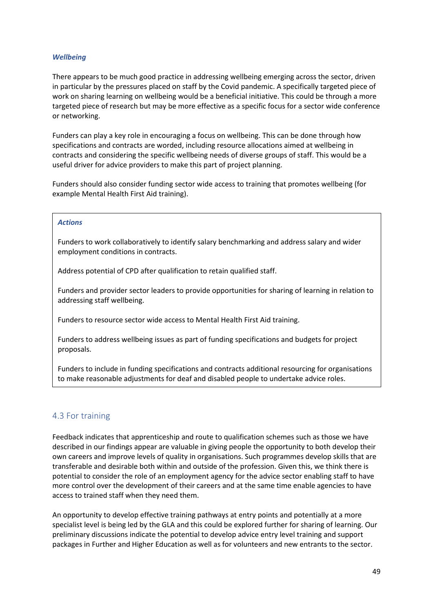### *Wellbeing*

There appears to be much good practice in addressing wellbeing emerging across the sector, driven in particular by the pressures placed on staff by the Covid pandemic. A specifically targeted piece of work on sharing learning on wellbeing would be a beneficial initiative. This could be through a more targeted piece of research but may be more effective as a specific focus for a sector wide conference or networking.

Funders can play a key role in encouraging a focus on wellbeing. This can be done through how specifications and contracts are worded, including resource allocations aimed at wellbeing in contracts and considering the specific wellbeing needs of diverse groups of staff. This would be a useful driver for advice providers to make this part of project planning.

Funders should also consider funding sector wide access to training that promotes wellbeing (for example Mental Health First Aid training).

#### *Actions*

Funders to work collaboratively to identify salary benchmarking and address salary and wider employment conditions in contracts.

Address potential of CPD after qualification to retain qualified staff.

Funders and provider sector leaders to provide opportunities for sharing of learning in relation to addressing staff wellbeing.

Funders to resource sector wide access to Mental Health First Aid training.

Funders to address wellbeing issues as part of funding specifications and budgets for project proposals.

Funders to include in funding specifications and contracts additional resourcing for organisations to make reasonable adjustments for deaf and disabled people to undertake advice roles.

## 4.3 For training

Feedback indicates that apprenticeship and route to qualification schemes such as those we have described in our findings appear are valuable in giving people the opportunity to both develop their own careers and improve levels of quality in organisations. Such programmes develop skills that are transferable and desirable both within and outside of the profession. Given this, we think there is potential to consider the role of an employment agency for the advice sector enabling staff to have more control over the development of their careers and at the same time enable agencies to have access to trained staff when they need them.

An opportunity to develop effective training pathways at entry points and potentially at a more specialist level is being led by the GLA and this could be explored further for sharing of learning. Our preliminary discussions indicate the potential to develop advice entry level training and support packages in Further and Higher Education as well as for volunteers and new entrants to the sector.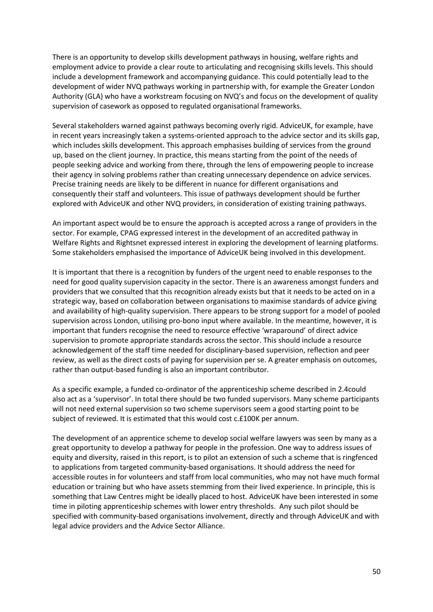There is an opportunity to develop skills development pathways in housing, welfare rights and employment advice to provide a clear route to articulating and recognising skills levels. This should include a development framework and accompanying guidance. This could potentially lead to the development of wider NVQ pathways working in partnership with, for example the Greater London Authority (GLA) who have a workstream focusing on NVQ's and focus on the development of quality supervision of casework as opposed to regulated organisational frameworks.

Several stakeholders warned against pathways becoming overly rigid. AdviceUK, for example, have in recent years increasingly taken a systems-oriented approach to the advice sector and its skills gap, which includes skills development. This approach emphasises building of services from the ground up, based on the client journey. In practice, this means starting from the point of the needs of people seeking advice and working from there, through the lens of empowering people to increase their agency in solving problems rather than creating unnecessary dependence on advice services. Precise training needs are likely to be different in nuance for different organisations and consequently their staff and volunteers. This issue of pathways development should be further explored with AdviceUK and other NVQ providers, in consideration of existing training pathways.

An important aspect would be to ensure the approach is accepted across a range of providers in the sector. For example, CPAG expressed interest in the development of an accredited pathway in Welfare Rights and Rightsnet expressed interest in exploring the development of learning platforms. Some stakeholders emphasised the importance of AdviceUK being involved in this development.

It is important that there is a recognition by funders of the urgent need to enable responses to the need for good quality supervision capacity in the sector. There is an awareness amongst funders and providers that we consulted that this recognition already exists but that it needs to be acted on in a strategic way, based on collaboration between organisations to maximise standards of advice giving and availability of high-quality supervision. There appears to be strong support for a model of pooled supervision across London, utilising pro-bono input where available. In the meantime, however, it is important that funders recognise the need to resource effective 'wraparound' of direct advice supervision to promote appropriate standards across the sector. This should include a resource acknowledgement of the staff time needed for disciplinary-based supervision, reflection and peer review, as well as the direct costs of paying for supervision per se. A greater emphasis on outcomes, rather than output-based funding is also an important contributor.

As a specific example, a funded co-ordinator of the apprenticeship scheme described in 2.4could also act as a 'supervisor'. In total there should be two funded supervisors. Many scheme participants will not need external supervision so two scheme supervisors seem a good starting point to be subject of reviewed. It is estimated that this would cost c.£100K per annum.

The development of an apprentice scheme to develop social welfare lawyers was seen by many as a great opportunity to develop a pathway for people in the profession. One way to address issues of equity and diversity, raised in this report, is to pilot an extension of such a scheme that is ringfenced to applications from targeted community-based organisations. It should address the need for accessible routes in for volunteers and staff from local communities, who may not have much formal education or training but who have assets stemming from their lived experience. In principle, this is something that Law Centres might be ideally placed to host. AdviceUK have been interested in some time in piloting apprenticeship schemes with lower entry thresholds. Any such pilot should be specified with community-based organisations involvement, directly and through AdviceUK and with legal advice providers and the Advice Sector Alliance.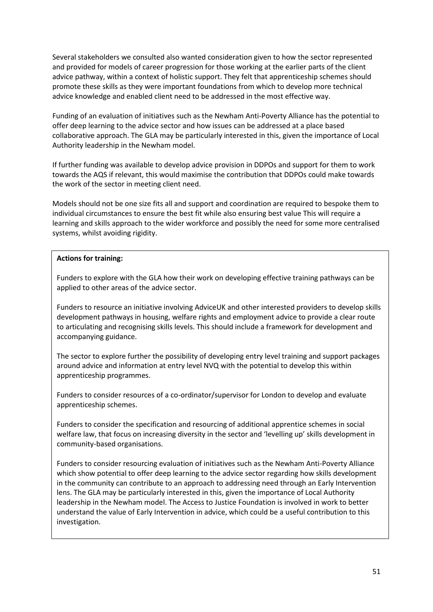Several stakeholders we consulted also wanted consideration given to how the sector represented and provided for models of career progression for those working at the earlier parts of the client advice pathway, within a context of holistic support. They felt that apprenticeship schemes should promote these skills as they were important foundations from which to develop more technical advice knowledge and enabled client need to be addressed in the most effective way.

Funding of an evaluation of initiatives such as the Newham Anti-Poverty Alliance has the potential to offer deep learning to the advice sector and how issues can be addressed at a place based collaborative approach. The GLA may be particularly interested in this, given the importance of Local Authority leadership in the Newham model.

If further funding was available to develop advice provision in DDPOs and support for them to work towards the AQS if relevant, this would maximise the contribution that DDPOs could make towards the work of the sector in meeting client need.

Models should not be one size fits all and support and coordination are required to bespoke them to individual circumstances to ensure the best fit while also ensuring best value This will require a learning and skills approach to the wider workforce and possibly the need for some more centralised systems, whilst avoiding rigidity.

## **Actions for training:**

Funders to explore with the GLA how their work on developing effective training pathways can be applied to other areas of the advice sector.

Funders to resource an initiative involving AdviceUK and other interested providers to develop skills development pathways in housing, welfare rights and employment advice to provide a clear route to articulating and recognising skills levels. This should include a framework for development and accompanying guidance.

The sector to explore further the possibility of developing entry level training and support packages around advice and information at entry level NVQ with the potential to develop this within apprenticeship programmes.

Funders to consider resources of a co-ordinator/supervisor for London to develop and evaluate apprenticeship schemes.

Funders to consider the specification and resourcing of additional apprentice schemes in social welfare law, that focus on increasing diversity in the sector and 'levelling up' skills development in community-based organisations.

Funders to consider resourcing evaluation of initiatives such as the Newham Anti-Poverty Alliance which show potential to offer deep learning to the advice sector regarding how skills development in the community can contribute to an approach to addressing need through an Early Intervention lens. The GLA may be particularly interested in this, given the importance of Local Authority leadership in the Newham model. The Access to Justice Foundation is involved in work to better understand the value of Early Intervention in advice, which could be a useful contribution to this investigation.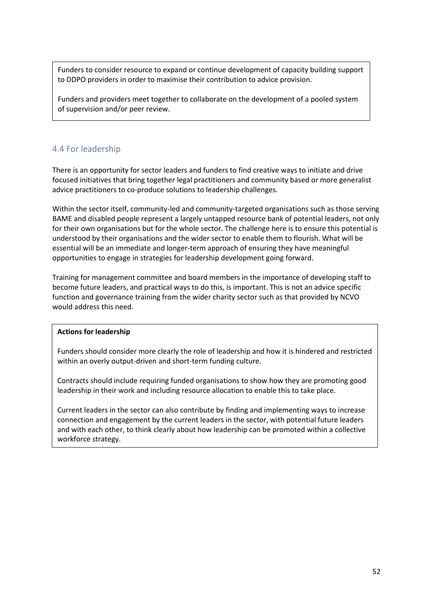Funders to consider resource to expand or continue development of capacity building support to DDPO providers in order to maximise their contribution to advice provision.

Funders and providers meet together to collaborate on the development of a pooled system of supervision and/or peer review.

## 4.4 For leadership

There is an opportunity for sector leaders and funders to find creative ways to initiate and drive focused initiatives that bring together legal practitioners and community based or more generalist advice practitioners to co-produce solutions to leadership challenges.

Within the sector itself, community-led and community-targeted organisations such as those serving BAME and disabled people represent a largely untapped resource bank of potential leaders, not only for their own organisations but for the whole sector. The challenge here is to ensure this potential is understood by their organisations and the wider sector to enable them to flourish. What will be essential will be an immediate and longer-term approach of ensuring they have meaningful opportunities to engage in strategies for leadership development going forward.

Training for management committee and board members in the importance of developing staff to become future leaders, and practical ways to do this, is important. This is not an advice specific function and governance training from the wider charity sector such as that provided by NCVO would address this need.

### **Actions for leadership**

Funders should consider more clearly the role of leadership and how it is hindered and restricted within an overly output-driven and short-term funding culture.

Contracts should include requiring funded organisations to show how they are promoting good leadership in their work and including resource allocation to enable this to take place.

Current leaders in the sector can also contribute by finding and implementing ways to increase connection and engagement by the current leaders in the sector, with potential future leaders and with each other, to think clearly about how leadership can be promoted within a collective workforce strategy.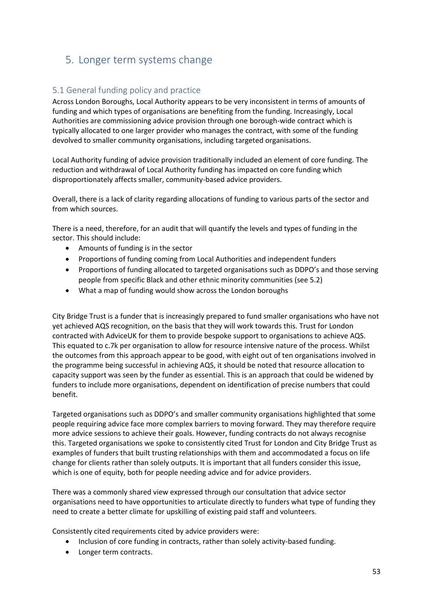# 5. Longer term systems change

## 5.1 General funding policy and practice

Across London Boroughs, Local Authority appears to be very inconsistent in terms of amounts of funding and which types of organisations are benefiting from the funding. Increasingly, Local Authorities are commissioning advice provision through one borough-wide contract which is typically allocated to one larger provider who manages the contract, with some of the funding devolved to smaller community organisations, including targeted organisations.

Local Authority funding of advice provision traditionally included an element of core funding. The reduction and withdrawal of Local Authority funding has impacted on core funding which disproportionately affects smaller, community-based advice providers.

Overall, there is a lack of clarity regarding allocations of funding to various parts of the sector and from which sources.

There is a need, therefore, for an audit that will quantify the levels and types of funding in the sector. This should include:

- Amounts of funding is in the sector
- Proportions of funding coming from Local Authorities and independent funders
- Proportions of funding allocated to targeted organisations such as DDPO's and those serving people from specific Black and other ethnic minority communities (see 5.2)
- What a map of funding would show across the London boroughs

City Bridge Trust is a funder that is increasingly prepared to fund smaller organisations who have not yet achieved AQS recognition, on the basis that they will work towards this. Trust for London contracted with AdviceUK for them to provide bespoke support to organisations to achieve AQS. This equated to c.7k per organisation to allow for resource intensive nature of the process. Whilst the outcomes from this approach appear to be good, with eight out of ten organisations involved in the programme being successful in achieving AQS, it should be noted that resource allocation to capacity support was seen by the funder as essential. This is an approach that could be widened by funders to include more organisations, dependent on identification of precise numbers that could benefit.

Targeted organisations such as DDPO's and smaller community organisations highlighted that some people requiring advice face more complex barriers to moving forward. They may therefore require more advice sessions to achieve their goals. However, funding contracts do not always recognise this. Targeted organisations we spoke to consistently cited Trust for London and City Bridge Trust as examples of funders that built trusting relationships with them and accommodated a focus on life change for clients rather than solely outputs. It is important that all funders consider this issue, which is one of equity, both for people needing advice and for advice providers.

There was a commonly shared view expressed through our consultation that advice sector organisations need to have opportunities to articulate directly to funders what type of funding they need to create a better climate for upskilling of existing paid staff and volunteers.

Consistently cited requirements cited by advice providers were:

- Inclusion of core funding in contracts, rather than solely activity-based funding.
- Longer term contracts.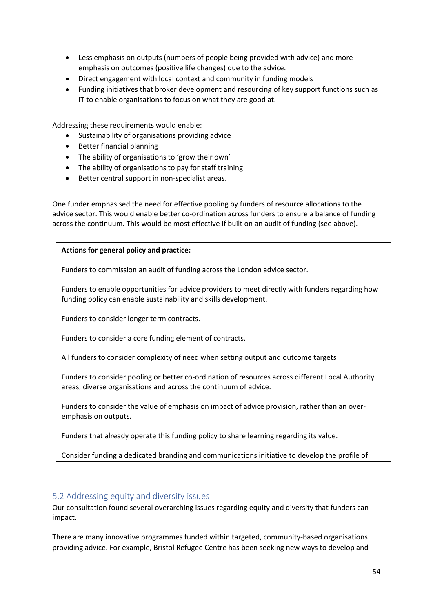- Less emphasis on outputs (numbers of people being provided with advice) and more emphasis on outcomes (positive life changes) due to the advice.
- Direct engagement with local context and community in funding models
- Funding initiatives that broker development and resourcing of key support functions such as IT to enable organisations to focus on what they are good at.

Addressing these requirements would enable:

- Sustainability of organisations providing advice
- Better financial planning
- The ability of organisations to 'grow their own'
- The ability of organisations to pay for staff training
- Better central support in non-specialist areas.

One funder emphasised the need for effective pooling by funders of resource allocations to the advice sector. This would enable better co-ordination across funders to ensure a balance of funding across the continuum. This would be most effective if built on an audit of funding (see above).

## **Actions for general policy and practice:**

Funders to commission an audit of funding across the London advice sector.

Funders to enable opportunities for advice providers to meet directly with funders regarding how funding policy can enable sustainability and skills development.

Funders to consider longer term contracts.

Funders to consider a core funding element of contracts.

All funders to consider complexity of need when setting output and outcome targets

Funders to consider pooling or better co-ordination of resources across different Local Authority areas, diverse organisations and across the continuum of advice.

Funders to consider the value of emphasis on impact of advice provision, rather than an overemphasis on outputs.

Funders that already operate this funding policy to share learning regarding its value.

Consider funding a dedicated branding and communications initiative to develop the profile of

## 5.2 Addressing equity and diversity issues

advice work and its core values and input  $\alpha$ 

Our consultation found several overarching issues regarding equity and diversity that funders can impact.

There are many innovative programmes funded within targeted, community-based organisations providing advice. For example, Bristol Refugee Centre has been seeking new ways to develop and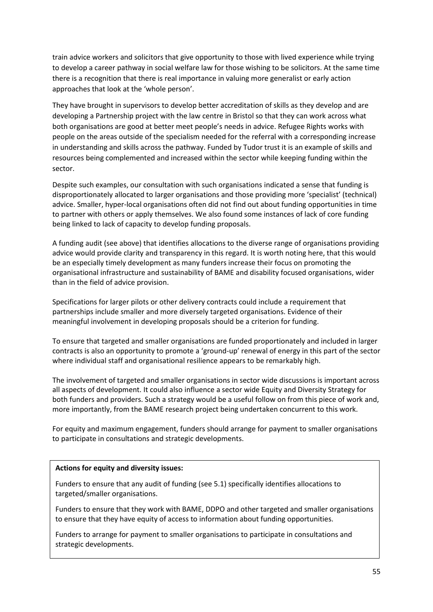train advice workers and solicitors that give opportunity to those with lived experience while trying to develop a career pathway in social welfare law for those wishing to be solicitors. At the same time there is a recognition that there is real importance in valuing more generalist or early action approaches that look at the 'whole person'.

They have brought in supervisors to develop better accreditation of skills as they develop and are developing a Partnership project with the law centre in Bristol so that they can work across what both organisations are good at better meet people's needs in advice. Refugee Rights works with people on the areas outside of the specialism needed for the referral with a corresponding increase in understanding and skills across the pathway. Funded by Tudor trust it is an example of skills and resources being complemented and increased within the sector while keeping funding within the sector.

Despite such examples, our consultation with such organisations indicated a sense that funding is disproportionately allocated to larger organisations and those providing more 'specialist' (technical) advice. Smaller, hyper-local organisations often did not find out about funding opportunities in time to partner with others or apply themselves. We also found some instances of lack of core funding being linked to lack of capacity to develop funding proposals.

A funding audit (see above) that identifies allocations to the diverse range of organisations providing advice would provide clarity and transparency in this regard. It is worth noting here, that this would be an especially timely development as many funders increase their focus on promoting the organisational infrastructure and sustainability of BAME and disability focused organisations, wider than in the field of advice provision.

Specifications for larger pilots or other delivery contracts could include a requirement that partnerships include smaller and more diversely targeted organisations. Evidence of their meaningful involvement in developing proposals should be a criterion for funding.

To ensure that targeted and smaller organisations are funded proportionately and included in larger contracts is also an opportunity to promote a 'ground-up' renewal of energy in this part of the sector where individual staff and organisational resilience appears to be remarkably high.

The involvement of targeted and smaller organisations in sector wide discussions is important across all aspects of development. It could also influence a sector wide Equity and Diversity Strategy for both funders and providers. Such a strategy would be a useful follow on from this piece of work and, more importantly, from the BAME research project being undertaken concurrent to this work.

For equity and maximum engagement, funders should arrange for payment to smaller organisations to participate in consultations and strategic developments.

### **Actions for equity and diversity issues:**

Funders to ensure that any audit of funding (see 5.1) specifically identifies allocations to targeted/smaller organisations.

Funders to ensure that they work with BAME, DDPO and other targeted and smaller organisations to ensure that they have equity of access to information about funding opportunities.

Funders to arrange for payment to smaller organisations to participate in consultations and strategic developments.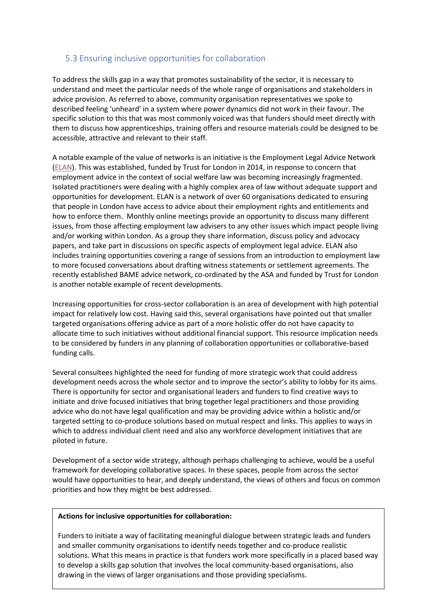## 5.3 Ensuring inclusive opportunities for collaboration

To address the skills gap in a way that promotes sustainability of the sector, it is necessary to understand and meet the particular needs of the whole range of organisations and stakeholders in advice provision. As referred to above, community organisation representatives we spoke to described feeling 'unheard' in a system where power dynamics did not work in their favour. The specific solution to this that was most commonly voiced was that funders should meet directly with them to discuss how apprenticeships, training offers and resource materials could be designed to be accessible, attractive and relevant to their staff.

A notable example of the value of networks is an initiative is the Employment Legal Advice Network [\(ELAN\)](https://www.trustforlondon.org.uk/issues/work/elan/). This was established, funded by Trust for London in 2014, in response to concern that employment advice in the context of social welfare law was becoming increasingly fragmented. Isolated practitioners were dealing with a highly complex area of law without adequate support and opportunities for development. ELAN is a network of over 60 organisations dedicated to ensuring that people in London have access to advice about their employment rights and entitlements and how to enforce them. Monthly online meetings provide an opportunity to discuss many different issues, from those affecting employment law advisers to any other issues which impact people living and/or working within London. As a group they share information, discuss policy and advocacy papers, and take part in discussions on specific aspects of employment legal advice. ELAN also includes training opportunities covering a range of sessions from an introduction to employment law to more focused conversations about drafting witness statements or settlement agreements. The recently established BAME advice network, co-ordinated by the ASA and funded by Trust for London is another notable example of recent developments.

Increasing opportunities for cross-sector collaboration is an area of development with high potential impact for relatively low cost. Having said this, several organisations have pointed out that smaller targeted organisations offering advice as part of a more holistic offer do not have capacity to allocate time to such initiatives without additional financial support. This resource implication needs to be considered by funders in any planning of collaboration opportunities or collaborative-based funding calls.

Several consultees highlighted the need for funding of more strategic work that could address development needs across the whole sector and to improve the sector's ability to lobby for its aims. There is opportunity for sector and organisational leaders and funders to find creative ways to initiate and drive focused initiatives that bring together legal practitioners and those providing advice who do not have legal qualification and may be providing advice within a holistic and/or targeted setting to co-produce solutions based on mutual respect and links. This applies to ways in which to address individual client need and also any workforce development initiatives that are piloted in future.

Development of a sector wide strategy, although perhaps challenging to achieve, would be a useful framework for developing collaborative spaces. In these spaces, people from across the sector would have opportunities to hear, and deeply understand, the views of others and focus on common priorities and how they might be best addressed.

### **Actions for inclusive opportunities for collaboration:**

Funders to initiate a way of facilitating meaningful dialogue between strategic leads and funders and smaller community organisations to identify needs together and co-produce realistic solutions. What this means in practice is that funders work more specifically in a placed based way to develop a skills gap solution that involves the local community-based organisations, also drawing in the views of larger organisations and those providing specialisms.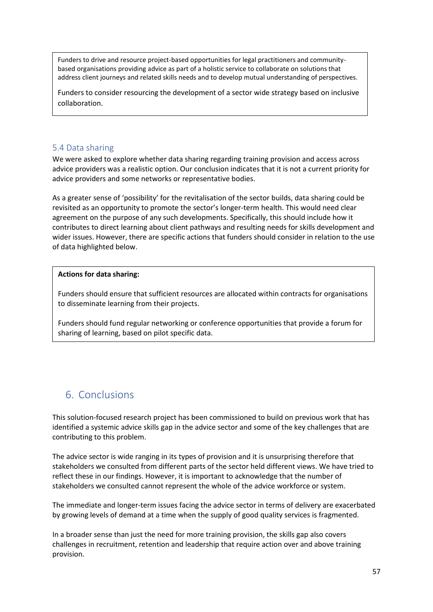Funders to drive and resource project-based opportunities for legal practitioners and communitybased organisations providing advice as part of a holistic service to collaborate on solutions that address client journeys and related skills needs and to develop mutual understanding of perspectives.

Funders to consider resourcing the development of a sector wide strategy based on inclusive collaboration.

# 5.4 Data sharing

We were asked to explore whether data sharing regarding training provision and access across advice providers was a realistic option. Our conclusion indicates that it is not a current priority for advice providers and some networks or representative bodies.

As a greater sense of 'possibility' for the revitalisation of the sector builds, data sharing could be revisited as an opportunity to promote the sector's longer-term health. This would need clear agreement on the purpose of any such developments. Specifically, this should include how it contributes to direct learning about client pathways and resulting needs for skills development and wider issues. However, there are specific actions that funders should consider in relation to the use of data highlighted below.

## **Actions for data sharing:**

Funders should ensure that sufficient resources are allocated within contracts for organisations to disseminate learning from their projects.

Funders should fund regular networking or conference opportunities that provide a forum for sharing of learning, based on pilot specific data.

# 6. Conclusions

This solution-focused research project has been commissioned to build on previous work that has identified a systemic advice skills gap in the advice sector and some of the key challenges that are contributing to this problem.

The advice sector is wide ranging in its types of provision and it is unsurprising therefore that stakeholders we consulted from different parts of the sector held different views. We have tried to reflect these in our findings. However, it is important to acknowledge that the number of stakeholders we consulted cannot represent the whole of the advice workforce or system.

The immediate and longer-term issues facing the advice sector in terms of delivery are exacerbated by growing levels of demand at a time when the supply of good quality services is fragmented.

In a broader sense than just the need for more training provision, the skills gap also covers challenges in recruitment, retention and leadership that require action over and above training provision.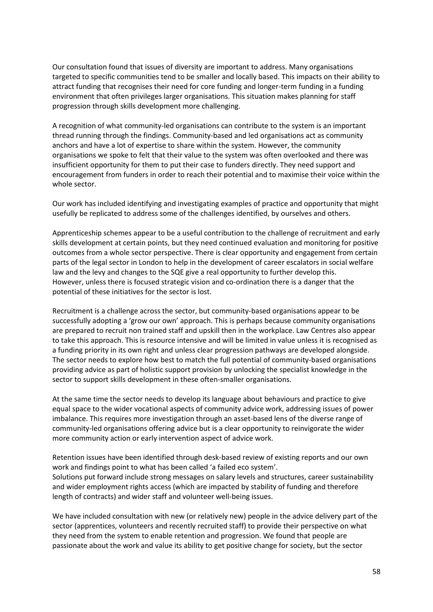Our consultation found that issues of diversity are important to address. Many organisations targeted to specific communities tend to be smaller and locally based. This impacts on their ability to attract funding that recognises their need for core funding and longer-term funding in a funding environment that often privileges larger organisations. This situation makes planning for staff progression through skills development more challenging.

A recognition of what community-led organisations can contribute to the system is an important thread running through the findings. Community-based and led organisations act as community anchors and have a lot of expertise to share within the system. However, the community organisations we spoke to felt that their value to the system was often overlooked and there was insufficient opportunity for them to put their case to funders directly. They need support and encouragement from funders in order to reach their potential and to maximise their voice within the whole sector.

Our work has included identifying and investigating examples of practice and opportunity that might usefully be replicated to address some of the challenges identified, by ourselves and others.

Apprenticeship schemes appear to be a useful contribution to the challenge of recruitment and early skills development at certain points, but they need continued evaluation and monitoring for positive outcomes from a whole sector perspective. There is clear opportunity and engagement from certain parts of the legal sector in London to help in the development of career escalators in social welfare law and the levy and changes to the SQE give a real opportunity to further develop this. However, unless there is focused strategic vision and co-ordination there is a danger that the potential of these initiatives for the sector is lost.

Recruitment is a challenge across the sector, but community-based organisations appear to be successfully adopting a 'grow our own' approach. This is perhaps because community organisations are prepared to recruit non trained staff and upskill then in the workplace. Law Centres also appear to take this approach. This is resource intensive and will be limited in value unless it is recognised as a funding priority in its own right and unless clear progression pathways are developed alongside. The sector needs to explore how best to match the full potential of community-based organisations providing advice as part of holistic support provision by unlocking the specialist knowledge in the sector to support skills development in these often-smaller organisations.

At the same time the sector needs to develop its language about behaviours and practice to give equal space to the wider vocational aspects of community advice work, addressing issues of power imbalance. This requires more investigation through an asset-based lens of the diverse range of community-led organisations offering advice but is a clear opportunity to reinvigorate the wider more community action or early intervention aspect of advice work.

Retention issues have been identified through desk-based review of existing reports and our own work and findings point to what has been called 'a failed eco system'. Solutions put forward include strong messages on salary levels and structures, career sustainability and wider employment rights access (which are impacted by stability of funding and therefore length of contracts) and wider staff and volunteer well-being issues.

We have included consultation with new (or relatively new) people in the advice delivery part of the sector (apprentices, volunteers and recently recruited staff) to provide their perspective on what they need from the system to enable retention and progression. We found that people are passionate about the work and value its ability to get positive change for society, but the sector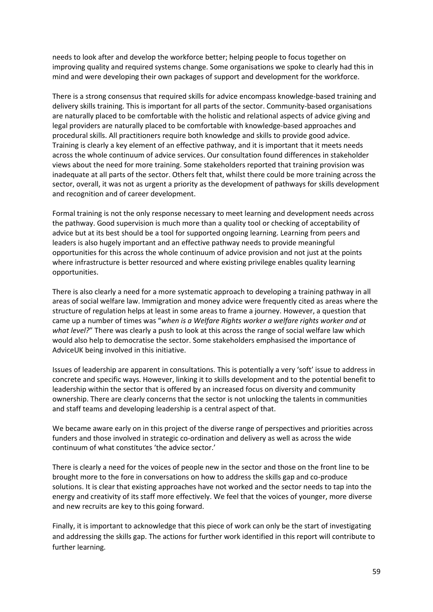needs to look after and develop the workforce better; helping people to focus together on improving quality and required systems change. Some organisations we spoke to clearly had this in mind and were developing their own packages of support and development for the workforce.

There is a strong consensus that required skills for advice encompass knowledge-based training and delivery skills training. This is important for all parts of the sector. Community-based organisations are naturally placed to be comfortable with the holistic and relational aspects of advice giving and legal providers are naturally placed to be comfortable with knowledge-based approaches and procedural skills. All practitioners require both knowledge and skills to provide good advice. Training is clearly a key element of an effective pathway, and it is important that it meets needs across the whole continuum of advice services. Our consultation found differences in stakeholder views about the need for more training. Some stakeholders reported that training provision was inadequate at all parts of the sector. Others felt that, whilst there could be more training across the sector, overall, it was not as urgent a priority as the development of pathways for skills development and recognition and of career development.

Formal training is not the only response necessary to meet learning and development needs across the pathway. Good supervision is much more than a quality tool or checking of acceptability of advice but at its best should be a tool for supported ongoing learning. Learning from peers and leaders is also hugely important and an effective pathway needs to provide meaningful opportunities for this across the whole continuum of advice provision and not just at the points where infrastructure is better resourced and where existing privilege enables quality learning opportunities.

There is also clearly a need for a more systematic approach to developing a training pathway in all areas of social welfare law. Immigration and money advice were frequently cited as areas where the structure of regulation helps at least in some areas to frame a journey. However, a question that came up a number of times was "*when is a Welfare Rights worker a welfare rights worker and at what level?*" There was clearly a push to look at this across the range of social welfare law which would also help to democratise the sector. Some stakeholders emphasised the importance of AdviceUK being involved in this initiative.

Issues of leadership are apparent in consultations. This is potentially a very 'soft' issue to address in concrete and specific ways. However, linking it to skills development and to the potential benefit to leadership within the sector that is offered by an increased focus on diversity and community ownership. There are clearly concerns that the sector is not unlocking the talents in communities and staff teams and developing leadership is a central aspect of that.

We became aware early on in this project of the diverse range of perspectives and priorities across funders and those involved in strategic co-ordination and delivery as well as across the wide continuum of what constitutes 'the advice sector.'

There is clearly a need for the voices of people new in the sector and those on the front line to be brought more to the fore in conversations on how to address the skills gap and co-produce solutions. It is clear that existing approaches have not worked and the sector needs to tap into the energy and creativity of its staff more effectively. We feel that the voices of younger, more diverse and new recruits are key to this going forward.

Finally, it is important to acknowledge that this piece of work can only be the start of investigating and addressing the skills gap. The actions for further work identified in this report will contribute to further learning.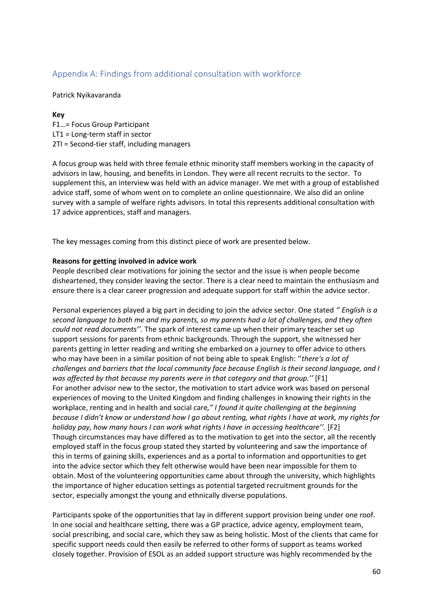## Appendix A: Findings from additional consultation with workforce

Patrick Nyikavaranda

## **Key**

F1…= Focus Group Participant LT1 = Long-term staff in sector 2TI = Second-tier staff, including managers

A focus group was held with three female ethnic minority staff members working in the capacity of advisors in law, housing, and benefits in London. They were all recent recruits to the sector. To supplement this, an interview was held with an advice manager. We met with a group of established advice staff, some of whom went on to complete an online questionnaire. We also did an online survey with a sample of welfare rights advisors. In total this represents additional consultation with 17 advice apprentices, staff and managers.

The key messages coming from this distinct piece of work are presented below.

## **Reasons for getting involved in advice work**

People described clear motivations for joining the sector and the issue is when people become disheartened, they consider leaving the sector. There is a clear need to maintain the enthusiasm and ensure there is a clear career progression and adequate support for staff within the advice sector.

Personal experiences played a big part in deciding to join the advice sector. One stated *'' English is a second language to both me and my parents, so my parents had a lot of challenges, and they often could not read documents''.* The spark of interest came up when their primary teacher set up support sessions for parents from ethnic backgrounds. Through the support, she witnessed her parents getting in letter reading and writing she embarked on a journey to offer advice to others who may have been in a similar position of not being able to speak English: ''*there's a lot of challenges and barriers that the local community face because English is their second language, and I was affected by that because my parents were in that category and that group.''* [F1] For another advisor new to the sector, the motivation to start advice work was based on personal experiences of moving to the United Kingdom and finding challenges in knowing their rights in the workplace, renting and in health and social care*," I found it quite challenging at the beginning because I didn't know or understand how I go about renting, what rights I have at work, my rights for holiday pay, how many hours I can work what rights I have in accessing healthcare''.* [F2] Though circumstances may have differed as to the motivation to get into the sector, all the recently employed staff in the focus group stated they started by volunteering and saw the importance of this in terms of gaining skills, experiences and as a portal to information and opportunities to get into the advice sector which they felt otherwise would have been near impossible for them to obtain. Most of the volunteering opportunities came about through the university, which highlights the importance of higher education settings as potential targeted recruitment grounds for the sector, especially amongst the young and ethnically diverse populations.

Participants spoke of the opportunities that lay in different support provision being under one roof. In one social and healthcare setting, there was a GP practice, advice agency, employment team, social prescribing, and social care, which they saw as being holistic. Most of the clients that came for specific support needs could then easily be referred to other forms of support as teams worked closely together. Provision of ESOL as an added support structure was highly recommended by the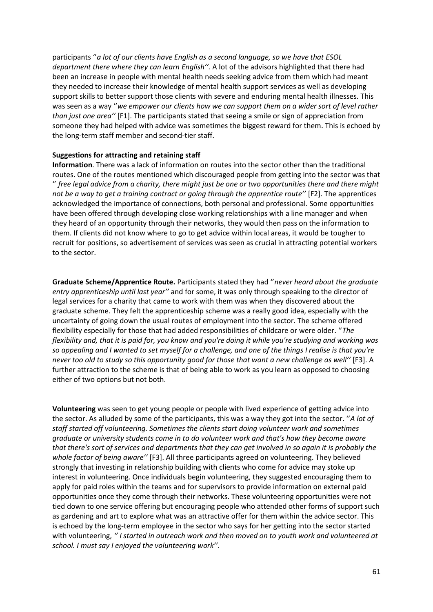participants ''*a lot of our clients have English as a second language, so we have that ESOL department there where they can learn English''.* A lot of the advisors highlighted that there had been an increase in people with mental health needs seeking advice from them which had meant they needed to increase their knowledge of mental health support services as well as developing support skills to better support those clients with severe and enduring mental health illnesses. This was seen as a way ''*we empower our clients how we can support them on a wider sort of level rather than just one area''* [F1]. The participants stated that seeing a smile or sign of appreciation from someone they had helped with advice was sometimes the biggest reward for them. This is echoed by the long-term staff member and second-tier staff.

### **Suggestions for attracting and retaining staff**

**Information**. There was a lack of information on routes into the sector other than the traditional routes. One of the routes mentioned which discouraged people from getting into the sector was that '' *free legal advice from a charity, there might just be one or two opportunities there and there might not be a way to get a training contract or going through the apprentice route''* [F2]. The apprentices acknowledged the importance of connections, both personal and professional. Some opportunities have been offered through developing close working relationships with a line manager and when they heard of an opportunity through their networks, they would then pass on the information to them. If clients did not know where to go to get advice within local areas, it would be tougher to recruit for positions, so advertisement of services was seen as crucial in attracting potential workers to the sector.

**Graduate Scheme/Apprentice Route.** Participants stated they had ''*never heard about the graduate entry apprenticeship until last year''* and for some, it was only through speaking to the director of legal services for a charity that came to work with them was when they discovered about the graduate scheme. They felt the apprenticeship scheme was a really good idea, especially with the uncertainty of going down the usual routes of employment into the sector. The scheme offered flexibility especially for those that had added responsibilities of childcare or were older. ''*The flexibility and, that it is paid for, you know and you're doing it while you're studying and working was so appealing and I wanted to set myself for a challenge, and one of the things I realise is that you're never too old to study so this opportunity good for those that want a new challenge as well''* [F3]. A further attraction to the scheme is that of being able to work as you learn as opposed to choosing either of two options but not both.

**Volunteering** was seen to get young people or people with lived experience of getting advice into the sector. As alluded by some of the participants, this was a way they got into the sector. ''*A lot of staff started off volunteering. Sometimes the clients start doing volunteer work and sometimes graduate or university students come in to do volunteer work and that's how they become aware that there's sort of services and departments that they can get involved in so again it is probably the whole factor of being aware''* [F3]. All three participants agreed on volunteering. They believed strongly that investing in relationship building with clients who come for advice may stoke up interest in volunteering. Once individuals begin volunteering, they suggested encouraging them to apply for paid roles within the teams and for supervisors to provide information on external paid opportunities once they come through their networks. These volunteering opportunities were not tied down to one service offering but encouraging people who attended other forms of support such as gardening and art to explore what was an attractive offer for them within the advice sector. This is echoed by the long-term employee in the sector who says for her getting into the sector started with volunteering, *'' I started in outreach work and then moved on to youth work and volunteered at school. I must say I enjoyed the volunteering work''*.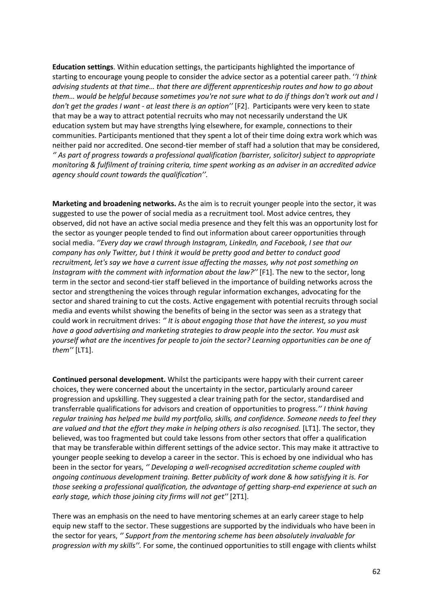**Education settings**. Within education settings, the participants highlighted the importance of starting to encourage young people to consider the advice sector as a potential career path. '*'I think advising students at that time… that there are different apprenticeship routes and how to go about them… would be helpful because sometimes you're not sure what to do if things don't work out and I don't get the grades I want - at least there is an option''* [F2]. Participants were very keen to state that may be a way to attract potential recruits who may not necessarily understand the UK education system but may have strengths lying elsewhere, for example, connections to their communities. Participants mentioned that they spent a lot of their time doing extra work which was neither paid nor accredited. One second-tier member of staff had a solution that may be considered, *'' As part of progress towards a professional qualification (barrister, solicitor) subject to appropriate monitoring & fulfilment of training criteria, time spent working as an adviser in an accredited advice agency should count towards the qualification''.*

**Marketing and broadening networks.** As the aim is to recruit younger people into the sector, it was suggested to use the power of social media as a recruitment tool. Most advice centres, they observed, did not have an active social media presence and they felt this was an opportunity lost for the sector as younger people tended to find out information about career opportunities through social media. *''Every day we crawl through Instagram, LinkedIn, and Facebook, I see that our company has only Twitter, but I think it would be pretty good and better to conduct good recruitment, let's say we have a current issue affecting the masses, why not post something on Instagram with the comment with information about the law?''* [F1]. The new to the sector, long term in the sector and second-tier staff believed in the importance of building networks across the sector and strengthening the voices through regular information exchanges, advocating for the sector and shared training to cut the costs. Active engagement with potential recruits through social media and events whilst showing the benefits of being in the sector was seen as a strategy that could work in recruitment drives: *'' It is about engaging those that have the interest, so you must have a good advertising and marketing strategies to draw people into the sector. You must ask yourself what are the incentives for people to join the sector? Learning opportunities can be one of them''* [LT1].

**Continued personal development.** Whilst the participants were happy with their current career choices, they were concerned about the uncertainty in the sector, particularly around career progression and upskilling. They suggested a clear training path for the sector, standardised and transferrable qualifications for advisors and creation of opportunities to progress.*'' I think having regular training has helped me build my portfolio, skills, and confidence. Someone needs to feel they are valued and that the effort they make in helping others is also recognised.* [LT1]. The sector, they believed, was too fragmented but could take lessons from other sectors that offer a qualification that may be transferable within different settings of the advice sector. This may make it attractive to younger people seeking to develop a career in the sector. This is echoed by one individual who has been in the sector for years, *'' Developing a well-recognised accreditation scheme coupled with ongoing continuous development training. Better publicity of work done & how satisfying it is. For those seeking a professional qualification, the advantage of getting sharp-end experience at such an early stage, which those joining city firms will not get''* [2T1].

There was an emphasis on the need to have mentoring schemes at an early career stage to help equip new staff to the sector. These suggestions are supported by the individuals who have been in the sector for years, *'' Support from the mentoring scheme has been absolutely invaluable for progression with my skills''.* For some, the continued opportunities to still engage with clients whilst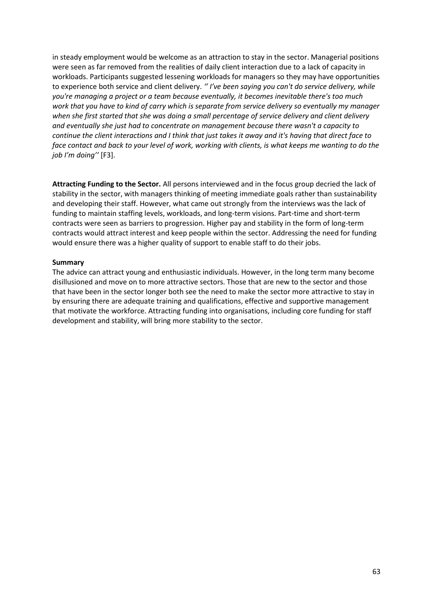in steady employment would be welcome as an attraction to stay in the sector. Managerial positions were seen as far removed from the realities of daily client interaction due to a lack of capacity in workloads. Participants suggested lessening workloads for managers so they may have opportunities to experience both service and client delivery. *'' I've been saying you can't do service delivery, while you're managing a project or a team because eventually, it becomes inevitable there's too much work that you have to kind of carry which is separate from service delivery so eventually my manager when she first started that she was doing a small percentage of service delivery and client delivery and eventually she just had to concentrate on management because there wasn't a capacity to continue the client interactions and I think that just takes it away and it's having that direct face to face contact and back to your level of work, working with clients, is what keeps me wanting to do the job I'm doing''* [F3].

**Attracting Funding to the Sector.** All persons interviewed and in the focus group decried the lack of stability in the sector, with managers thinking of meeting immediate goals rather than sustainability and developing their staff. However, what came out strongly from the interviews was the lack of funding to maintain staffing levels, workloads, and long-term visions. Part-time and short-term contracts were seen as barriers to progression. Higher pay and stability in the form of long-term contracts would attract interest and keep people within the sector. Addressing the need for funding would ensure there was a higher quality of support to enable staff to do their jobs.

### **Summary**

The advice can attract young and enthusiastic individuals. However, in the long term many become disillusioned and move on to more attractive sectors. Those that are new to the sector and those that have been in the sector longer both see the need to make the sector more attractive to stay in by ensuring there are adequate training and qualifications, effective and supportive management that motivate the workforce. Attracting funding into organisations, including core funding for staff development and stability, will bring more stability to the sector.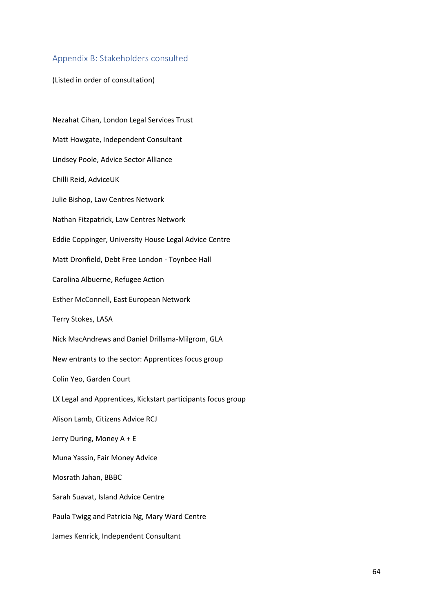## Appendix B: Stakeholders consulted

(Listed in order of consultation)

Nezahat Cihan, London Legal Services Trust Matt Howgate, Independent Consultant Lindsey Poole, Advice Sector Alliance Chilli Reid, AdviceUK Julie Bishop, Law Centres Network Nathan Fitzpatrick, Law Centres Network Eddie Coppinger, University House Legal Advice Centre Matt Dronfield, Debt Free London - Toynbee Hall Carolina Albuerne, Refugee Action Esther McConnell, East European Network Terry Stokes, LASA Nick MacAndrews and Daniel Drillsma-Milgrom, GLA New entrants to the sector: Apprentices focus group Colin Yeo, Garden Court LX Legal and Apprentices, Kickstart participants focus group Alison Lamb, Citizens Advice RCJ Jerry During, Money A + E Muna Yassin, Fair Money Advice Mosrath Jahan, BBBC Sarah Suavat, Island Advice Centre Paula Twigg and Patricia Ng, Mary Ward Centre James Kenrick, Independent Consultant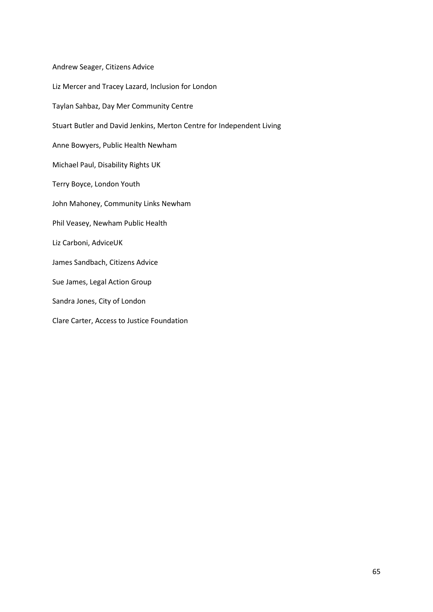Andrew Seager, Citizens Advice Liz Mercer and Tracey Lazard, Inclusion for London Taylan Sahbaz, Day Mer Community Centre Stuart Butler and David Jenkins, Merton Centre for Independent Living Anne Bowyers, Public Health Newham Michael Paul, Disability Rights UK Terry Boyce, London Youth John Mahoney, Community Links Newham Phil Veasey, Newham Public Health Liz Carboni, AdviceUK James Sandbach, Citizens Advice Sue James, Legal Action Group Sandra Jones, City of London Clare Carter, Access to Justice Foundation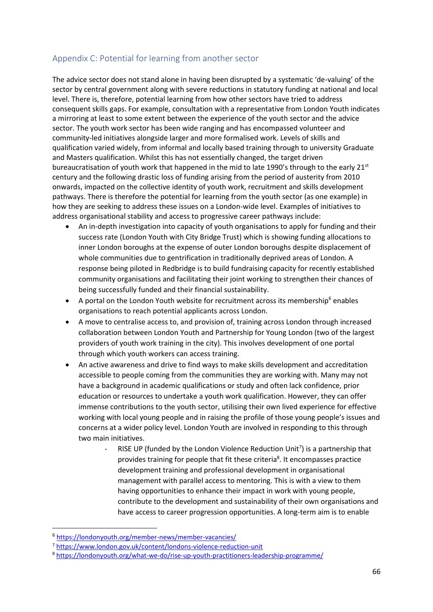# Appendix C: Potential for learning from another sector

The advice sector does not stand alone in having been disrupted by a systematic 'de-valuing' of the sector by central government along with severe reductions in statutory funding at national and local level. There is, therefore, potential learning from how other sectors have tried to address consequent skills gaps. For example, consultation with a representative from London Youth indicates a mirroring at least to some extent between the experience of the youth sector and the advice sector. The youth work sector has been wide ranging and has encompassed volunteer and community-led initiatives alongside larger and more formalised work. Levels of skills and qualification varied widely, from informal and locally based training through to university Graduate and Masters qualification. Whilst this has not essentially changed, the target driven bureaucratisation of youth work that happened in the mid to late 1990's through to the early 21<sup>st</sup> century and the following drastic loss of funding arising from the period of austerity from 2010 onwards, impacted on the collective identity of youth work, recruitment and skills development pathways. There is therefore the potential for learning from the youth sector (as one example) in how they are seeking to address these issues on a London-wide level. Examples of initiatives to address organisational stability and access to progressive career pathways include:

- An in-depth investigation into capacity of youth organisations to apply for funding and their success rate (London Youth with City Bridge Trust) which is showing funding allocations to inner London boroughs at the expense of outer London boroughs despite displacement of whole communities due to gentrification in traditionally deprived areas of London. A response being piloted in Redbridge is to build fundraising capacity for recently established community organisations and facilitating their joint working to strengthen their chances of being successfully funded and their financial sustainability.
- A portal on the London Youth website for recruitment across its membership<sup>6</sup> enables organisations to reach potential applicants across London.
- A move to centralise access to, and provision of, training across London through increased collaboration between London Youth and Partnership for Young London (two of the largest providers of youth work training in the city). This involves development of one portal through which youth workers can access training.
- An active awareness and drive to find ways to make skills development and accreditation accessible to people coming from the communities they are working with. Many may not have a background in academic qualifications or study and often lack confidence, prior education or resources to undertake a youth work qualification. However, they can offer immense contributions to the youth sector, utilising their own lived experience for effective working with local young people and in raising the profile of those young people's issues and concerns at a wider policy level. London Youth are involved in responding to this through two main initiatives.
	- RISE UP (funded by the London Violence Reduction Unit<sup>7</sup>) is a partnership that provides training for people that fit these criteria<sup>8</sup>. It encompasses practice development training and professional development in organisational management with parallel access to mentoring. This is with a view to them having opportunities to enhance their impact in work with young people, contribute to the development and sustainability of their own organisations and have access to career progression opportunities. A long-term aim is to enable

 $\overline{a}$ 

<sup>6</sup> <https://londonyouth.org/member-news/member-vacancies/>

<sup>7</sup> <https://www.london.gov.uk/content/londons-violence-reduction-unit>

<sup>8</sup> <https://londonyouth.org/what-we-do/rise-up-youth-practitioners-leadership-programme/>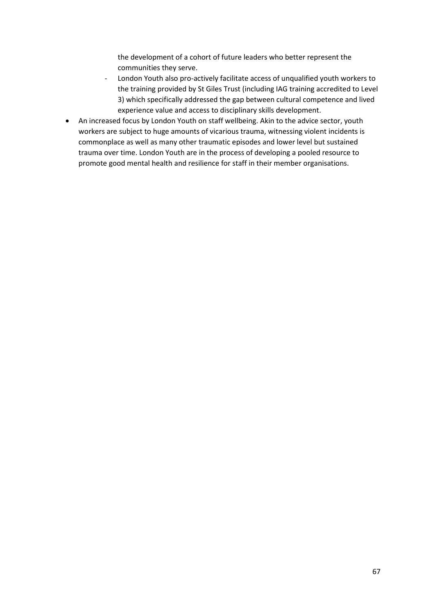the development of a cohort of future leaders who better represent the communities they serve.

- London Youth also pro-actively facilitate access of unqualified youth workers to the training provided by St Giles Trust (including IAG training accredited to Level 3) which specifically addressed the gap between cultural competence and lived experience value and access to disciplinary skills development.
- An increased focus by London Youth on staff wellbeing. Akin to the advice sector, youth workers are subject to huge amounts of vicarious trauma, witnessing violent incidents is commonplace as well as many other traumatic episodes and lower level but sustained trauma over time. London Youth are in the process of developing a pooled resource to promote good mental health and resilience for staff in their member organisations.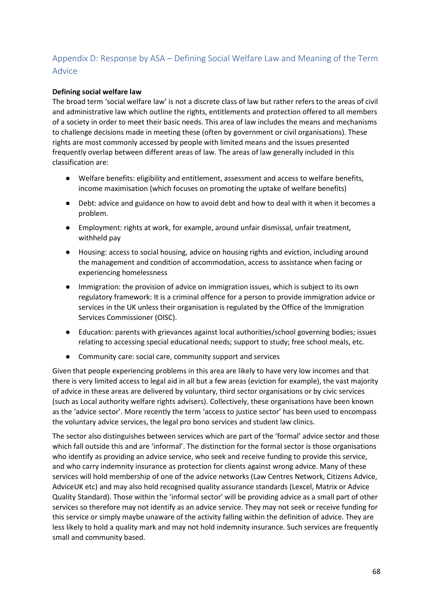# Appendix D: Response by ASA – Defining Social Welfare Law and Meaning of the Term Advice

## **Defining social welfare law**

The broad term 'social welfare law' is not a discrete class of law but rather refers to the areas of civil and administrative law which outline the rights, entitlements and protection offered to all members of a society in order to meet their basic needs. This area of law includes the means and mechanisms to challenge decisions made in meeting these (often by government or civil organisations). These rights are most commonly accessed by people with limited means and the issues presented frequently overlap between different areas of law. The areas of law generally included in this classification are:

- Welfare benefits: eligibility and entitlement, assessment and access to welfare benefits, income maximisation (which focuses on promoting the uptake of welfare benefits)
- Debt: advice and guidance on how to avoid debt and how to deal with it when it becomes a problem.
- Employment: rights at work, for example, around unfair dismissal, unfair treatment, withheld pay
- Housing: access to social housing, advice on housing rights and eviction, including around the management and condition of accommodation, access to assistance when facing or experiencing homelessness
- Immigration: the provision of advice on immigration issues, which is subject to its own regulatory framework: It is a criminal offence for a person to provide immigration advice or services in the UK unless their organisation is regulated by the Office of the Immigration Services Commissioner (OISC).
- Education: parents with grievances against local authorities/school governing bodies; issues relating to accessing special educational needs; support to study; free school meals, etc.
- Community care: social care, community support and services

Given that people experiencing problems in this area are likely to have very low incomes and that there is very limited access to legal aid in all but a few areas (eviction for example), the vast majority of advice in these areas are delivered by voluntary, third sector organisations or by civic services (such as Local authority welfare rights advisers). Collectively, these organisations have been known as the 'advice sector'. More recently the term 'access to justice sector' has been used to encompass the voluntary advice services, the legal pro bono services and student law clinics.

The sector also distinguishes between services which are part of the 'formal' advice sector and those which fall outside this and are 'informal'. The distinction for the formal sector is those organisations who identify as providing an advice service, who seek and receive funding to provide this service, and who carry indemnity insurance as protection for clients against wrong advice. Many of these services will hold membership of one of the advice networks (Law Centres Network, Citizens Advice, AdviceUK etc) and may also hold recognised quality assurance standards (Lexcel, Matrix or Advice Quality Standard). Those within the 'informal sector' will be providing advice as a small part of other services so therefore may not identify as an advice service. They may not seek or receive funding for this service or simply maybe unaware of the activity falling within the definition of advice. They are less likely to hold a quality mark and may not hold indemnity insurance. Such services are frequently small and community based.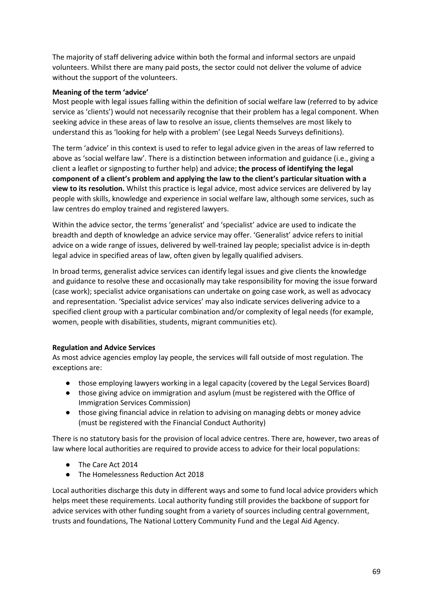The majority of staff delivering advice within both the formal and informal sectors are unpaid volunteers. Whilst there are many paid posts, the sector could not deliver the volume of advice without the support of the volunteers.

## **Meaning of the term 'advice'**

Most people with legal issues falling within the definition of social welfare law (referred to by advice service as 'clients') would not necessarily recognise that their problem has a legal component. When seeking advice in these areas of law to resolve an issue, clients themselves are most likely to understand this as 'looking for help with a problem' (see Legal Needs Surveys definitions).

The term 'advice' in this context is used to refer to legal advice given in the areas of law referred to above as 'social welfare law'. There is a distinction between information and guidance (i.e., giving a client a leaflet or signposting to further help) and advice; **the process of identifying the legal component of a client's problem and applying the law to the client's particular situation with a view to its resolution.** Whilst this practice is legal advice, most advice services are delivered by lay people with skills, knowledge and experience in social welfare law, although some services, such as law centres do employ trained and registered lawyers.

Within the advice sector, the terms 'generalist' and 'specialist' advice are used to indicate the breadth and depth of knowledge an advice service may offer. 'Generalist' advice refers to initial advice on a wide range of issues, delivered by well-trained lay people; specialist advice is in-depth legal advice in specified areas of law, often given by legally qualified advisers.

In broad terms, generalist advice services can identify legal issues and give clients the knowledge and guidance to resolve these and occasionally may take responsibility for moving the issue forward (case work); specialist advice organisations can undertake on going case work, as well as advocacy and representation. 'Specialist advice services' may also indicate services delivering advice to a specified client group with a particular combination and/or complexity of legal needs (for example, women, people with disabilities, students, migrant communities etc).

## **Regulation and Advice Services**

As most advice agencies employ lay people, the services will fall outside of most regulation. The exceptions are:

- those employing lawyers working in a legal capacity (covered by the Legal Services Board)
- those giving advice on immigration and asylum (must be registered with the Office of Immigration Services Commission)
- those giving financial advice in relation to advising on managing debts or money advice (must be registered with the Financial Conduct Authority)

There is no statutory basis for the provision of local advice centres. There are, however, two areas of law where local authorities are required to provide access to advice for their local populations:

- The Care Act 2014
- The Homelessness Reduction Act 2018

Local authorities discharge this duty in different ways and some to fund local advice providers which helps meet these requirements. Local authority funding still provides the backbone of support for advice services with other funding sought from a variety of sources including central government, trusts and foundations, The National Lottery Community Fund and the Legal Aid Agency.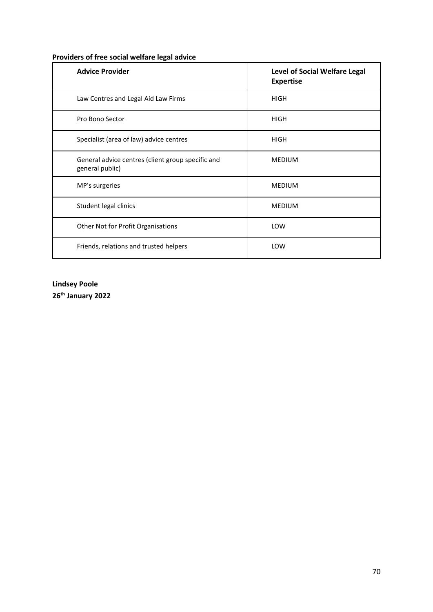| <b>Advice Provider</b>                                               | <b>Level of Social Welfare Legal</b><br><b>Expertise</b> |
|----------------------------------------------------------------------|----------------------------------------------------------|
| Law Centres and Legal Aid Law Firms                                  | <b>HIGH</b>                                              |
| Pro Bono Sector                                                      | <b>HIGH</b>                                              |
| Specialist (area of law) advice centres                              | <b>HIGH</b>                                              |
| General advice centres (client group specific and<br>general public) | <b>MEDIUM</b>                                            |
| MP's surgeries                                                       | <b>MEDIUM</b>                                            |
| Student legal clinics                                                | <b>MEDIUM</b>                                            |
| Other Not for Profit Organisations                                   | LOW                                                      |
| Friends, relations and trusted helpers                               | LOW                                                      |

# **Providers of free social welfare legal advice**

# **Lindsey Poole 26th January 2022**